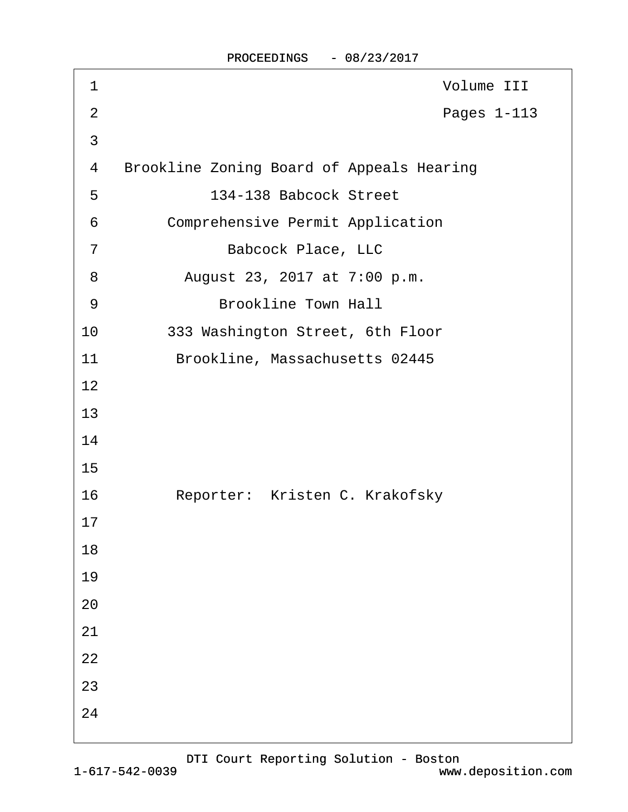| $\mathbf 1$    | Volume III                                |
|----------------|-------------------------------------------|
| $\overline{2}$ | Pages 1-113                               |
| 3              |                                           |
| 4              | Brookline Zoning Board of Appeals Hearing |
| 5              | 134-138 Babcock Street                    |
| 6              | Comprehensive Permit Application          |
| 7              | Babcock Place, LLC                        |
| 8              | August 23, 2017 at 7:00 p.m.              |
| 9              | Brookline Town Hall                       |
| 10             | 333 Washington Street, 6th Floor          |
| 11             | Brookline, Massachusetts 02445            |
| 12             |                                           |
| 13             |                                           |
| 14             |                                           |
| 15             |                                           |
| 16             | Reporter: Kristen C. Krakofsky            |
| 17             |                                           |
| 18             |                                           |
| 19             |                                           |
| $20$           |                                           |
| 21             |                                           |
| 22             |                                           |
| 23             |                                           |
| 24             |                                           |
|                |                                           |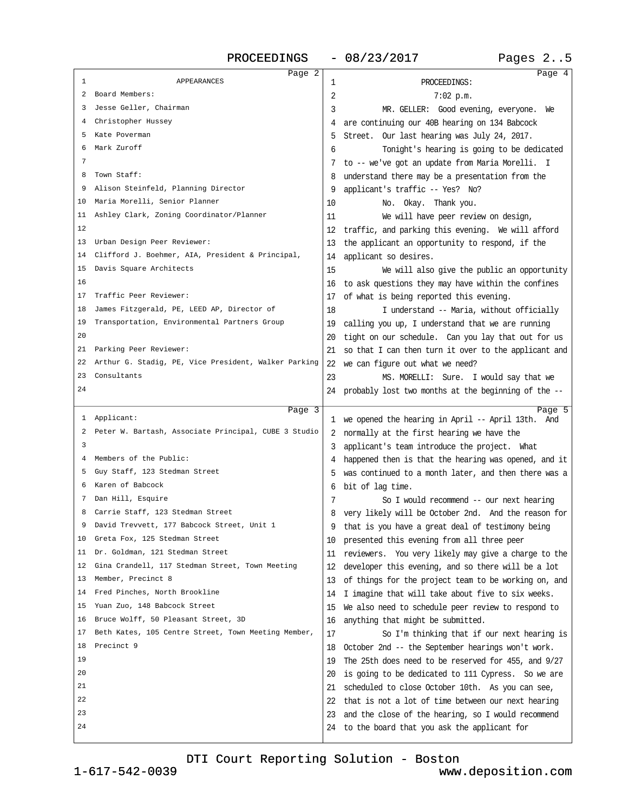<span id="page-1-0"></span>

|    | Page 2                                               |    | Page 4                                                                               |
|----|------------------------------------------------------|----|--------------------------------------------------------------------------------------|
| 1  | <b>APPEARANCES</b>                                   | 1  | PROCEEDINGS:                                                                         |
| 2  | Board Members:                                       | 2  | $7:02$ p.m.                                                                          |
| 3  | Jesse Geller, Chairman                               | 3  | MR. GELLER: Good evening, everyone. We                                               |
| 4  | Christopher Hussey                                   |    | are continuing our 40B hearing on 134 Babcock                                        |
| 5  | Kate Poverman                                        | 5  | Street. Our last hearing was July 24, 2017.                                          |
| 6  | Mark Zuroff                                          | 6  | Tonight's hearing is going to be dedicated                                           |
| 7  |                                                      | 7  | to -- we've got an update from Maria Morelli. I                                      |
| 8  | Town Staff:                                          |    | understand there may be a presentation from the                                      |
| 9  | Alison Steinfeld, Planning Director                  | 9  | applicant's traffic -- Yes? No?                                                      |
| 10 | Maria Morelli, Senior Planner                        | 10 | No. Okay. Thank you.                                                                 |
| 11 | Ashley Clark, Zoning Coordinator/Planner             | 11 | We will have peer review on design,                                                  |
| 12 |                                                      | 12 | traffic, and parking this evening. We will afford                                    |
| 13 | Urban Design Peer Reviewer:                          | 13 | the applicant an opportunity to respond, if the                                      |
| 14 | Clifford J. Boehmer, AIA, President & Principal,     | 14 | applicant so desires.                                                                |
| 15 | Davis Square Architects                              | 15 | We will also give the public an opportunity                                          |
| 16 |                                                      | 16 | to ask questions they may have within the confines                                   |
| 17 | Traffic Peer Reviewer:                               | 17 |                                                                                      |
| 18 | James Fitzgerald, PE, LEED AP, Director of           | 18 | of what is being reported this evening.<br>I understand -- Maria, without officially |
| 19 | Transportation, Environmental Partners Group         |    |                                                                                      |
| 20 |                                                      | 19 | calling you up, I understand that we are running                                     |
| 21 | Parking Peer Reviewer:                               | 20 | tight on our schedule. Can you lay that out for us                                   |
| 22 | Arthur G. Stadig, PE, Vice President, Walker Parking | 21 | so that I can then turn it over to the applicant and                                 |
| 23 | Consultants                                          | 22 | we can figure out what we need?                                                      |
| 24 |                                                      | 23 | MS. MORELLI: Sure. I would say that we                                               |
|    |                                                      |    | 24 probably lost two months at the beginning of the --                               |
|    | Page 3                                               |    | Page 5                                                                               |
| ı  | Applicant:                                           |    | 1 we opened the hearing in April -- April 13th. And                                  |
|    |                                                      |    |                                                                                      |
| 2  | Peter W. Bartash, Associate Principal, CUBE 3 Studio |    | 2 normally at the first hearing we have the                                          |
| 3  |                                                      | 3  | applicant's team introduce the project. What                                         |
| 4  | Members of the Public:                               |    | happened then is that the hearing was opened, and it                                 |
| 5  | Guy Staff, 123 Stedman Street                        | 5  | was continued to a month later, and then there was a                                 |
| 6  | Karen of Babcock                                     | 6  | bit of lag time.                                                                     |
| 7  | Dan Hill, Esquire                                    | 7  | So I would recommend -- our next hearing                                             |
| 8  | Carrie Staff, 123 Stedman Street                     | 8  | very likely will be October 2nd. And the reason for                                  |
|    | David Trevvett, 177 Babcock Street, Unit 1           |    | that is you have a great deal of testimony being                                     |
| 10 | Greta Fox, 125 Stedman Street                        | 10 | presented this evening from all three peer                                           |
| 11 | Dr. Goldman, 121 Stedman Street                      | 11 | reviewers. You very likely may give a charge to the                                  |
| 12 | Gina Crandell, 117 Stedman Street, Town Meeting      | 12 | developer this evening, and so there will be a lot                                   |
| 13 | Member, Precinct 8                                   | 13 | of things for the project team to be working on, and                                 |
| 14 | Fred Pinches, North Brookline                        | 14 | I imagine that will take about five to six weeks.                                    |
| 15 | Yuan Zuo, 148 Babcock Street                         | 15 | We also need to schedule peer review to respond to                                   |
| 16 | Bruce Wolff, 50 Pleasant Street, 3D                  | 16 | anything that might be submitted.                                                    |
| 17 | Beth Kates, 105 Centre Street, Town Meeting Member,  | 17 | So I'm thinking that if our next hearing is                                          |
| 18 | Precinct 9                                           | 18 | October 2nd -- the September hearings won't work.                                    |
| 19 |                                                      | 19 | The 25th does need to be reserved for 455, and 9/27                                  |
| 20 |                                                      | 20 | is going to be dedicated to 111 Cypress. So we are                                   |
| 21 |                                                      | 21 | scheduled to close October 10th. As you can see,                                     |
| 22 |                                                      | 22 | that is not a lot of time between our next hearing                                   |
| 23 |                                                      | 23 | and the close of the hearing, so I would recommend                                   |
| 24 |                                                      | 24 | to the board that you ask the applicant for                                          |

[DTI Court Reporting Solution - Boston](http://www.deposition.com)

1-617-542-0039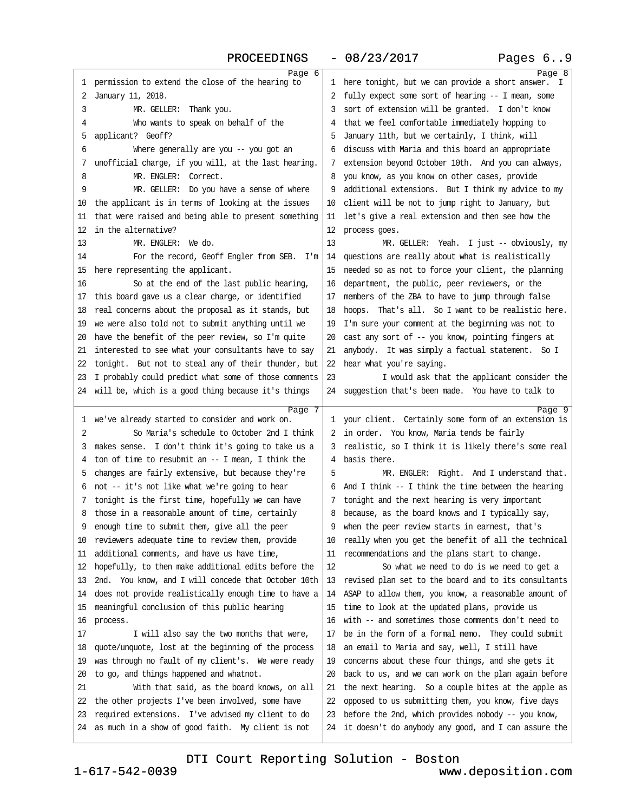| Pages 69 |  |  |
|----------|--|--|
|----------|--|--|

<span id="page-2-0"></span>

|              | Page 6                                                                                                 |          | Page 8                                                                                                     |
|--------------|--------------------------------------------------------------------------------------------------------|----------|------------------------------------------------------------------------------------------------------------|
| $\mathbf{1}$ | permission to extend the close of the hearing to                                                       |          | 1 here tonight, but we can provide a short answer.                                                         |
| 2            | January 11, 2018.                                                                                      | 2        | fully expect some sort of hearing -- I mean, some                                                          |
| 3            | MR. GELLER: Thank you.                                                                                 | 3        | sort of extension will be granted. I don't know                                                            |
| 4            | Who wants to speak on behalf of the                                                                    |          | that we feel comfortable immediately hopping to                                                            |
| 5            | applicant? Geoff?                                                                                      | 5        | January 11th, but we certainly, I think, will                                                              |
| б            | Where generally are you -- you got an                                                                  | 6        | discuss with Maria and this board an appropriate                                                           |
| 7            | unofficial charge, if you will, at the last hearing.                                                   | 7        | extension beyond October 10th. And you can always,                                                         |
| 8            | MR. ENGLER: Correct.                                                                                   | 8        | you know, as you know on other cases, provide                                                              |
| 9            | MR. GELLER: Do you have a sense of where                                                               | 9        | additional extensions. But I think my advice to my                                                         |
| 10           | the applicant is in terms of looking at the issues                                                     | 10       | client will be not to jump right to January, but                                                           |
| 11           | that were raised and being able to present something                                                   | 11       | let's give a real extension and then see how the                                                           |
| 12           | in the alternative?                                                                                    | 12       | process goes.                                                                                              |
| 13           | MR. ENGLER: We do.                                                                                     | 13       | MR. GELLER: Yeah. I just -- obviously, my                                                                  |
| 14           | For the record, Geoff Engler from SEB. I'm                                                             | 14       | questions are really about what is realistically                                                           |
| 15           | here representing the applicant.                                                                       | 15       | needed so as not to force your client, the planning                                                        |
| 16           | So at the end of the last public hearing,                                                              | 16       | department, the public, peer reviewers, or the                                                             |
| 17           | this board gave us a clear charge, or identified                                                       | 17       | members of the ZBA to have to jump through false                                                           |
| 18           | real concerns about the proposal as it stands, but                                                     | 18       | hoops. That's all. So I want to be realistic here.                                                         |
| 19           | we were also told not to submit anything until we                                                      | 19       | I'm sure your comment at the beginning was not to                                                          |
| 20           | have the benefit of the peer review, so I'm quite                                                      | 20       | cast any sort of -- you know, pointing fingers at                                                          |
| 21           | interested to see what your consultants have to say                                                    | 21       | anybody. It was simply a factual statement. So I                                                           |
| 22           | tonight. But not to steal any of their thunder, but                                                    | 22       | hear what you're saying.                                                                                   |
| 23           | I probably could predict what some of those comments                                                   | 23       | I would ask that the applicant consider the                                                                |
|              | 24 will be, which is a good thing because it's things                                                  |          | 24 suggestion that's been made. You have to talk to                                                        |
|              |                                                                                                        |          |                                                                                                            |
|              | Page 7                                                                                                 |          | Page 9                                                                                                     |
| 1            | we've already started to consider and work on.                                                         |          | 1 your client. Certainly some form of an extension is                                                      |
| 2            | So Maria's schedule to October 2nd I think                                                             | 2        | in order. You know, Maria tends be fairly                                                                  |
| 3            | makes sense. I don't think it's going to take us a                                                     | 3        | realistic, so I think it is likely there's some real                                                       |
| 4            | ton of time to resubmit an -- I mean, I think the                                                      | 4        | basis there.                                                                                               |
| 5            | changes are fairly extensive, but because they're                                                      | 5        | MR. ENGLER: Right. And I understand that.                                                                  |
| 6            | not -- it's not like what we're going to hear                                                          | 6        | And I think -- I think the time between the hearing                                                        |
| 7            | tonight is the first time, hopefully we can have                                                       | 7        | tonight and the next hearing is very important                                                             |
| 8            | those in a reasonable amount of time, certainly                                                        | 8        | because, as the board knows and I typically say,                                                           |
| 9            | enough time to submit them, give all the peer                                                          |          | when the peer review starts in earnest, that's                                                             |
| 10           | reviewers adequate time to review them, provide                                                        | 10       | really when you get the benefit of all the technical                                                       |
| 11           | additional comments, and have us have time,                                                            | 11       | recommendations and the plans start to change.                                                             |
| 12           | hopefully, to then make additional edits before the                                                    | 12       | So what we need to do is we need to get a                                                                  |
| 13           | 2nd. You know, and I will concede that October 10th                                                    | 13       | revised plan set to the board and to its consultants                                                       |
| 14           | does not provide realistically enough time to have a                                                   | 14       | ASAP to allow them, you know, a reasonable amount of                                                       |
| 15           | meaningful conclusion of this public hearing                                                           | 15       | time to look at the updated plans, provide us                                                              |
| 16           | process.                                                                                               | 16       | with -- and sometimes those comments don't need to                                                         |
| 17           | I will also say the two months that were,                                                              | 17       | be in the form of a formal memo. They could submit                                                         |
| 18           | quote/unquote, lost at the beginning of the process                                                    | 18       | an email to Maria and say, well, I still have                                                              |
| 19           | was through no fault of my client's. We were ready                                                     | 19       | concerns about these four things, and she gets it                                                          |
| 20           | to go, and things happened and whatnot.                                                                | 20       | back to us, and we can work on the plan again before                                                       |
| 21           | With that said, as the board knows, on all                                                             | 21       | the next hearing. So a couple bites at the apple as                                                        |
| 22           | the other projects I've been involved, some have                                                       | 22       | opposed to us submitting them, you know, five days                                                         |
| 23<br>24     | required extensions. I've advised my client to do<br>as much in a show of good faith. My client is not | 23<br>24 | before the 2nd, which provides nobody -- you know,<br>it doesn't do anybody any good, and I can assure the |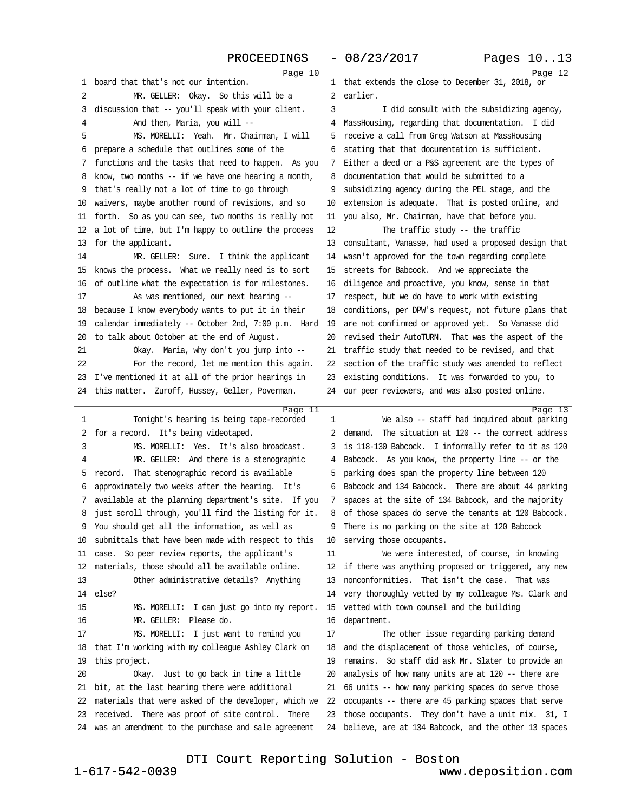<span id="page-3-0"></span>

|    | Page 10                                              |    | Page $12$                                                                                                |
|----|------------------------------------------------------|----|----------------------------------------------------------------------------------------------------------|
| 1  | board that that's not our intention.                 | 1  | that extends the close to December 31, 2018, or                                                          |
| 2  | MR. GELLER: Okay. So this will be a                  | 2  | earlier.                                                                                                 |
| 3  | discussion that -- you'll speak with your client.    | 3  | I did consult with the subsidizing agency,                                                               |
| 4  | And then, Maria, you will --                         | 4  | MassHousing, regarding that documentation. I did                                                         |
| 5  | MS. MORELLI: Yeah. Mr. Chairman, I will              | 5  | receive a call from Greg Watson at MassHousing                                                           |
| 6  | prepare a schedule that outlines some of the         | 6  | stating that that documentation is sufficient.                                                           |
| 7  | functions and the tasks that need to happen. As you  | 7  | Either a deed or a P&S agreement are the types of                                                        |
| 8  | know, two months $-$ if we have one hearing a month, | 8  | documentation that would be submitted to a                                                               |
| 9  | that's really not a lot of time to go through        | 9  | subsidizing agency during the PEL stage, and the                                                         |
| 10 | waivers, maybe another round of revisions, and so    | 10 | extension is adequate. That is posted online, and                                                        |
| 11 | forth. So as you can see, two months is really not   | 11 | you also, Mr. Chairman, have that before you.                                                            |
| 12 | a lot of time, but I'm happy to outline the process  | 12 | The traffic study -- the traffic                                                                         |
| 13 | for the applicant.                                   | 13 | consultant, Vanasse, had used a proposed design that                                                     |
| 14 | MR. GELLER: Sure. I think the applicant              | 14 | wasn't approved for the town regarding complete                                                          |
| 15 | knows the process. What we really need is to sort    | 15 | streets for Babcock. And we appreciate the                                                               |
| 16 | of outline what the expectation is for milestones.   | 16 | diligence and proactive, you know, sense in that                                                         |
| 17 | As was mentioned, our next hearing --                | 17 | respect, but we do have to work with existing                                                            |
| 18 | because I know everybody wants to put it in their    | 18 | conditions, per DPW's request, not future plans that                                                     |
| 19 | calendar immediately -- October 2nd, 7:00 p.m. Hard  | 19 | are not confirmed or approved yet. So Vanasse did                                                        |
| 20 | to talk about October at the end of August.          | 20 | revised their AutoTURN. That was the aspect of the                                                       |
| 21 | Okay. Maria, why don't you jump into --              | 21 | traffic study that needed to be revised, and that                                                        |
| 22 | For the record, let me mention this again.           | 22 | section of the traffic study was amended to reflect                                                      |
| 23 | I've mentioned it at all of the prior hearings in    | 23 | existing conditions. It was forwarded to you, to                                                         |
| 24 | this matter. Zuroff, Hussey, Geller, Poverman.       |    | 24 our peer reviewers, and was also posted online.                                                       |
|    |                                                      |    |                                                                                                          |
|    |                                                      |    |                                                                                                          |
| 1  | Page 11<br>Tonight's hearing is being tape-recorded  | 1  | Page 13<br>We also -- staff had inquired about parking                                                   |
| 2  | for a record. It's being videotaped.                 | 2  | demand. The situation at 120 -- the correct address                                                      |
| 3  | MS. MORELLI: Yes. It's also broadcast.               |    |                                                                                                          |
| 4  | MR. GELLER: And there is a stenographic              | 4  | is 118-130 Babcock. I informally refer to it as 120<br>Babcock. As you know, the property line -- or the |
| 5  | record. That stenographic record is available        | 5  | parking does span the property line between 120                                                          |
| 6  | approximately two weeks after the hearing. It's      | 6  | Babcock and 134 Babcock. There are about 44 parking                                                      |
| 7  | available at the planning department's site. If you  | 7  | spaces at the site of 134 Babcock, and the majority                                                      |
| 8  | just scroll through, you'll find the listing for it. | 8  | of those spaces do serve the tenants at 120 Babcock.                                                     |
| 9  | You should get all the information, as well as       | 9  | There is no parking on the site at 120 Babcock                                                           |
| 10 | submittals that have been made with respect to this  | 10 | serving those occupants.                                                                                 |
| 11 | case. So peer review reports, the applicant's        | 11 | We were interested, of course, in knowing                                                                |
| 12 | materials, those should all be available online.     | 12 | if there was anything proposed or triggered, any new                                                     |
| 13 | Other administrative details? Anything               | 13 | nonconformities. That isn't the case. That was                                                           |
| 14 | else?                                                | 14 | very thoroughly vetted by my colleague Ms. Clark and                                                     |
| 15 | MS. MORELLI: I can just go into my report.           | 15 | vetted with town counsel and the building                                                                |
| 16 | MR. GELLER: Please do.                               | 16 | department.                                                                                              |
| 17 | MS. MORELLI: I just want to remind you               | 17 | The other issue regarding parking demand                                                                 |
| 18 | that I'm working with my colleague Ashley Clark on   | 18 | and the displacement of those vehicles, of course,                                                       |
| 19 | this project.                                        | 19 | remains. So staff did ask Mr. Slater to provide an                                                       |
| 20 | Okay. Just to go back in time a little               | 20 | analysis of how many units are at 120 -- there are                                                       |
| 21 | bit, at the last hearing there were additional       | 21 | 66 units -- how many parking spaces do serve those                                                       |
| 22 | materials that were asked of the developer, which we | 22 | occupants -- there are 45 parking spaces that serve                                                      |
| 23 | received. There was proof of site control. There     | 23 | those occupants. They don't have a unit mix. 31, I                                                       |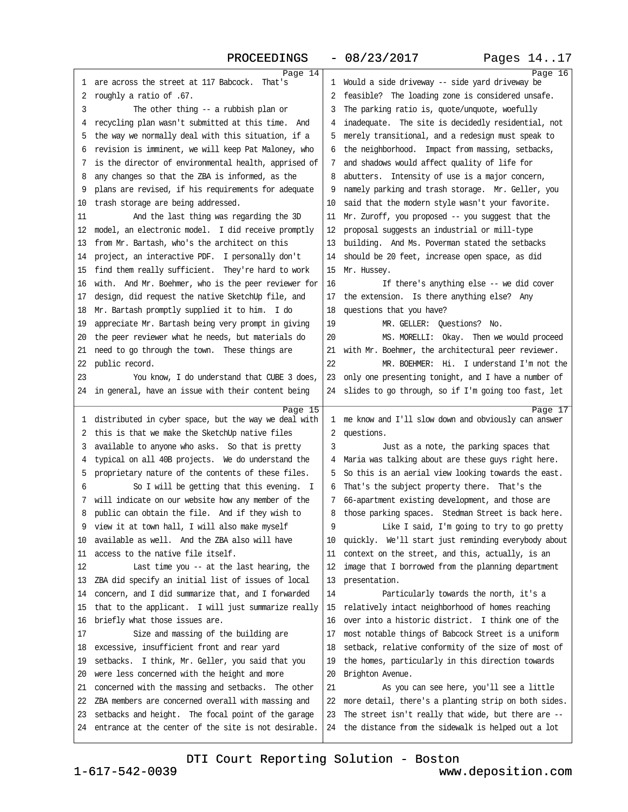<span id="page-4-0"></span>

|        | Page 14                                                                                         |        | Page 16                                                                                                |
|--------|-------------------------------------------------------------------------------------------------|--------|--------------------------------------------------------------------------------------------------------|
| 1      | are across the street at 117 Babcock.<br>That's                                                 | 1      | Would a side driveway -- side yard driveway be                                                         |
| 2      | roughly a ratio of .67.                                                                         | 2      | feasible? The loading zone is considered unsafe.                                                       |
| 3      | The other thing -- a rubbish plan or                                                            | 3      | The parking ratio is, quote/unquote, woefully                                                          |
| 4      | recycling plan wasn't submitted at this time. And                                               | 4      | inadequate. The site is decidedly residential, not                                                     |
| 5      | the way we normally deal with this situation, if a                                              | 5      | merely transitional, and a redesign must speak to                                                      |
| 6      | revision is imminent, we will keep Pat Maloney, who                                             | 6      | the neighborhood. Impact from massing, setbacks,                                                       |
| 7      | is the director of environmental health, apprised of                                            | 7      | and shadows would affect quality of life for                                                           |
| 8      | any changes so that the ZBA is informed, as the                                                 | 8      | abutters. Intensity of use is a major concern,                                                         |
| 9      | plans are revised, if his requirements for adequate                                             | 9      | namely parking and trash storage. Mr. Geller, you                                                      |
| 10     | trash storage are being addressed.                                                              | 10     | said that the modern style wasn't your favorite.                                                       |
| 11     | And the last thing was regarding the 3D                                                         | 11     | Mr. Zuroff, you proposed -- you suggest that the                                                       |
| 12     | model, an electronic model. I did receive promptly                                              | 12     | proposal suggests an industrial or mill-type                                                           |
| 13     | from Mr. Bartash, who's the architect on this                                                   | 13     | building. And Ms. Poverman stated the setbacks                                                         |
| 14     | project, an interactive PDF. I personally don't                                                 | 14     | should be 20 feet, increase open space, as did                                                         |
| 15     | find them really sufficient. They're hard to work                                               | 15     | Mr. Hussey.                                                                                            |
| 16     | with. And Mr. Boehmer, who is the peer reviewer for                                             | 16     | If there's anything else -- we did cover                                                               |
| 17     | design, did request the native SketchUp file, and                                               | 17     | the extension. Is there anything else? Any                                                             |
| 18     | Mr. Bartash promptly supplied it to him. I do                                                   | 18     | questions that you have?                                                                               |
| 19     | appreciate Mr. Bartash being very prompt in giving                                              | 19     | MR. GELLER: Questions? No.                                                                             |
| 20     | the peer reviewer what he needs, but materials do                                               | 20     | MS. MORELLI: Okay. Then we would proceed                                                               |
| 21     | need to go through the town. These things are                                                   | 21     | with Mr. Boehmer, the architectural peer reviewer.                                                     |
| 22     | public record.                                                                                  | 22     | MR. BOEHMER: Hi. I understand I'm not the                                                              |
| 23     | You know, I do understand that CUBE 3 does,                                                     | 23     | only one presenting tonight, and I have a number of                                                    |
| 24     | in general, have an issue with their content being                                              | 24     | slides to go through, so if I'm going too fast, let                                                    |
|        |                                                                                                 |        |                                                                                                        |
|        |                                                                                                 |        |                                                                                                        |
|        | Page 15                                                                                         |        | Page 17                                                                                                |
| 1      | distributed in cyber space, but the way we deal with                                            | 1      | me know and I'll slow down and obviously can answer                                                    |
| 2      | this is that we make the SketchUp native files                                                  | 2      | questions.                                                                                             |
| 3      | available to anyone who asks. So that is pretty                                                 | 3<br>4 | Just as a note, the parking spaces that                                                                |
| 4      | typical on all 40B projects. We do understand the                                               | 5      | Maria was talking about are these guys right here.                                                     |
| 5<br>6 | proprietary nature of the contents of these files.                                              | 6      | So this is an aerial view looking towards the east.                                                    |
| 7      | So I will be getting that this evening. I<br>will indicate on our website how any member of the | 7      | That's the subject property there. That's the                                                          |
| 8      | public can obtain the file. And if they wish to                                                 | 8      | 66-apartment existing development, and those are                                                       |
| 9      |                                                                                                 | 9      | those parking spaces. Stedman Street is back here.                                                     |
| 10     | view it at town hall, I will also make myself<br>available as well. And the ZBA also will have  | 10     | Like I said, I'm going to try to go pretty                                                             |
| 11     | access to the native file itself.                                                               | 11     | quickly. We'll start just reminding everybody about                                                    |
| 12     | Last time you -- at the last hearing, the                                                       | 12     | context on the street, and this, actually, is an<br>image that I borrowed from the planning department |
| 13     | ZBA did specify an initial list of issues of local                                              | 13     | presentation.                                                                                          |
| 14     | concern, and I did summarize that, and I forwarded                                              | 14     | Particularly towards the north, it's a                                                                 |
| 15     | that to the applicant. I will just summarize really                                             | 15     | relatively intact neighborhood of homes reaching                                                       |
| 16     | briefly what those issues are.                                                                  | 16     | over into a historic district. I think one of the                                                      |
| 17     | Size and massing of the building are                                                            | 17     | most notable things of Babcock Street is a uniform                                                     |
| 18     | excessive, insufficient front and rear yard                                                     | 18     | setback, relative conformity of the size of most of                                                    |
| 19     | setbacks. I think, Mr. Geller, you said that you                                                | 19     | the homes, particularly in this direction towards                                                      |
| 20     | were less concerned with the height and more                                                    | 20     | Brighton Avenue.                                                                                       |
| 21     | concerned with the massing and setbacks. The other                                              | 21     | As you can see here, you'll see a little                                                               |
| 22     | ZBA members are concerned overall with massing and                                              | 22     | more detail, there's a planting strip on both sides.                                                   |
| 23     | setbacks and height. The focal point of the garage                                              | 23     | The street isn't really that wide, but there are --                                                    |
| 24     | entrance at the center of the site is not desirable.                                            | 24     | the distance from the sidewalk is helped out a lot                                                     |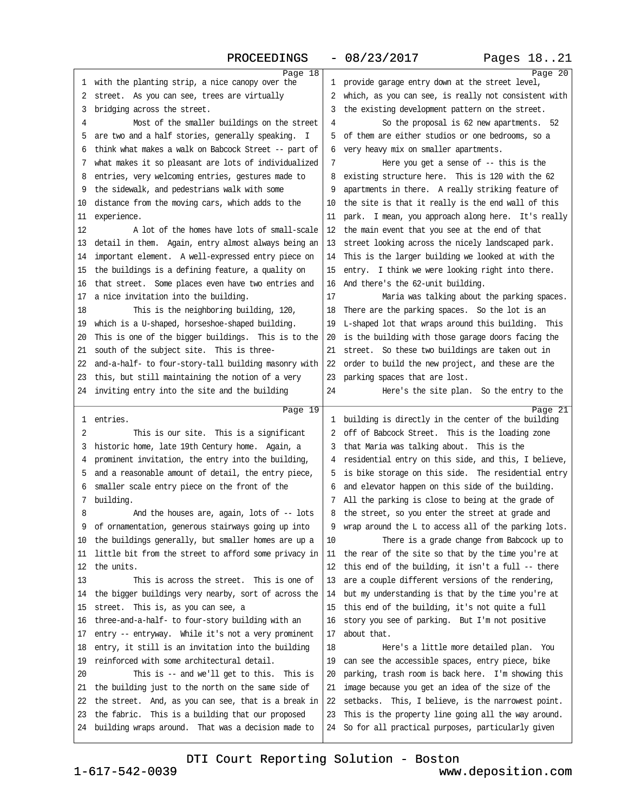<span id="page-5-0"></span>

|    |                                                            |              | Page 20                                                                                                  |
|----|------------------------------------------------------------|--------------|----------------------------------------------------------------------------------------------------------|
| 1  | Page 18<br>with the planting strip, a nice canopy over the | $\mathbf{1}$ | provide garage entry down at the street level,                                                           |
| 2  | street. As you can see, trees are virtually                | 2            | which, as you can see, is really not consistent with                                                     |
| 3  | bridging across the street.                                | 3            | the existing development pattern on the street.                                                          |
| 4  | Most of the smaller buildings on the street                | 4            | So the proposal is 62 new apartments. 52                                                                 |
| 5  | are two and a half stories, generally speaking. I          | 5            | of them are either studios or one bedrooms, so a                                                         |
| 6  | think what makes a walk on Babcock Street -- part of       | 6            | very heavy mix on smaller apartments.                                                                    |
| 7  | what makes it so pleasant are lots of individualized       | 7            | Here you get a sense of $-$ - this is the                                                                |
| 8  | entries, very welcoming entries, gestures made to          | 8            | existing structure here. This is 120 with the 62                                                         |
| 9  | the sidewalk, and pedestrians walk with some               | 9            | apartments in there. A really striking feature of                                                        |
| 10 | distance from the moving cars, which adds to the           | 10           | the site is that it really is the end wall of this                                                       |
| 11 | experience.                                                | 11           | park. I mean, you approach along here. It's really                                                       |
| 12 | A lot of the homes have lots of small-scale                | 12           | the main event that you see at the end of that                                                           |
| 13 | detail in them. Again, entry almost always being an        | 13           | street looking across the nicely landscaped park.                                                        |
| 14 | important element. A well-expressed entry piece on         | 14           | This is the larger building we looked at with the                                                        |
| 15 | the buildings is a defining feature, a quality on          | 15           | entry. I think we were looking right into there.                                                         |
| 16 | that street. Some places even have two entries and         | 16           | And there's the 62-unit building.                                                                        |
| 17 | a nice invitation into the building.                       | 17           | Maria was talking about the parking spaces.                                                              |
| 18 | This is the neighboring building, 120,                     | 18           | There are the parking spaces. So the lot is an                                                           |
| 19 | which is a U-shaped, horseshoe-shaped building.            | 19           | L-shaped lot that wraps around this building. This                                                       |
| 20 | This is one of the bigger buildings. This is to the        | 20           | is the building with those garage doors facing the                                                       |
| 21 | south of the subject site. This is three-                  | 21           | street. So these two buildings are taken out in                                                          |
| 22 | and-a-half- to four-story-tall building masonry with       | 22           | order to build the new project, and these are the                                                        |
| 23 | this, but still maintaining the notion of a very           | 23           | parking spaces that are lost.                                                                            |
| 24 | inviting entry into the site and the building              | 24           | Here's the site plan. So the entry to the                                                                |
|    |                                                            |              |                                                                                                          |
|    |                                                            |              |                                                                                                          |
| 1  | Page 19<br>entries.                                        |              | Page 21<br>1 building is directly in the center of the building                                          |
| 2  | This is our site. This is a significant                    | 2            | off of Babcock Street. This is the loading zone                                                          |
| 3  | historic home, late 19th Century home. Again, a            | 3            | that Maria was talking about. This is the                                                                |
| 4  | prominent invitation, the entry into the building,         |              | residential entry on this side, and this, I believe,                                                     |
| 5  | and a reasonable amount of detail, the entry piece,        | 5            | is bike storage on this side. The residential entry                                                      |
| 6  | smaller scale entry piece on the front of the              | 6            | and elevator happen on this side of the building.                                                        |
| 7  | building.                                                  | 7            | All the parking is close to being at the grade of                                                        |
| 8  | And the houses are, again, lots of -- lots                 | 8            | the street, so you enter the street at grade and                                                         |
| 9  | of ornamentation, generous stairways going up into         |              | wrap around the L to access all of the parking lots.                                                     |
| 10 | the buildings generally, but smaller homes are up a        | 10           | There is a grade change from Babcock up to                                                               |
| 11 | little bit from the street to afford some privacy in       | 11           | the rear of the site so that by the time you're at                                                       |
| 12 | the units.                                                 | 12           | this end of the building, it isn't a full -- there                                                       |
| 13 | This is across the street. This is one of                  | 13           | are a couple different versions of the rendering,                                                        |
| 14 | the bigger buildings very nearby, sort of across the       | 14           | but my understanding is that by the time you're at                                                       |
| 15 | street. This is, as you can see, a                         | 15           | this end of the building, it's not quite a full                                                          |
| 16 | three-and-a-half- to four-story building with an           | 16           | story you see of parking. But I'm not positive                                                           |
| 17 | entry -- entryway. While it's not a very prominent         | 17           | about that.                                                                                              |
| 18 | entry, it still is an invitation into the building         | 18           | Here's a little more detailed plan. You                                                                  |
| 19 | reinforced with some architectural detail.                 | 19           | can see the accessible spaces, entry piece, bike                                                         |
| 20 | This is -- and we'll get to this. This is                  | 20           | parking, trash room is back here. I'm showing this                                                       |
| 21 | the building just to the north on the same side of         | 21           | image because you get an idea of the size of the                                                         |
| 22 | the street. And, as you can see, that is a break in        | 22           | setbacks. This, I believe, is the narrowest point.                                                       |
| 23 | the fabric. This is a building that our proposed           | 23           | This is the property line going all the way around.<br>So for all practical purposes, particularly given |

1-617-542-0039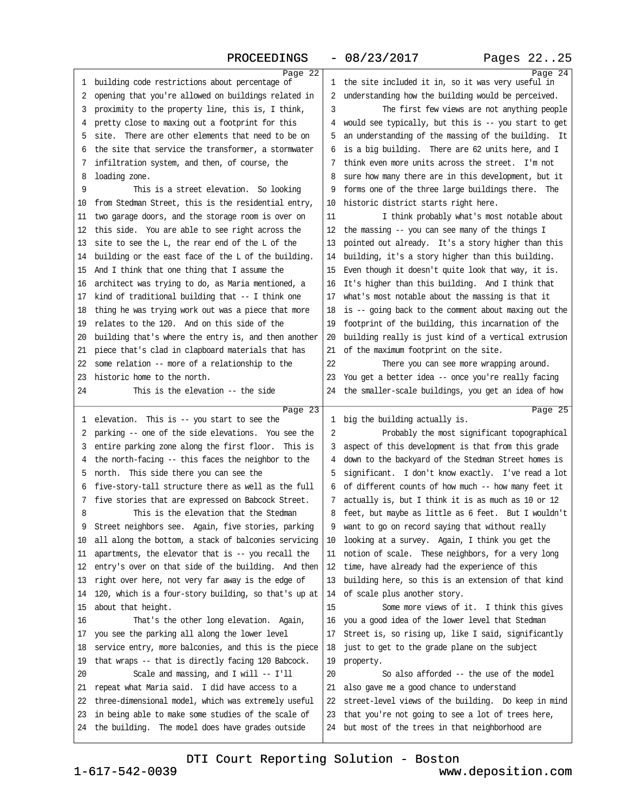<span id="page-6-0"></span>

|    | Page 22                                                 |              | Page 24                                                                                            |
|----|---------------------------------------------------------|--------------|----------------------------------------------------------------------------------------------------|
| 1  | building code restrictions about percentage of          | $\mathbf{1}$ | the site included it in, so it was very useful in                                                  |
| 2  | opening that you're allowed on buildings related in     | 2            | understanding how the building would be perceived.                                                 |
| 3  | proximity to the property line, this is, I think,       | 3            | The first few views are not anything people                                                        |
| 4  | pretty close to maxing out a footprint for this         | 4            | would see typically, but this is -- you start to get                                               |
| 5  | site. There are other elements that need to be on       | 5            | an understanding of the massing of the building. It                                                |
| 6  | the site that service the transformer, a stormwater     | 6            | is a big building. There are 62 units here, and I                                                  |
| 7  | infiltration system, and then, of course, the           | 7            | think even more units across the street. I'm not                                                   |
| 8  | loading zone.                                           | 8            | sure how many there are in this development, but it                                                |
| 9  | This is a street elevation. So looking                  | 9            | forms one of the three large buildings there. The                                                  |
| 10 | from Stedman Street, this is the residential entry,     | 10           | historic district starts right here.                                                               |
| 11 | two garage doors, and the storage room is over on       | 11           | I think probably what's most notable about                                                         |
| 12 | this side. You are able to see right across the         | 12           | the massing -- you can see many of the things I                                                    |
| 13 | site to see the L, the rear end of the L of the         | 13           | pointed out already. It's a story higher than this                                                 |
| 14 | building or the east face of the L of the building.     | 14           | building, it's a story higher than this building.                                                  |
| 15 | And I think that one thing that I assume the            | 15           | Even though it doesn't quite look that way, it is.                                                 |
| 16 | architect was trying to do, as Maria mentioned, a       | 16           | It's higher than this building. And I think that                                                   |
| 17 | kind of traditional building that -- I think one        | 17           | what's most notable about the massing is that it                                                   |
| 18 | thing he was trying work out was a piece that more      | 18           | is -- going back to the comment about maxing out the                                               |
| 19 | relates to the 120. And on this side of the             | 19           | footprint of the building, this incarnation of the                                                 |
| 20 | building that's where the entry is, and then another    | 20           | building really is just kind of a vertical extrusion                                               |
| 21 | piece that's clad in clapboard materials that has       | 21           | of the maximum footprint on the site.                                                              |
| 22 | some relation -- more of a relationship to the          | 22           | There you can see more wrapping around.                                                            |
| 23 | historic home to the north.                             | 23           | You get a better idea -- once you're really facing                                                 |
| 24 | This is the elevation -- the side                       |              | 24 the smaller-scale buildings, you get an idea of how                                             |
|    |                                                         |              |                                                                                                    |
|    |                                                         |              |                                                                                                    |
| 1  | Page $23$<br>elevation. This is -- you start to see the |              | Page 25<br>1 big the building actually is.                                                         |
| 2  | parking -- one of the side elevations. You see the      | 2            | Probably the most significant topographical                                                        |
| 3  | entire parking zone along the first floor. This is      | 3            | aspect of this development is that from this grade                                                 |
| 4  | the north-facing -- this faces the neighbor to the      | 4            | down to the backyard of the Stedman Street homes is                                                |
| 5  | north. This side there you can see the                  | 5            | significant. I don't know exactly. I've read a lot                                                 |
| 6  | five-story-tall structure there as well as the full     | 6            | of different counts of how much -- how many feet it                                                |
| 7  | five stories that are expressed on Babcock Street.      | 7            | actually is, but I think it is as much as 10 or 12                                                 |
| 8  | This is the elevation that the Stedman                  | 8            | feet, but maybe as little as 6 feet. But I wouldn't                                                |
|    | Street neighbors see. Again, five stories, parking      | 9            |                                                                                                    |
| 10 | all along the bottom, a stack of balconies servicing    | 10           | want to go on record saying that without really<br>looking at a survey. Again, I think you get the |
| 11 | apartments, the elevator that is -- you recall the      | 11           | notion of scale. These neighbors, for a very long                                                  |
| 12 | entry's over on that side of the building. And then     | 12           | time, have already had the experience of this                                                      |
| 13 | right over here, not very far away is the edge of       | 13           | building here, so this is an extension of that kind                                                |
| 14 | 120, which is a four-story building, so that's up at    | 14           | of scale plus another story.                                                                       |
| 15 | about that height.                                      | 15           | Some more views of it. I think this gives                                                          |
| 16 | That's the other long elevation. Again,                 | 16           | you a good idea of the lower level that Stedman                                                    |
| 17 | you see the parking all along the lower level           | 17           | Street is, so rising up, like I said, significantly                                                |
| 18 | service entry, more balconies, and this is the piece    | 18           | just to get to the grade plane on the subject                                                      |
| 19 | that wraps -- that is directly facing 120 Babcock.      | 19           | property.                                                                                          |
| 20 | Scale and massing, and I will -- I'll                   | 20           | So also afforded -- the use of the model                                                           |
| 21 | repeat what Maria said. I did have access to a          | 21           | also gave me a good chance to understand                                                           |
| 22 | three-dimensional model, which was extremely useful     | 22           | street-level views of the building. Do keep in mind                                                |
| 23 | in being able to make some studies of the scale of      | 23           | that you're not going to see a lot of trees here,                                                  |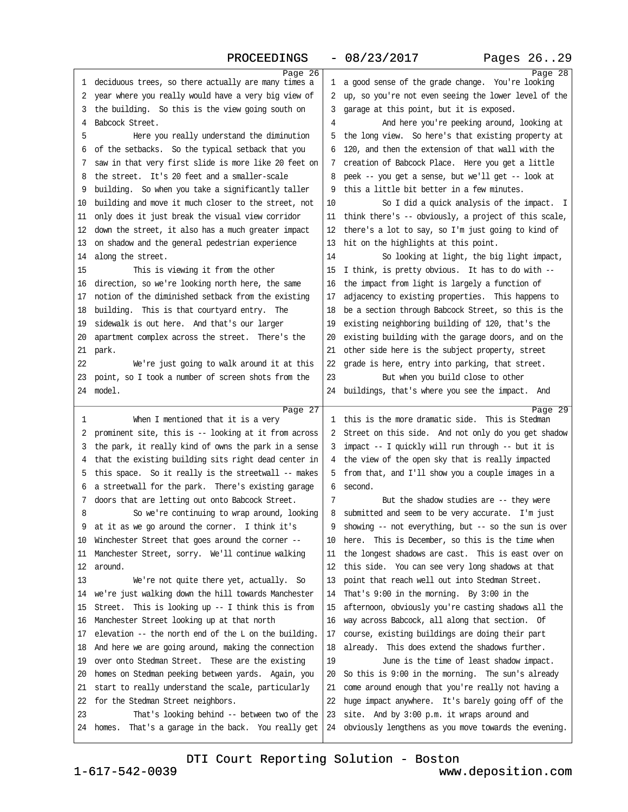<span id="page-7-0"></span>

|          | Page 26                                                                                              |          | Page $28$                                                                                          |
|----------|------------------------------------------------------------------------------------------------------|----------|----------------------------------------------------------------------------------------------------|
| 1        | deciduous trees, so there actually are many times a                                                  | ı        | a good sense of the grade change. You're looking                                                   |
| 2        | year where you really would have a very big view of                                                  | 2        | up, so you're not even seeing the lower level of the                                               |
| 3        | the building. So this is the view going south on                                                     | 3        | garage at this point, but it is exposed.                                                           |
| 4        | Babcock Street.                                                                                      | 4        | And here you're peeking around, looking at                                                         |
| 5        | Here you really understand the diminution                                                            | 5        | the long view. So here's that existing property at                                                 |
| 6        | of the setbacks. So the typical setback that you                                                     | 6        | 120, and then the extension of that wall with the                                                  |
| 7        | saw in that very first slide is more like 20 feet on                                                 | 7        | creation of Babcock Place. Here you get a little                                                   |
| 8        | the street. It's 20 feet and a smaller-scale                                                         | 8        | peek -- you get a sense, but we'll get -- look at                                                  |
| 9        | building. So when you take a significantly taller                                                    | 9        | this a little bit better in a few minutes.                                                         |
| 10       | building and move it much closer to the street, not                                                  | 10       | So I did a quick analysis of the impact. I                                                         |
| 11       | only does it just break the visual view corridor                                                     | 11       | think there's -- obviously, a project of this scale,                                               |
| 12       | down the street, it also has a much greater impact                                                   | 12       | there's a lot to say, so I'm just going to kind of                                                 |
| 13       | on shadow and the general pedestrian experience                                                      | 13       | hit on the highlights at this point.                                                               |
| 14       | along the street.                                                                                    | 14       | So looking at light, the big light impact,                                                         |
| 15       | This is viewing it from the other                                                                    | 15       | I think, is pretty obvious. It has to do with --                                                   |
| 16       | direction, so we're looking north here, the same                                                     | 16       | the impact from light is largely a function of                                                     |
| 17       | notion of the diminished setback from the existing                                                   | 17       | adjacency to existing properties. This happens to                                                  |
| 18       | building. This is that courtyard entry. The                                                          | 18       | be a section through Babcock Street, so this is the                                                |
| 19       | sidewalk is out here. And that's our larger                                                          | 19       | existing neighboring building of 120, that's the                                                   |
| 20       | apartment complex across the street. There's the                                                     | 20       | existing building with the garage doors, and on the                                                |
| 21       | park.                                                                                                | 21       | other side here is the subject property, street                                                    |
| 22       | We're just going to walk around it at this                                                           | 22       |                                                                                                    |
|          |                                                                                                      |          | grade is here, entry into parking, that street.                                                    |
| 23       | point, so I took a number of screen shots from the                                                   | 23       | But when you build close to other                                                                  |
| 24       | model.                                                                                               | 24       | buildings, that's where you see the impact. And                                                    |
|          |                                                                                                      |          |                                                                                                    |
|          | Page 27                                                                                              |          | Page 29                                                                                            |
| 1        | When I mentioned that it is a very                                                                   |          | 1 this is the more dramatic side. This is Stedman                                                  |
| 2        | prominent site, this is -- looking at it from across                                                 | 2        | Street on this side. And not only do you get shadow                                                |
| 3        | the park, it really kind of owns the park in a sense                                                 | 3        | impact -- I quickly will run through -- but it is                                                  |
| 4        | that the existing building sits right dead center in                                                 | 4        | the view of the open sky that is really impacted                                                   |
| 5        | this space. So it really is the streetwall -- makes                                                  | 5.       | from that, and I'll show you a couple images in a                                                  |
| 6        | a streetwall for the park. There's existing garage                                                   | 6        | second.                                                                                            |
| 7        | doors that are letting out onto Babcock Street.                                                      | 7        | But the shadow studies are $-$ - they were                                                         |
| 8        | So we're continuing to wrap around, looking                                                          | 8        | submitted and seem to be very accurate. I'm just                                                   |
|          | at it as we go around the corner. I think it's                                                       | 9        | showing $--$ not everything, but $--$ so the sun is over                                           |
| 10       | Winchester Street that goes around the corner --                                                     | 10       | here. This is December, so this is the time when                                                   |
| 11       | Manchester Street, sorry. We'll continue walking                                                     | 11       | the longest shadows are cast. This is east over on                                                 |
| 12       | around.                                                                                              | 12       | this side. You can see very long shadows at that                                                   |
| 13       | We're not quite there yet, actually. So                                                              | 13       | point that reach well out into Stedman Street.                                                     |
| 14       | we're just walking down the hill towards Manchester                                                  | 14       | That's $9:00$ in the morning. By $3:00$ in the                                                     |
| 15       | Street. This is looking up -- I think this is from                                                   | 15       | afternoon, obviously you're casting shadows all the                                                |
| 16       | Manchester Street looking up at that north                                                           | 16       | way across Babcock, all along that section. Of                                                     |
| 17       | elevation $-$ the north end of the L on the building.                                                | 17       | course, existing buildings are doing their part                                                    |
| 18       | And here we are going around, making the connection                                                  | 18       | already. This does extend the shadows further.                                                     |
|          |                                                                                                      |          |                                                                                                    |
| 19       | over onto Stedman Street. These are the existing                                                     | 19       | June is the time of least shadow impact.                                                           |
| 20       | homes on Stedman peeking between yards. Again, you                                                   | 20       | So this is 9:00 in the morning. The sun's already                                                  |
| 21       | start to really understand the scale, particularly                                                   | 21       | come around enough that you're really not having a                                                 |
| 22       | for the Stedman Street neighbors.                                                                    | 22       | huge impact anywhere. It's barely going off of the                                                 |
| 23<br>24 | That's looking behind -- between two of the<br>That's a garage in the back. You really get<br>homes. | 23<br>24 | site. And by 3:00 p.m. it wraps around and<br>obviously lengthens as you move towards the evening. |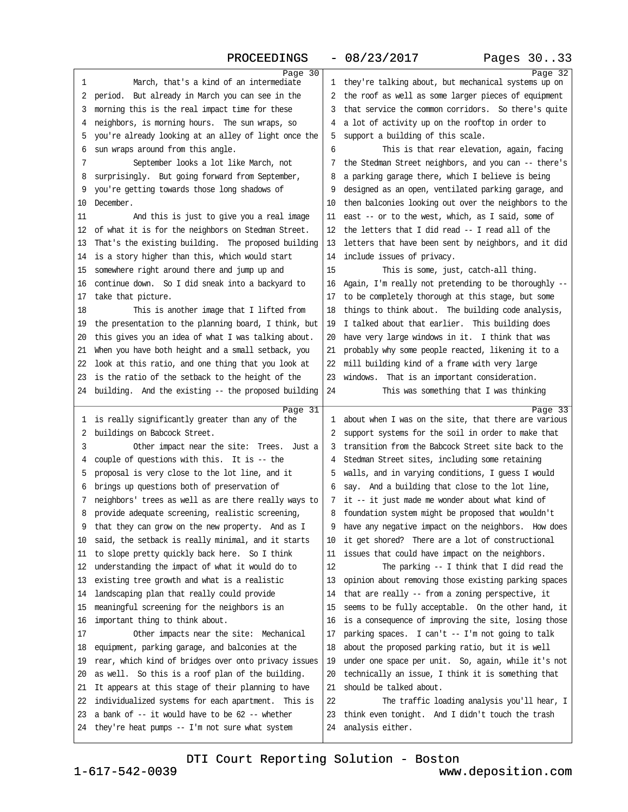## PROCEEDINGS - 08/23/2017 Pages 30..33

<span id="page-8-0"></span>

|    | Page 30                                                    |              | Page 32                                                         |
|----|------------------------------------------------------------|--------------|-----------------------------------------------------------------|
| 1  | March, that's a kind of an intermediate                    | $\mathbf{1}$ | they're talking about, but mechanical systems up on             |
| 2  | period. But already in March you can see in the            | 2            | the roof as well as some larger pieces of equipment             |
| 3  | morning this is the real impact time for these             | 3            | that service the common corridors. So there's quite             |
| 4  | neighbors, is morning hours. The sun wraps, so             |              | a lot of activity up on the rooftop in order to                 |
| 5  | you're already looking at an alley of light once the       | 5            | support a building of this scale.                               |
| 6  | sun wraps around from this angle.                          | 6            | This is that rear elevation, again, facing                      |
| 7  | September looks a lot like March, not                      | 7            | the Stedman Street neighbors, and you can -- there's            |
| 8  | surprisingly. But going forward from September,            | 8            | a parking garage there, which I believe is being                |
| 9  | you're getting towards those long shadows of               | 9            | designed as an open, ventilated parking garage, and             |
| 10 | December.                                                  | 10           | then balconies looking out over the neighbors to the            |
| 11 | And this is just to give you a real image                  | 11           | east -- or to the west, which, as I said, some of               |
| 12 | of what it is for the neighbors on Stedman Street.         | 12           | the letters that I did read -- I read all of the                |
| 13 | That's the existing building. The proposed building        | 13           | letters that have been sent by neighbors, and it did            |
| 14 | is a story higher than this, which would start             | 14           | include issues of privacy.                                      |
| 15 | somewhere right around there and jump up and               | 15           | This is some, just, catch-all thing.                            |
| 16 | continue down. So I did sneak into a backyard to           | 16           | Again, I'm really not pretending to be thoroughly --            |
| 17 | take that picture.                                         | 17           | to be completely thorough at this stage, but some               |
| 18 | This is another image that I lifted from                   | 18           | things to think about. The building code analysis,              |
| 19 | the presentation to the planning board, I think, but       | 19           | I talked about that earlier. This building does                 |
| 20 | this gives you an idea of what I was talking about.        | 20           | have very large windows in it. I think that was                 |
| 21 | When you have both height and a small setback, you         | 21           | probably why some people reacted, likening it to a              |
| 22 | look at this ratio, and one thing that you look at         | 22           | mill building kind of a frame with very large                   |
| 23 | is the ratio of the setback to the height of the           | 23           | windows. That is an important consideration.                    |
|    | 24 building. And the existing -- the proposed building     | 24           | This was something that I was thinking                          |
|    |                                                            |              |                                                                 |
|    |                                                            |              |                                                                 |
| 1  | Page 31<br>is really significantly greater than any of the | 1.           | Page 33<br>about when I was on the site, that there are various |
| 2  | buildings on Babcock Street.                               | 2            | support systems for the soil in order to make that              |
| 3  | Other impact near the site: Trees. Just a                  | 3            | transition from the Babcock Street site back to the             |
| 4  | couple of questions with this. It is $-$ the               | 4            | Stedman Street sites, including some retaining                  |
| 5  | proposal is very close to the lot line, and it             | ל            | walls, and in varying conditions, I guess I would               |
| 6  | brings up questions both of preservation of                | 6            | say. And a building that close to the lot line,                 |
| 7  | neighbors' trees as well as are there really ways to       | 7            | it -- it just made me wonder about what kind of                 |
| 8  | provide adequate screening, realistic screening,           | 8            | foundation system might be proposed that wouldn't               |
| 9  | that they can grow on the new property. And as I           | 9            | have any negative impact on the neighbors. How does             |
| 10 | said, the setback is really minimal, and it starts         | 10           | it get shored? There are a lot of constructional                |
| 11 | to slope pretty quickly back here. So I think              | 11           | issues that could have impact on the neighbors.                 |
| 12 | understanding the impact of what it would do to            | 12           | The parking $-$ I think that I did read the                     |
| 13 | existing tree growth and what is a realistic               | 13           | opinion about removing those existing parking spaces            |
| 14 | landscaping plan that really could provide                 | 14           | that are really -- from a zoning perspective, it                |
| 15 | meaningful screening for the neighbors is an               | 15           | seems to be fully acceptable. On the other hand, it             |
| 16 | important thing to think about.                            | 16           | is a consequence of improving the site, losing those            |
| 17 | Other impacts near the site: Mechanical                    | 17           | parking spaces. I can't -- I'm not going to talk                |
| 18 | equipment, parking garage, and balconies at the            | 18           | about the proposed parking ratio, but it is well                |
| 19 | rear, which kind of bridges over onto privacy issues       | 19           | under one space per unit. So, again, while it's not             |
| 20 | as well. So this is a roof plan of the building.           | 20           | technically an issue, I think it is something that              |
| 21 | It appears at this stage of their planning to have         | 21           | should be talked about.                                         |
| 22 | individualized systems for each apartment. This is         | 22           | The traffic loading analysis you'll hear, I                     |
| 23 | a bank of $-$ it would have to be 62 $-$ - whether         | 23           | think even tonight. And I didn't touch the trash                |
|    | 24 they're heat pumps -- I'm not sure what system          | 24           | analysis either.                                                |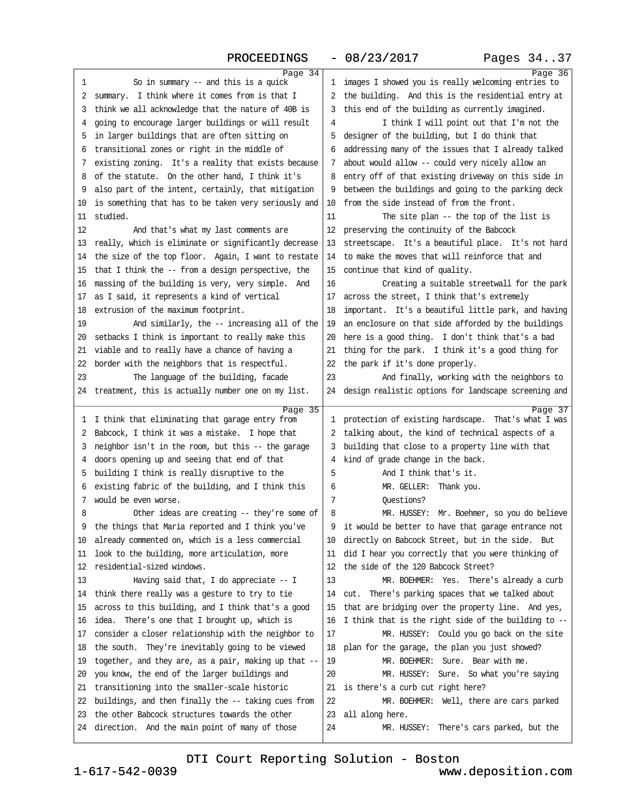<span id="page-9-0"></span>

| 1  | Page 34<br>So in summary $-$ and this is a quick           | 1.           | Page $36$<br>images I showed you is really welcoming entries to |
|----|------------------------------------------------------------|--------------|-----------------------------------------------------------------|
| 2  | summary. I think where it comes from is that I             | 2            | the building. And this is the residential entry at              |
| 3  | think we all acknowledge that the nature of 40B is         | 3            | this end of the building as currently imagined.                 |
| 4  | going to encourage larger buildings or will result         | 4            | I think I will point out that I'm not the                       |
| 5  | in larger buildings that are often sitting on              | 5            | designer of the building, but I do think that                   |
| 6  | transitional zones or right in the middle of               | 6            | addressing many of the issues that I already talked             |
| 7  | existing zoning. It's a reality that exists because        | 7            | about would allow -- could very nicely allow an                 |
| 8  | of the statute. On the other hand, I think it's            | 8            | entry off of that existing driveway on this side in             |
| 9  | also part of the intent, certainly, that mitigation        | 9            | between the buildings and going to the parking deck             |
| 10 | is something that has to be taken very seriously and       | 10           | from the side instead of from the front.                        |
| 11 | studied.                                                   | 11           | The site plan -- the top of the list is                         |
| 12 | And that's what my last comments are                       | 12           | preserving the continuity of the Babcock                        |
| 13 | really, which is eliminate or significantly decrease       | 13           | streetscape. It's a beautiful place. It's not hard              |
| 14 | the size of the top floor. Again, I want to restate        | 14           | to make the moves that will reinforce that and                  |
| 15 | that I think the -- from a design perspective, the         | 15           | continue that kind of quality.                                  |
| 16 | massing of the building is very, very simple. And          | 16           | Creating a suitable streetwall for the park                     |
| 17 | as I said, it represents a kind of vertical                | 17           | across the street, I think that's extremely                     |
| 18 | extrusion of the maximum footprint.                        | 18           | important. It's a beautiful little park, and having             |
| 19 | And similarly, the -- increasing all of the                | 19           | an enclosure on that side afforded by the buildings             |
| 20 | setbacks I think is important to really make this          | 20           | here is a good thing. I don't think that's a bad                |
| 21 | viable and to really have a chance of having a             | 21           | thing for the park. I think it's a good thing for               |
| 22 | border with the neighbors that is respectful.              | 22           | the park if it's done properly.                                 |
| 23 | The language of the building, facade                       | 23           | And finally, working with the neighbors to                      |
|    | 24 treatment, this is actually number one on my list.      |              | 24 design realistic options for landscape screening and         |
|    |                                                            |              |                                                                 |
|    |                                                            |              |                                                                 |
| 1  | Page 35<br>I think that eliminating that garage entry from | $\mathbf{1}$ | Page 37<br>protection of existing hardscape. That's what I was  |
| 2  | Babcock, I think it was a mistake. I hope that             | 2            | talking about, the kind of technical aspects of a               |
| 3  | neighbor isn't in the room, but this -- the garage         | 3            | building that close to a property line with that                |
| 4  | doors opening up and seeing that end of that               | 4            | kind of grade change in the back.                               |
| 5  | building I think is really disruptive to the               | 5            | And I think that's it.                                          |
| 6  | existing fabric of the building, and I think this          | 6            | MR. GELLER:<br>Thank you.                                       |
| 7  | would be even worse.                                       | 7            | Ouestions?                                                      |
| 8  | Other ideas are creating -- they're some of                | 8            | MR. HUSSEY: Mr. Boehmer, so you do believe                      |
|    | the things that Maria reported and I think you've          |              | 9 it would be better to have that garage entrance not           |
| 10 | already commented on, which is a less commercial           | 10           | directly on Babcock Street, but in the side. But                |
| 11 | look to the building, more articulation, more              | 11           | did I hear you correctly that you were thinking of              |
| 12 | residential-sized windows.                                 | 12           | the side of the 120 Babcock Street?                             |
| 13 | Having said that, I do appreciate -- I                     | 13           | MR. BOEHMER: Yes. There's already a curb                        |
| 14 | think there really was a gesture to try to tie             | 14           | cut. There's parking spaces that we talked about                |
| 15 | across to this building, and I think that's a good         | 15           | that are bridging over the property line. And yes,              |
| 16 | There's one that I brought up, which is<br>idea.           | 16           | I think that is the right side of the building to --            |
| 17 | consider a closer relationship with the neighbor to        | 17           | MR. HUSSEY: Could you go back on the site                       |
| 18 | the south. They're inevitably going to be viewed           | 18           | plan for the garage, the plan you just showed?                  |
| 19 | together, and they are, as a pair, making up that --       | 19           | MR. BOEHMER: Sure. Bear with me.                                |
| 20 | you know, the end of the larger buildings and              | 20           | MR. HUSSEY: Sure. So what you're saying                         |
| 21 | transitioning into the smaller-scale historic              | 21           | is there's a curb cut right here?                               |
| 22 | buildings, and then finally the -- taking cues from        | 22           | MR. BOEHMER: Well, there are cars parked                        |
| 23 | the other Babcock structures towards the other             | 23           | all along here.                                                 |

[DTI Court Reporting Solution - Boston](http://www.deposition.com)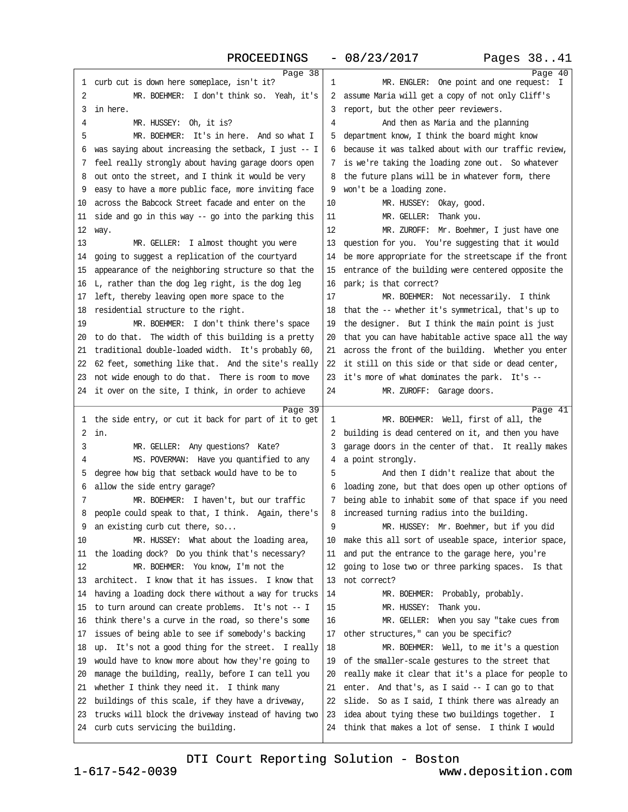PROCEEDINGS - 08/23/2017 Pages 38..41

<span id="page-10-0"></span>

|    | Page $38$                                            |    | Page 40                                              |
|----|------------------------------------------------------|----|------------------------------------------------------|
| 1  | curb cut is down here someplace, isn't it?           | 1  | MR. ENGLER: One point and one request: I             |
| 2  | MR. BOEHMER: I don't think so. Yeah, it's            | 2  | assume Maria will get a copy of not only Cliff's     |
| 3  | in here.                                             | 3  | report, but the other peer reviewers.                |
| 4  | MR. HUSSEY: Oh, it is?                               | 4  | And then as Maria and the planning                   |
| 5  | MR. BOEHMER: It's in here. And so what I             | 5  | department know, I think the board might know        |
| 6  | was saying about increasing the setback, I just -- I | 6  | because it was talked about with our traffic review, |
| 7  | feel really strongly about having garage doors open  | 7  | is we're taking the loading zone out. So whatever    |
| 8  | out onto the street, and I think it would be very    | 8  | the future plans will be in whatever form, there     |
| 9  | easy to have a more public face, more inviting face  | 9  | won't be a loading zone.                             |
| 10 | across the Babcock Street facade and enter on the    | 10 | MR. HUSSEY: Okay, good.                              |
| 11 | side and go in this way -- go into the parking this  | 11 | MR. GELLER:<br>Thank you.                            |
| 12 | way.                                                 | 12 | MR. ZUROFF: Mr. Boehmer, I just have one             |
| 13 | MR. GELLER: I almost thought you were                | 13 | question for you. You're suggesting that it would    |
|    |                                                      |    |                                                      |
| 14 | going to suggest a replication of the courtyard      | 14 | be more appropriate for the streetscape if the front |
| 15 | appearance of the neighboring structure so that the  | 15 | entrance of the building were centered opposite the  |
| 16 | L, rather than the dog leg right, is the dog leg     | 16 | park; is that correct?                               |
| 17 | left, thereby leaving open more space to the         | 17 | MR. BOEHMER: Not necessarily. I think                |
| 18 | residential structure to the right.                  | 18 | that the -- whether it's symmetrical, that's up to   |
| 19 | MR. BOEHMER: I don't think there's space             | 19 | the designer. But I think the main point is just     |
| 20 | to do that. The width of this building is a pretty   | 20 | that you can have habitable active space all the way |
| 21 | traditional double-loaded width. It's probably 60,   | 21 | across the front of the building. Whether you enter  |
| 22 | 62 feet, something like that. And the site's really  | 22 | it still on this side or that side or dead center,   |
| 23 | not wide enough to do that. There is room to move    | 23 | it's more of what dominates the park. It's --        |
| 24 | it over on the site, I think, in order to achieve    | 24 | MR. ZUROFF: Garage doors.                            |
|    |                                                      |    |                                                      |
|    |                                                      |    |                                                      |
|    | Page 39                                              | 1  | Page 41                                              |
| 1  | the side entry, or cut it back for part of it to get |    | MR. BOEHMER: Well, first of all, the                 |
| 2  | in.                                                  |    | 2 building is dead centered on it, and then you have |
| 3  | MR. GELLER: Any questions? Kate?                     | 3  | garage doors in the center of that. It really makes  |
| 4  | MS. POVERMAN: Have you quantified to any             | 4  | a point strongly.                                    |
| 5  | degree how big that setback would have to be to      | 5  | And then I didn't realize that about the             |
| 6  | allow the side entry garage?                         | 6  | loading zone, but that does open up other options of |
| 7  | MR. BOEHMER: I haven't, but our traffic              |    | being able to inhabit some of that space if you need |
| 8  | people could speak to that, I think. Again, there's  | 8  | increased turning radius into the building.          |
| 9  | an existing curb cut there, so                       | 9  | MR. HUSSEY: Mr. Boehmer, but if you did              |
| 10 | MR. HUSSEY: What about the loading area,             | 10 | make this all sort of useable space, interior space, |
| 11 | the loading dock? Do you think that's necessary?     | 11 | and put the entrance to the garage here, you're      |
| 12 | MR. BOEHMER: You know, I'm not the                   | 12 | going to lose two or three parking spaces. Is that   |
| 13 | architect. I know that it has issues. I know that    | 13 | not correct?                                         |
| 14 | having a loading dock there without a way for trucks | 14 | MR. BOEHMER: Probably, probably.                     |
| 15 | to turn around can create problems. It's not -- I    | 15 | MR. HUSSEY: Thank you.                               |
| 16 | think there's a curve in the road, so there's some   | 16 | MR. GELLER: When you say "take cues from             |
| 17 | issues of being able to see if somebody's backing    | 17 | other structures," can you be specific?              |
| 18 | up. It's not a good thing for the street. I really   | 18 | MR. BOEHMER: Well, to me it's a question             |
| 19 | would have to know more about how they're going to   | 19 | of the smaller-scale gestures to the street that     |
| 20 | manage the building, really, before I can tell you   | 20 | really make it clear that it's a place for people to |
| 21 | whether I think they need it. I think many           | 21 | enter. And that's, as I said $-$ I can go to that    |
| 22 | buildings of this scale, if they have a driveway,    | 22 | slide. So as I said, I think there was already an    |
| 23 | trucks will block the driveway instead of having two | 23 | idea about tying these two buildings together. I     |
| 24 | curb cuts servicing the building.                    | 24 | think that makes a lot of sense. I think I would     |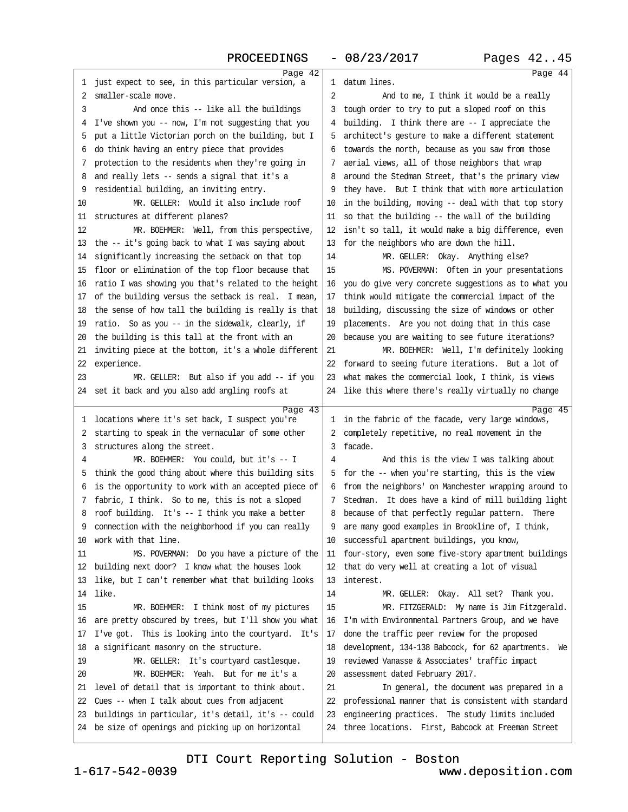<span id="page-11-0"></span>

|    | Page 42                                                    |              | Page 44                                                     |
|----|------------------------------------------------------------|--------------|-------------------------------------------------------------|
| 1  | just expect to see, in this particular version, a          | 1            | datum lines.                                                |
| 2  | smaller-scale move.                                        | 2            | And to me, I think it would be a really                     |
| 3  | And once this -- like all the buildings                    | 3            | tough order to try to put a sloped roof on this             |
| 4  | I've shown you -- now, I'm not suggesting that you         | 4            | building. I think there are -- I appreciate the             |
| 5  | put a little Victorian porch on the building, but I        | 5            | architect's gesture to make a different statement           |
| 6  | do think having an entry piece that provides               | 6            | towards the north, because as you saw from those            |
| 7  | protection to the residents when they're going in          | 7            | aerial views, all of those neighbors that wrap              |
| 8  | and really lets -- sends a signal that it's a              | 8            | around the Stedman Street, that's the primary view          |
| 9  | residential building, an inviting entry.                   | 9            | they have. But I think that with more articulation          |
| 10 | MR. GELLER: Would it also include roof                     | 10           | in the building, moving -- deal with that top story         |
| 11 | structures at different planes?                            | 11           | so that the building -- the wall of the building            |
| 12 | MR. BOEHMER: Well, from this perspective,                  | 12           | isn't so tall, it would make a big difference, even         |
| 13 | the -- it's going back to what I was saying about          | 13           | for the neighbors who are down the hill.                    |
| 14 | significantly increasing the setback on that top           | 14           | MR. GELLER: Okay. Anything else?                            |
| 15 | floor or elimination of the top floor because that         | 15           | MS. POVERMAN: Often in your presentations                   |
| 16 | ratio I was showing you that's related to the height       | 16           | you do give very concrete suggestions as to what you        |
| 17 | of the building versus the setback is real. I mean,        | 17           | think would mitigate the commercial impact of the           |
| 18 | the sense of how tall the building is really is that       | 18           | building, discussing the size of windows or other           |
| 19 | ratio. So as you -- in the sidewalk, clearly, if           | 19           | placements. Are you not doing that in this case             |
| 20 | the building is this tall at the front with an             | 20           | because you are waiting to see future iterations?           |
| 21 | inviting piece at the bottom, it's a whole different       | 21           | MR. BOEHMER: Well, I'm definitely looking                   |
| 22 | experience.                                                | 22           | forward to seeing future iterations. But a lot of           |
| 23 | MR. GELLER: But also if you add -- if you                  | 23           | what makes the commercial look, I think, is views           |
| 24 | set it back and you also add angling roofs at              | 24           | like this where there's really virtually no change          |
|    |                                                            |              |                                                             |
| 1  | Page 43<br>locations where it's set back, I suspect you're | $\mathbf{1}$ | Page 45<br>in the fabric of the facade, very large windows, |
| 2  | starting to speak in the vernacular of some other          | 2            | completely repetitive, no real movement in the              |
| 3  | structures along the street.                               | 3            | facade.                                                     |
| 4  | MR. BOEHMER: You could, but it's -- I                      | 4            | And this is the view I was talking about                    |
| 5  | think the good thing about where this building sits        | 5            | for the -- when you're starting, this is the view           |
| 6  | is the opportunity to work with an accepted piece of       | 6            | from the neighbors' on Manchester wrapping around to        |
| 7  | fabric, I think. So to me, this is not a sloped            | 7            | Stedman. It does have a kind of mill building light         |
| 8  | roof building. It's -- I think you make a better           | 8            | because of that perfectly regular pattern. There            |
| 9  | connection with the neighborhood if you can really         |              | are many good examples in Brookline of, I think,            |
| 10 | work with that line.                                       | 10           | successful apartment buildings, you know,                   |
| 11 | MS. POVERMAN: Do you have a picture of the                 | 11           | four-story, even some five-story apartment buildings        |
| 12 | building next door? I know what the houses look            | 12           | that do very well at creating a lot of visual               |
| 13 | like, but I can't remember what that building looks        | 13           | interest.                                                   |
| 14 | like.                                                      | 14           | MR. GELLER: Okay. All set? Thank you.                       |
| 15 | MR. BOEHMER: I think most of my pictures                   | 15           | MR. FITZGERALD: My name is Jim Fitzgerald.                  |
| 16 | are pretty obscured by trees, but I'll show you what       | 16           | I'm with Environmental Partners Group, and we have          |
| 17 | I've got. This is looking into the courtyard. It's         | 17           | done the traffic peer review for the proposed               |
| 18 | a significant masonry on the structure.                    | 18           | development, 134-138 Babcock, for 62 apartments. We         |
| 19 | MR. GELLER: It's courtyard castlesque.                     | 19           | reviewed Vanasse & Associates' traffic impact               |
| 20 | MR. BOEHMER: Yeah. But for me it's a                       | 20           | assessment dated February 2017.                             |
| 21 | level of detail that is important to think about.          | 21           | In general, the document was prepared in a                  |
| 22 | Cues -- when I talk about cues from adjacent               | 22           | professional manner that is consistent with standard        |
| 23 |                                                            |              | engineering practices. The study limits included            |
|    | buildings in particular, it's detail, it's -- could        | 23           |                                                             |
| 24 | be size of openings and picking up on horizontal           | 24           | three locations. First, Babcock at Freeman Street           |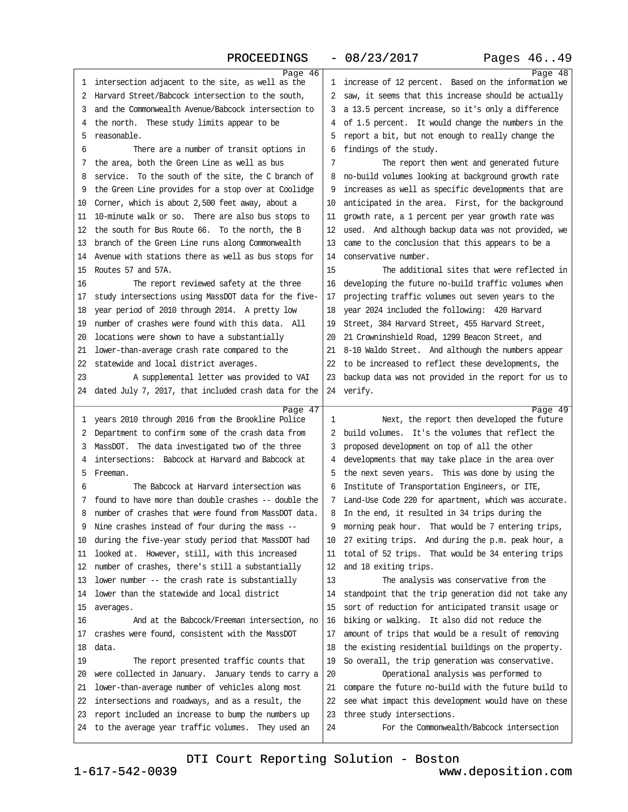## PROCEEDINGS - 08/23/2017 Pages 46..49

<span id="page-12-0"></span>

| 1  | Page 46<br>intersection adjacent to the site, as well as the | 1  | Page 48<br>increase of 12 percent. Based on the information we |
|----|--------------------------------------------------------------|----|----------------------------------------------------------------|
| 2  | Harvard Street/Babcock intersection to the south,            | 2  | saw, it seems that this increase should be actually            |
| 3  | and the Commonwealth Avenue/Babcock intersection to          | 3  | a 13.5 percent increase, so it's only a difference             |
| 4  | the north. These study limits appear to be                   | 4  | of 1.5 percent. It would change the numbers in the             |
| 5  | reasonable.                                                  | 5  | report a bit, but not enough to really change the              |
| 6  | There are a number of transit options in                     | 6  | findings of the study.                                         |
| 7  | the area, both the Green Line as well as bus                 | 7  | The report then went and generated future                      |
| 8  | service. To the south of the site, the C branch of           | 8  | no-build volumes looking at background growth rate             |
| 9  | the Green Line provides for a stop over at Coolidge          | 9  | increases as well as specific developments that are            |
| 10 | Corner, which is about 2,500 feet away, about a              | 10 | anticipated in the area. First, for the background             |
| 11 | 10-minute walk or so. There are also bus stops to            | 11 | growth rate, a 1 percent per year growth rate was              |
| 12 | the south for Bus Route 66. To the north, the B              | 12 | used. And although backup data was not provided, we            |
| 13 | branch of the Green Line runs along Commonwealth             | 13 | came to the conclusion that this appears to be a               |
| 14 | Avenue with stations there as well as bus stops for          | 14 | conservative number.                                           |
| 15 | Routes 57 and 57A.                                           | 15 | The additional sites that were reflected in                    |
| 16 | The report reviewed safety at the three                      | 16 | developing the future no-build traffic volumes when            |
| 17 | study intersections using MassDOT data for the five-         | 17 | projecting traffic volumes out seven years to the              |
| 18 | year period of 2010 through 2014. A pretty low               | 18 | year 2024 included the following: 420 Harvard                  |
| 19 | number of crashes were found with this data. All             | 19 | Street, 384 Harvard Street, 455 Harvard Street,                |
| 20 | locations were shown to have a substantially                 | 20 | 21 Crowninshield Road, 1299 Beacon Street, and                 |
| 21 | lower-than-average crash rate compared to the                | 21 | 8-10 Waldo Street. And although the numbers appear             |
| 22 | statewide and local district averages.                       | 22 | to be increased to reflect these developments, the             |
| 23 | A supplemental letter was provided to VAI                    | 23 | backup data was not provided in the report for us to           |
| 24 | dated July 7, 2017, that included crash data for the         |    | 24 verify.                                                     |
|    |                                                              |    |                                                                |
|    |                                                              |    |                                                                |
| 1  | Page 47<br>years 2010 through 2016 from the Brookline Police | 1  | Page 49<br>Next, the report then developed the future          |
| 2  | Department to confirm some of the crash data from            | 2  | build volumes. It's the volumes that reflect the               |
| 3  | MassDOT. The data investigated two of the three              | 3  | proposed development on top of all the other                   |
| 4  | intersections: Babcock at Harvard and Babcock at             | 4  | developments that may take place in the area over              |
| 5  | Freeman.                                                     | 5  | the next seven years. This was done by using the               |
| 6  | The Babcock at Harvard intersection was                      | 6  | Institute of Transportation Engineers, or ITE,                 |
| 7  | found to have more than double crashes -- double the         | 7  | Land-Use Code 220 for apartment, which was accurate.           |
| 8  | number of crashes that were found from MassDOT data.         | 8  | In the end, it resulted in 34 trips during the                 |
| 9  | Nine crashes instead of four during the mass --              | 9  | morning peak hour. That would be 7 entering trips,             |
| 10 | during the five-year study period that MassDOT had           | 10 | 27 exiting trips. And during the p.m. peak hour, a             |
| 11 | looked at. However, still, with this increased               | 11 | total of 52 trips. That would be 34 entering trips             |
| 12 | number of crashes, there's still a substantially             | 12 | and 18 exiting trips.                                          |
| 13 | lower number -- the crash rate is substantially              | 13 | The analysis was conservative from the                         |
| 14 | lower than the statewide and local district                  | 14 | standpoint that the trip generation did not take any           |
| 15 | averages.                                                    | 15 | sort of reduction for anticipated transit usage or             |
| 16 | And at the Babcock/Freeman intersection, no                  | 16 | biking or walking. It also did not reduce the                  |
| 17 | crashes were found, consistent with the MassDOT              | 17 | amount of trips that would be a result of removing             |
| 18 | data.                                                        | 18 | the existing residential buildings on the property.            |
| 19 | The report presented traffic counts that                     | 19 | So overall, the trip generation was conservative.              |
| 20 | were collected in January. January tends to carry a          | 20 | Operational analysis was performed to                          |
| 21 | lower-than-average number of vehicles along most             | 21 | compare the future no-build with the future build to           |
| 22 | intersections and roadways, and as a result, the             | 22 | see what impact this development would have on these           |
| 23 | report included an increase to bump the numbers up           | 23 | three study intersections.                                     |
| 24 | to the average year traffic volumes. They used an            | 24 | For the Commonwealth/Babcock intersection                      |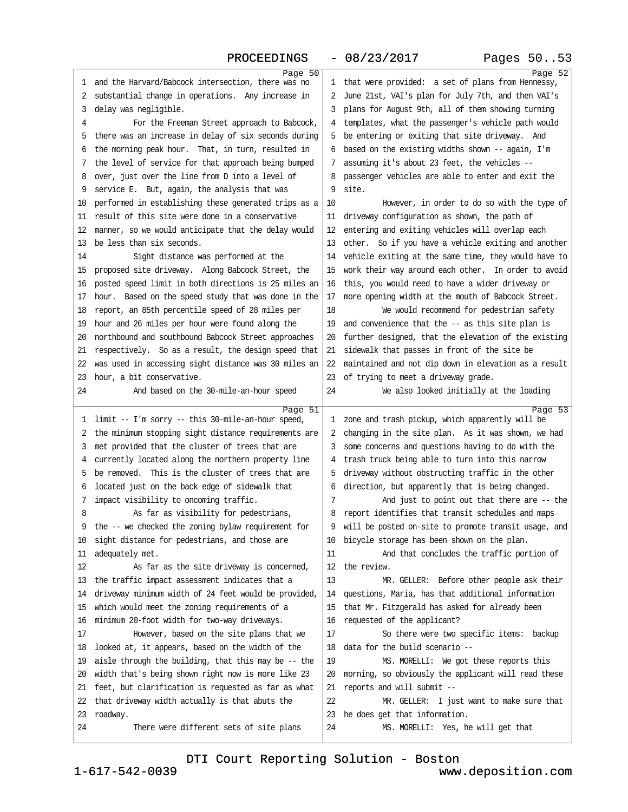<span id="page-13-0"></span>

|    | Page 50                                                      |    | Page 52                                                    |
|----|--------------------------------------------------------------|----|------------------------------------------------------------|
| 1  | and the Harvard/Babcock intersection, there was no           | 1  | that were provided: a set of plans from Hennessy,          |
| 2  | substantial change in operations. Any increase in            | 2  | June 21st, VAI's plan for July 7th, and then VAI's         |
| 3  | delay was neqliqible.                                        | 3  | plans for August 9th, all of them showing turning          |
| 4  | For the Freeman Street approach to Babcock,                  | 4  | templates, what the passenger's vehicle path would         |
| 5  | there was an increase in delay of six seconds during         | 5  | be entering or exiting that site driveway. And             |
| 6  | the morning peak hour. That, in turn, resulted in            | 6  | based on the existing widths shown $--$ again, I'm         |
| 7  | the level of service for that approach being bumped          | 7  | assuming it's about 23 feet, the vehicles --               |
| 8  | over, just over the line from D into a level of              | 8  | passenger vehicles are able to enter and exit the          |
| 9  | service E. But, again, the analysis that was                 | 9  | site.                                                      |
| 10 | performed in establishing these generated trips as a         | 10 | However, in order to do so with the type of                |
| 11 | result of this site were done in a conservative              | 11 | driveway configuration as shown, the path of               |
| 12 | manner, so we would anticipate that the delay would          | 12 | entering and exiting vehicles will overlap each            |
| 13 | be less than six seconds.                                    | 13 | other. So if you have a vehicle exiting and another        |
| 14 | Sight distance was performed at the                          | 14 | vehicle exiting at the same time, they would have to       |
| 15 | proposed site driveway. Along Babcock Street, the            | 15 | work their way around each other. In order to avoid        |
| 16 | posted speed limit in both directions is 25 miles an         | 16 | this, you would need to have a wider driveway or           |
| 17 | hour. Based on the speed study that was done in the          | 17 | more opening width at the mouth of Babcock Street.         |
| 18 | report, an 85th percentile speed of 28 miles per             | 18 | We would recommend for pedestrian safety                   |
| 19 | hour and 26 miles per hour were found along the              | 19 | and convenience that the -- as this site plan is           |
| 20 | northbound and southbound Babcock Street approaches          | 20 | further designed, that the elevation of the existing       |
| 21 | respectively. So as a result, the design speed that          | 21 | sidewalk that passes in front of the site be               |
| 22 | was used in accessing sight distance was 30 miles an         | 22 | maintained and not dip down in elevation as a result       |
| 23 | hour, a bit conservative.                                    | 23 | of trying to meet a driveway grade.                        |
| 24 | And based on the 30-mile-an-hour speed                       | 24 | We also looked initially at the loading                    |
|    |                                                              |    |                                                            |
|    |                                                              |    |                                                            |
| 1  | Page 51<br>limit -- I'm sorry -- this 30-mile-an-hour speed, | 1  | Page 53<br>zone and trash pickup, which apparently will be |
| 2  | the minimum stopping sight distance requirements are         | 2  | changing in the site plan. As it was shown, we had         |
| 3  | met provided that the cluster of trees that are              | 3  | some concerns and questions having to do with the          |
| 4  | currently located along the northern property line           |    | trash truck being able to turn into this narrow            |
| 5  | be removed. This is the cluster of trees that are            | 5  | driveway without obstructing traffic in the other          |
| 6  | located just on the back edge of sidewalk that               | 6  | direction, but apparently that is being changed.           |
| 7  | impact visibility to oncoming traffic.                       | 7  | And just to point out that there are -- the                |
| 8  | As far as visibility for pedestrians,                        | 8  | report identifies that transit schedules and maps          |
| 9  | the -- we checked the zoning bylaw requirement for           |    | will be posted on-site to promote transit usage, and       |
| 10 | sight distance for pedestrians, and those are                | 10 | bicycle storage has been shown on the plan.                |
| 11 | adequately met.                                              | 11 | And that concludes the traffic portion of                  |
| 12 | As far as the site driveway is concerned,                    | 12 | the review.                                                |
| 13 | the traffic impact assessment indicates that a               | 13 | MR. GELLER: Before other people ask their                  |
| 14 | driveway minimum width of 24 feet would be provided,         | 14 | questions, Maria, has that additional information          |
| 15 | which would meet the zoning requirements of a                | 15 | that Mr. Fitzgerald has asked for already been             |
| 16 | minimum 20-foot width for two-way driveways.                 | 16 | requested of the applicant?                                |
| 17 | However, based on the site plans that we                     | 17 | So there were two specific items: backup                   |
| 18 | looked at, it appears, based on the width of the             | 18 | data for the build scenario --                             |
| 19 | aisle through the building, that this may be -- the          | 19 | MS. MORELLI: We got these reports this                     |
| 20 | width that's being shown right now is more like 23           | 20 | morning, so obviously the applicant will read these        |
| 21 | feet, but clarification is requested as far as what          | 21 | reports and will submit --                                 |
| 22 | that driveway width actually is that abuts the               | 22 | MR. GELLER: I just want to make sure that                  |
| 23 | roadway.                                                     | 23 | he does get that information.                              |
| 24 | There were different sets of site plans                      | 24 | MS. MORELLI: Yes, he will get that                         |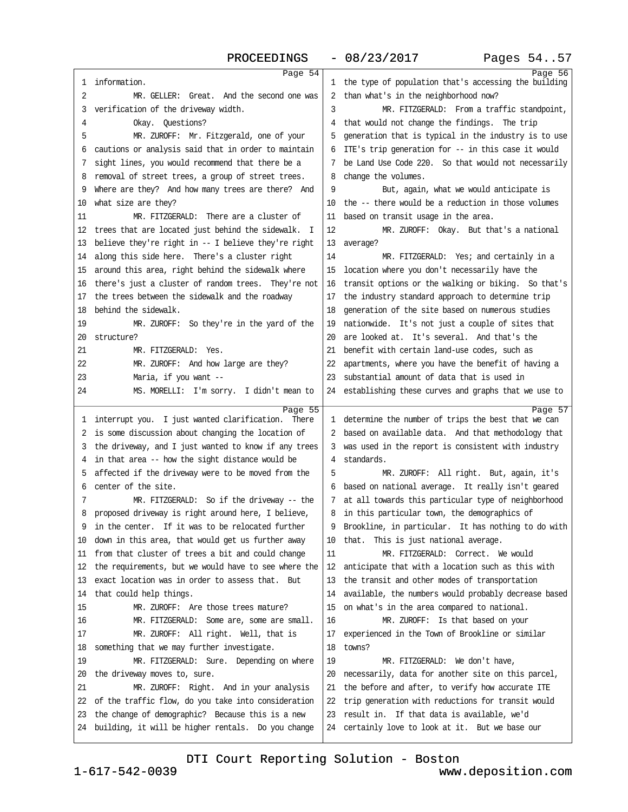<span id="page-14-0"></span>

|    | Page $\overline{54}$                                                      |    | Page 56                                                                                             |
|----|---------------------------------------------------------------------------|----|-----------------------------------------------------------------------------------------------------|
| 1  | information.                                                              |    | 1 the type of population that's accessing the building                                              |
| 2  | MR. GELLER: Great. And the second one was                                 | 2  | than what's in the neighborhood now?                                                                |
| 3  | verification of the driveway width.                                       | 3  | MR. FITZGERALD: From a traffic standpoint,                                                          |
| 4  | Okay. Ouestions?                                                          | 4  | that would not change the findings. The trip                                                        |
| 5  | MR. ZUROFF: Mr. Fitzgerald, one of your                                   | 5  | generation that is typical in the industry is to use                                                |
| 6  | cautions or analysis said that in order to maintain                       | 6  | ITE's trip generation for -- in this case it would                                                  |
| 7  | sight lines, you would recommend that there be a                          | 7  | be Land Use Code 220. So that would not necessarily                                                 |
| 8  | removal of street trees, a group of street trees.                         | 8  | change the volumes.                                                                                 |
| 9  | Where are they? And how many trees are there? And                         | 9  | But, again, what we would anticipate is                                                             |
| 10 | what size are they?                                                       | 10 | the -- there would be a reduction in those volumes                                                  |
| 11 | MR. FITZGERALD: There are a cluster of                                    | 11 | based on transit usage in the area.                                                                 |
| 12 | trees that are located just behind the sidewalk. I                        | 12 | MR. ZUROFF: Okay. But that's a national                                                             |
| 13 | believe they're right in -- I believe they're right                       | 13 | average?                                                                                            |
| 14 | along this side here. There's a cluster right                             | 14 | MR. FITZGERALD: Yes; and certainly in a                                                             |
| 15 | around this area, right behind the sidewalk where                         | 15 | location where you don't necessarily have the                                                       |
| 16 | there's just a cluster of random trees. They're not                       | 16 | transit options or the walking or biking. So that's                                                 |
| 17 | the trees between the sidewalk and the roadway                            | 17 | the industry standard approach to determine trip                                                    |
| 18 | behind the sidewalk.                                                      | 18 | generation of the site based on numerous studies                                                    |
| 19 | MR. ZUROFF: So they're in the yard of the                                 | 19 | nationwide. It's not just a couple of sites that                                                    |
| 20 | structure?                                                                | 20 | are looked at. It's several. And that's the                                                         |
| 21 | MR. FITZGERALD: Yes.                                                      | 21 | benefit with certain land-use codes, such as                                                        |
| 22 | MR. ZUROFF: And how large are they?                                       | 22 | apartments, where you have the benefit of having a                                                  |
| 23 | Maria, if you want --                                                     | 23 | substantial amount of data that is used in                                                          |
| 24 | MS. MORELLI: I'm sorry. I didn't mean to                                  | 24 | establishing these curves and graphs that we use to                                                 |
|    |                                                                           |    |                                                                                                     |
|    |                                                                           |    |                                                                                                     |
| 1  | Page 55<br>interrupt you. I just wanted clarification.<br>There           |    | 1 determine the number of trips the best that we can                                                |
| 2  | is some discussion about changing the location of                         |    | 2 based on available data. And that methodology that                                                |
| 3  | the driveway, and I just wanted to know if any trees                      | 3  |                                                                                                     |
| 4  | in that area -- how the sight distance would be                           | 4  | was used in the report is consistent with industry<br>standards.                                    |
| 5  |                                                                           | 5  | MR. ZUROFF: All right. But, again, it's                                                             |
| 6  | affected if the driveway were to be moved from the<br>center of the site. | 6  | based on national average. It really isn't geared                                                   |
| 7  | MR. FITZGERALD: So if the driveway -- the                                 | 7  |                                                                                                     |
| 8  | proposed driveway is right around here, I believe,                        | 8  | at all towards this particular type of neighborhood<br>in this particular town, the demographics of |
| 9  | in the center. If it was to be relocated further                          |    | Brookline, in particular. It has nothing to do with                                                 |
| 10 | down in this area, that would get us further away                         | 10 | that.<br>This is just national average.                                                             |
| 11 | from that cluster of trees a bit and could change                         | 11 | MR. FITZGERALD: Correct. We would                                                                   |
| 12 | the requirements, but we would have to see where the                      | 12 | anticipate that with a location such as this with                                                   |
| 13 | exact location was in order to assess that. But                           | 13 | the transit and other modes of transportation                                                       |
| 14 | that could help things.                                                   | 14 | available, the numbers would probably decrease based                                                |
| 15 | MR. ZUROFF: Are those trees mature?                                       | 15 | on what's in the area compared to national.                                                         |
| 16 | MR. FITZGERALD: Some are, some are small.                                 | 16 | MR. ZUROFF: Is that based on your                                                                   |
| 17 | MR. ZUROFF: All right. Well, that is                                      | 17 | experienced in the Town of Brookline or similar                                                     |
| 18 | something that we may further investigate.                                | 18 | towns?                                                                                              |
| 19 | MR. FITZGERALD: Sure. Depending on where                                  | 19 | MR. FITZGERALD: We don't have,                                                                      |
| 20 | the driveway moves to, sure.                                              | 20 | necessarily, data for another site on this parcel,                                                  |
| 21 | MR. ZUROFF: Right. And in your analysis                                   | 21 | the before and after, to verify how accurate ITE                                                    |
| 22 | of the traffic flow, do you take into consideration                       | 22 | trip generation with reductions for transit would                                                   |
| 23 | the change of demographic? Because this is a new                          | 23 | result in. If that data is available, we'd                                                          |
| 24 | building, it will be higher rentals. Do you change                        | 24 | Page $57$<br>certainly love to look at it. But we base our                                          |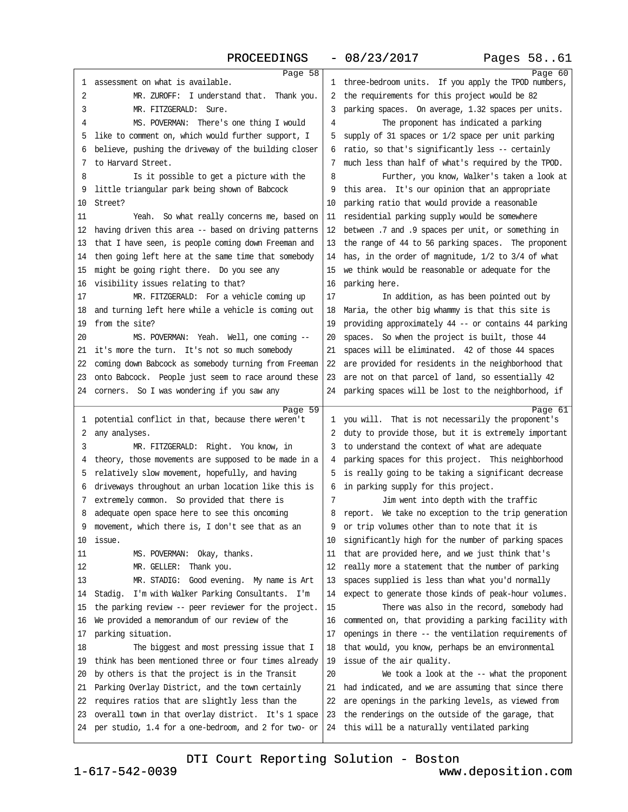<span id="page-15-0"></span>

|    | Page 58                                                      |    | Page 60                                                      |
|----|--------------------------------------------------------------|----|--------------------------------------------------------------|
| 1  | assessment on what is available.                             | 1  | three-bedroom units. If you apply the TPOD numbers,          |
| 2  | MR. ZUROFF: I understand that. Thank you.                    | 2  | the requirements for this project would be 82                |
| 3  | MR. FITZGERALD: Sure.                                        | 3  | parking spaces. On average, 1.32 spaces per units.           |
| 4  | MS. POVERMAN: There's one thing I would                      | 4  | The proponent has indicated a parking                        |
| 5  | like to comment on, which would further support, I           | 5  | supply of 31 spaces or 1/2 space per unit parking            |
| 6  | believe, pushing the driveway of the building closer         | 6  | ratio, so that's significantly less -- certainly             |
| 7  | to Harvard Street.                                           | 7  | much less than half of what's required by the TPOD.          |
| 8  | Is it possible to get a picture with the                     | 8  | Further, you know, Walker's taken a look at                  |
| 9  | little triangular park being shown of Babcock                | 9  | this area. It's our opinion that an appropriate              |
| 10 | Street?                                                      | 10 | parking ratio that would provide a reasonable                |
| 11 | Yeah. So what really concerns me, based on                   | 11 | residential parking supply would be somewhere                |
| 12 | having driven this area -- based on driving patterns         | 12 | between .7 and .9 spaces per unit, or something in           |
| 13 | that I have seen, is people coming down Freeman and          | 13 | the range of 44 to 56 parking spaces. The proponent          |
| 14 | then going left here at the same time that somebody          | 14 | has, in the order of magnitude, 1/2 to 3/4 of what           |
| 15 | might be going right there. Do you see any                   | 15 | we think would be reasonable or adequate for the             |
| 16 | visibility issues relating to that?                          | 16 | parking here.                                                |
| 17 | MR. FITZGERALD: For a vehicle coming up                      | 17 | In addition, as has been pointed out by                      |
| 18 | and turning left here while a vehicle is coming out          | 18 | Maria, the other big whammy is that this site is             |
| 19 | from the site?                                               | 19 | providing approximately 44 -- or contains 44 parking         |
| 20 | MS. POVERMAN: Yeah. Well, one coming --                      | 20 | spaces. So when the project is built, those 44               |
| 21 | it's more the turn. It's not so much somebody                | 21 | spaces will be eliminated. 42 of those 44 spaces             |
| 22 | coming down Babcock as somebody turning from Freeman         | 22 | are provided for residents in the neighborhood that          |
| 23 | onto Babcock. People just seem to race around these          | 23 | are not on that parcel of land, so essentially 42            |
| 24 | corners. So I was wondering if you saw any                   | 24 | parking spaces will be lost to the neighborhood, if          |
|    |                                                              |    |                                                              |
|    |                                                              |    |                                                              |
| 1  | Page 59<br>potential conflict in that, because there weren't | 1  | Page 61<br>you will. That is not necessarily the proponent's |
| 2  | any analyses.                                                | 2  | duty to provide those, but it is extremely important         |
| 3  | MR. FITZGERALD: Right. You know, in                          | 3  | to understand the context of what are adequate               |
| 4  | theory, those movements are supposed to be made in a         | 4  | parking spaces for this project. This neighborhood           |
| 5  | relatively slow movement, hopefully, and having              | 5  | is really going to be taking a significant decrease          |
| 6  | driveways throughout an urban location like this is          | 6  | in parking supply for this project.                          |
| 7  | extremely common. So provided that there is                  | 7  | Jim went into depth with the traffic                         |
| 8  | adequate open space here to see this oncoming                | 8  | report. We take no exception to the trip generation          |
| 9  | movement, which there is, I don't see that as an             | 9  | or trip volumes other than to note that it is                |
| 10 | issue.                                                       | 10 | significantly high for the number of parking spaces          |
| 11 | MS. POVERMAN: Okay, thanks.                                  | 11 | that are provided here, and we just think that's             |
| 12 | MR. GELLER:<br>Thank you.                                    | 12 | really more a statement that the number of parking           |
| 13 | MR. STADIG: Good evening. My name is Art                     | 13 | spaces supplied is less than what you'd normally             |
| 14 | Stadig. I'm with Walker Parking Consultants. I'm             | 14 | expect to generate those kinds of peak-hour volumes.         |
| 15 | the parking review -- peer reviewer for the project.         | 15 | There was also in the record, somebody had                   |
| 16 | We provided a memorandum of our review of the                | 16 | commented on, that providing a parking facility with         |
| 17 | parking situation.                                           | 17 | openings in there -- the ventilation requirements of         |
| 18 | The biggest and most pressing issue that I                   | 18 | that would, you know, perhaps be an environmental            |
| 19 | think has been mentioned three or four times already         | 19 | issue of the air quality.                                    |
| 20 | by others is that the project is in the Transit              | 20 | We took a look at the -- what the proponent                  |
| 21 | Parking Overlay District, and the town certainly             | 21 | had indicated, and we are assuming that since there          |
| 22 | requires ratios that are slightly less than the              | 22 | are openings in the parking levels, as viewed from           |
| 23 | overall town in that overlay district. It's 1 space          | 23 | the renderings on the outside of the garage, that            |
| 24 | per studio, 1.4 for a one-bedroom, and 2 for two- or         | 24 | this will be a naturally ventilated parking                  |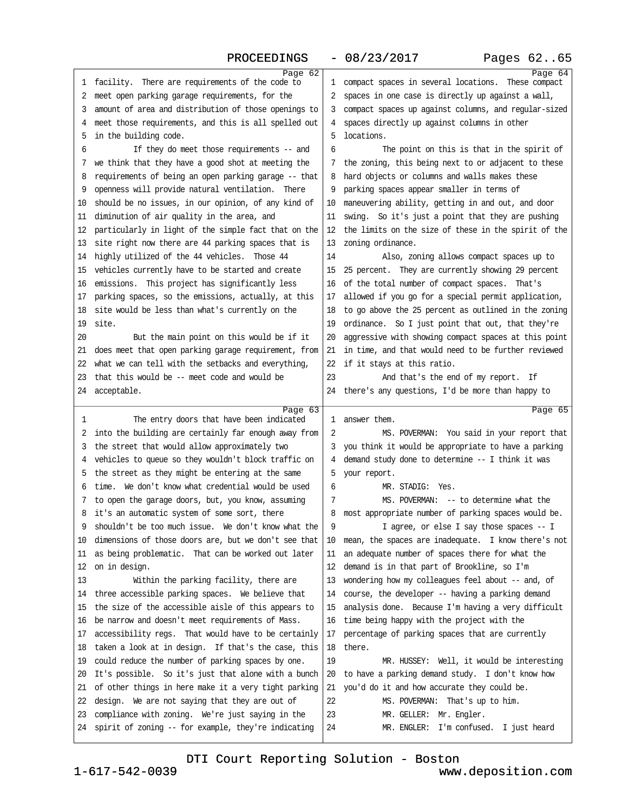PROCEEDINGS - 08/23/2017 Pages 62..65

<span id="page-16-0"></span>

|          | Page 62                                                                                                 |          | Page 64                                                           |
|----------|---------------------------------------------------------------------------------------------------------|----------|-------------------------------------------------------------------|
| 1        | facility. There are requirements of the code to                                                         | 1        | compact spaces in several locations. These compact                |
| 2        | meet open parking garage requirements, for the                                                          | 2        | spaces in one case is directly up against a wall,                 |
| 3        | amount of area and distribution of those openings to                                                    | 3        | compact spaces up against columns, and regular-sized              |
| 4        | meet those requirements, and this is all spelled out                                                    | 4        | spaces directly up against columns in other                       |
| 5        | in the building code.                                                                                   | 5        | locations.                                                        |
| 6        | If they do meet those requirements $-$ and                                                              | 6        | The point on this is that in the spirit of                        |
| 7        | we think that they have a good shot at meeting the                                                      |          | the zoning, this being next to or adjacent to these               |
| 8        | requirements of being an open parking garage -- that                                                    | 8        | hard objects or columns and walls makes these                     |
| 9        | openness will provide natural ventilation. There                                                        | 9        | parking spaces appear smaller in terms of                         |
| 10       | should be no issues, in our opinion, of any kind of                                                     | 10       | maneuvering ability, getting in and out, and door                 |
| 11       | diminution of air quality in the area, and                                                              | 11       | swing. So it's just a point that they are pushing                 |
| 12       | particularly in light of the simple fact that on the                                                    | 12       | the limits on the size of these in the spirit of the              |
| 13       | site right now there are 44 parking spaces that is                                                      | 13       | zoning ordinance.                                                 |
| 14       | highly utilized of the 44 vehicles. Those 44                                                            | 14       | Also, zoning allows compact spaces up to                          |
| 15       | vehicles currently have to be started and create                                                        | 15       | 25 percent. They are currently showing 29 percent                 |
|          |                                                                                                         |          |                                                                   |
| 16       | emissions. This project has significantly less                                                          | 16       | of the total number of compact spaces. That's                     |
| 17       | parking spaces, so the emissions, actually, at this                                                     | 17       | allowed if you go for a special permit application,               |
| 18       | site would be less than what's currently on the                                                         | 18       | to go above the 25 percent as outlined in the zoning              |
| 19       | site.                                                                                                   | 19       | ordinance. So I just point that out, that they're                 |
| 20       | But the main point on this would be if it                                                               | 20       | aggressive with showing compact spaces at this point              |
| 21       | does meet that open parking garage requirement, from                                                    | 21       | in time, and that would need to be further reviewed               |
| 22       | what we can tell with the setbacks and everything,                                                      | 22       | if it stays at this ratio.                                        |
| 23       | that this would be -- meet code and would be                                                            | 23       | And that's the end of my report. If                               |
| 24       | acceptable.                                                                                             |          | 24 there's any questions, I'd be more than happy to               |
|          | Page 63                                                                                                 |          |                                                                   |
|          |                                                                                                         |          | Page $65$                                                         |
| 1        | The entry doors that have been indicated                                                                | 1        | answer them.                                                      |
| 2        | into the building are certainly far enough away from                                                    | 2        | MS. POVERMAN: You said in your report that                        |
| 3        | the street that would allow approximately two                                                           | 3        | you think it would be appropriate to have a parking               |
| 4        | vehicles to queue so they wouldn't block traffic on                                                     | 4        | demand study done to determine -- I think it was                  |
| 5        | the street as they might be entering at the same                                                        | 5        | your report.                                                      |
| 6        | time. We don't know what credential would be used                                                       | 6        | MR. STADIG: Yes.                                                  |
| 7        | to open the garage doors, but, you know, assuming                                                       | 7        | MS. POVERMAN: -- to determine what the                            |
| 8        | it's an automatic system of some sort, there                                                            | 8        | most appropriate number of parking spaces would be.               |
|          | shouldn't be too much issue. We don't know what the                                                     | 9        | I agree, or else I say those spaces -- I                          |
| 10       | dimensions of those doors are, but we don't see that                                                    | 10       | mean, the spaces are inadequate. I know there's not               |
| 11       | as being problematic. That can be worked out later                                                      | 11       | an adequate number of spaces there for what the                   |
| 12       | on in design.                                                                                           | 12       | demand is in that part of Brookline, so I'm                       |
| 13       | Within the parking facility, there are                                                                  | 13       | wondering how my colleagues feel about -- and, of                 |
| 14       | three accessible parking spaces. We believe that                                                        | 14       | course, the developer -- having a parking demand                  |
| 15       | the size of the accessible aisle of this appears to                                                     | 15       | analysis done. Because I'm having a very difficult                |
| 16       | be narrow and doesn't meet requirements of Mass.                                                        | 16       | time being happy with the project with the                        |
| 17       | accessibility regs. That would have to be certainly                                                     | 17       | percentage of parking spaces that are currently                   |
| 18       |                                                                                                         | 18       | there.                                                            |
|          | taken a look at in design. If that's the case, this                                                     |          |                                                                   |
| 19       | could reduce the number of parking spaces by one.                                                       | 19       | MR. HUSSEY: Well, it would be interesting                         |
| 20       | It's possible. So it's just that alone with a bunch                                                     | 20       | to have a parking demand study. I don't know how                  |
| 21       | of other things in here make it a very tight parking                                                    | 21       | you'd do it and how accurate they could be.                       |
| 22       | design. We are not saying that they are out of                                                          | 22       | MS. POVERMAN: That's up to him.                                   |
| 23<br>24 | compliance with zoning. We're just saying in the<br>spirit of zoning -- for example, they're indicating | 23<br>24 | MR. GELLER: Mr. Engler.<br>MR. ENGLER: I'm confused. I just heard |

[DTI Court Reporting Solution - Boston](http://www.deposition.com)

1-617-542-0039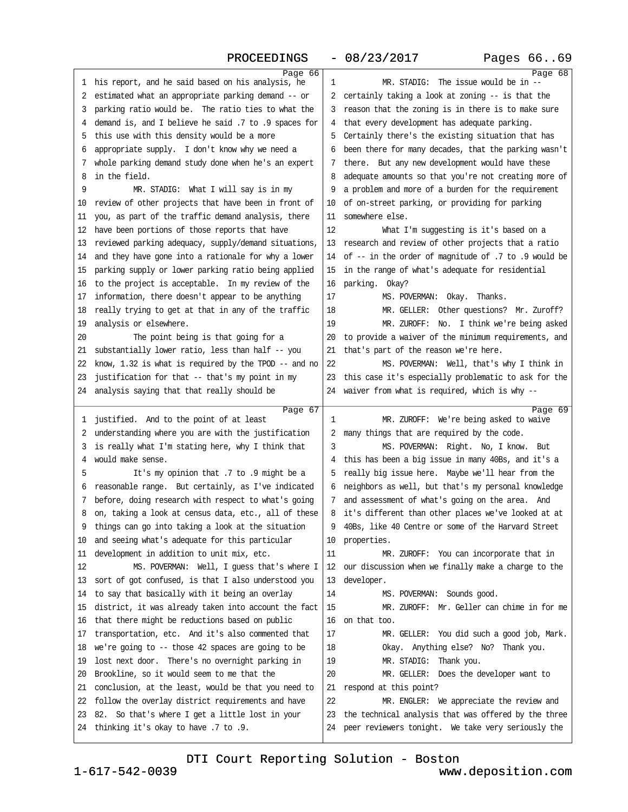| Pages 6669 |  |  |
|------------|--|--|
|------------|--|--|

<span id="page-17-0"></span>

| ı. | Page 66<br>his report, and he said based on his analysis, he | 1  | Page 68<br>MR. STADIG: The issue would be in --      |
|----|--------------------------------------------------------------|----|------------------------------------------------------|
| 2  | estimated what an appropriate parking demand -- or           | 2  | certainly taking a look at zoning -- is that the     |
| 3  | parking ratio would be. The ratio ties to what the           | 3  | reason that the zoning is in there is to make sure   |
| 4  | demand is, and I believe he said .7 to .9 spaces for         | 4  | that every development has adequate parking.         |
| 5  | this use with this density would be a more                   | 5  | Certainly there's the existing situation that has    |
| 6  | appropriate supply. I don't know why we need a               | 6  | been there for many decades, that the parking wasn't |
| 7  | whole parking demand study done when he's an expert          | 7  | there. But any new development would have these      |
| 8  | in the field.                                                | 8  | adequate amounts so that you're not creating more of |
| 9  | MR. STADIG: What I will say is in my                         | 9  | a problem and more of a burden for the requirement   |
| 10 | review of other projects that have been in front of          | 10 | of on-street parking, or providing for parking       |
| 11 | you, as part of the traffic demand analysis, there           | 11 | somewhere else.                                      |
| 12 | have been portions of those reports that have                | 12 | What I'm suggesting is it's based on a               |
| 13 | reviewed parking adequacy, supply/demand situations,         | 13 | research and review of other projects that a ratio   |
| 14 | and they have gone into a rationale for why a lower          | 14 | of -- in the order of magnitude of .7 to .9 would be |
| 15 | parking supply or lower parking ratio being applied          | 15 | in the range of what's adequate for residential      |
| 16 | to the project is acceptable. In my review of the            | 16 | parking. Okay?                                       |
| 17 | information, there doesn't appear to be anything             | 17 | MS. POVERMAN: Okay. Thanks.                          |
| 18 | really trying to get at that in any of the traffic           | 18 | MR. GELLER: Other questions? Mr. Zuroff?             |
| 19 | analysis or elsewhere.                                       | 19 | MR. ZUROFF: No. I think we're being asked            |
| 20 | The point being is that going for a                          | 20 | to provide a waiver of the minimum requirements, and |
| 21 | substantially lower ratio, less than half -- you             | 21 | that's part of the reason we're here.                |
| 22 | know, $1.32$ is what is required by the TPOD -- and no       | 22 | MS. POVERMAN: Well, that's why I think in            |
| 23 | justification for that -- that's my point in my              | 23 | this case it's especially problematic to ask for the |
| 24 | analysis saying that that really should be                   | 24 | waiver from what is required, which is why --        |
|    |                                                              |    |                                                      |
|    |                                                              |    |                                                      |
| 1  | Page 67<br>justified. And to the point of at least           | 1  | Page 69<br>MR. ZUROFF: We're being asked to waive    |
| 2  | understanding where you are with the justification           | 2  | many things that are required by the code.           |
| 3  | is really what I'm stating here, why I think that            | 3  | MS. POVERMAN: Right. No, I know. But                 |
| 4  | would make sense.                                            | 4  | this has been a big issue in many 40Bs, and it's a   |
| 5  | It's my opinion that .7 to .9 might be a                     | 5  | really big issue here. Maybe we'll hear from the     |
| 6  | reasonable range. But certainly, as I've indicated           | 6  | neighbors as well, but that's my personal knowledge  |
| 7  | before, doing research with respect to what's going          | 7  | and assessment of what's going on the area. And      |
| 8  | on, taking a look at census data, etc., all of these         | 8  | it's different than other places we've looked at at  |
| 9  | things can go into taking a look at the situation            | 9  | 40Bs, like 40 Centre or some of the Harvard Street   |
| 10 | and seeing what's adequate for this particular               | 10 | properties.                                          |
| 11 | development in addition to unit mix, etc.                    | 11 | MR. ZUROFF: You can incorporate that in              |
| 12 | MS. POVERMAN: Well, I guess that's where I                   | 12 | our discussion when we finally make a charge to the  |
| 13 | sort of got confused, is that I also understood you          | 13 | developer.                                           |
| 14 | to say that basically with it being an overlay               | 14 | MS. POVERMAN: Sounds good.                           |
| 15 | district, it was already taken into account the fact         | 15 | MR. ZUROFF: Mr. Geller can chime in for me           |
| 16 | that there might be reductions based on public               | 16 | on that too.                                         |
| 17 | transportation, etc. And it's also commented that            | 17 | MR. GELLER: You did such a good job, Mark.           |
| 18 | we're going to -- those 42 spaces are going to be            | 18 | Okay. Anything else? No? Thank you.                  |
| 19 | lost next door. There's no overnight parking in              | 19 | MR. STADIG:<br>Thank you.                            |
| 20 | Brookline, so it would seem to me that the                   | 20 | MR. GELLER: Does the developer want to               |
| 21 | conclusion, at the least, would be that you need to          | 21 | respond at this point?                               |
| 22 | follow the overlay district requirements and have            | 22 | MR. ENGLER: We appreciate the review and             |
| 23 | 82. So that's where I get a little lost in your              | 23 | the technical analysis that was offered by the three |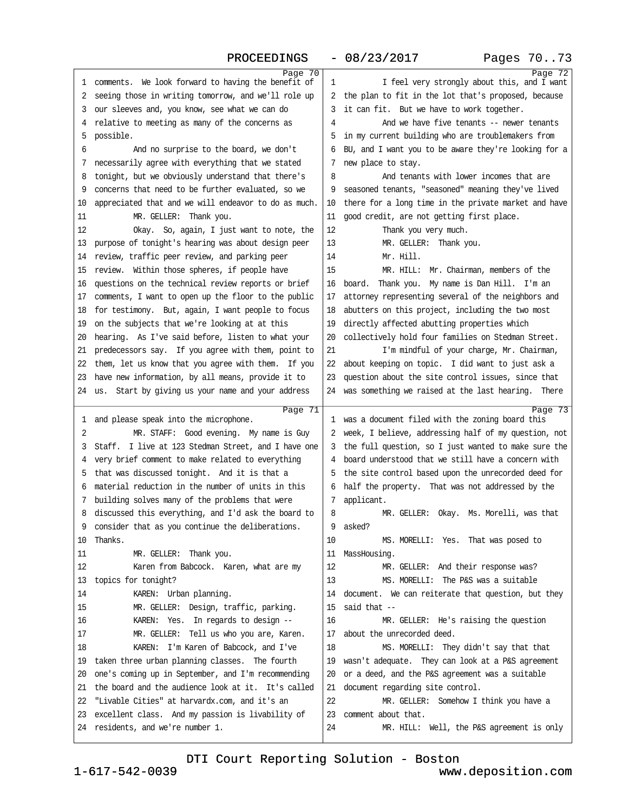<span id="page-18-0"></span>

|    | Page 70                                                                          |              | Page 72                                                                                                      |
|----|----------------------------------------------------------------------------------|--------------|--------------------------------------------------------------------------------------------------------------|
| 1  | comments. We look forward to having the benefit of                               | 1            | I feel very strongly about this, and I want                                                                  |
| 2  | seeing those in writing tomorrow, and we'll role up                              | 2            | the plan to fit in the lot that's proposed, because                                                          |
| 3  | our sleeves and, you know, see what we can do                                    | 3            | it can fit. But we have to work together.                                                                    |
| 4  | relative to meeting as many of the concerns as                                   | 4            | And we have five tenants -- newer tenants                                                                    |
| 5  | possible.                                                                        | 5            | in my current building who are troublemakers from                                                            |
| 6  | And no surprise to the board, we don't                                           | 6            | BU, and I want you to be aware they're looking for a                                                         |
| 7  | necessarily agree with everything that we stated                                 | 7            | new place to stay.                                                                                           |
| 8  | tonight, but we obviously understand that there's                                | 8            | And tenants with lower incomes that are                                                                      |
| 9  | concerns that need to be further evaluated, so we                                | 9            | seasoned tenants, "seasoned" meaning they've lived                                                           |
| 10 | appreciated that and we will endeavor to do as much.                             | 10           | there for a long time in the private market and have                                                         |
| 11 | MR. GELLER: Thank you.                                                           | 11           | good credit, are not getting first place.                                                                    |
| 12 | Okay. So, again, I just want to note, the                                        | 12           | Thank you very much.                                                                                         |
| 13 | purpose of tonight's hearing was about design peer                               | 13           | MR. GELLER: Thank you.                                                                                       |
| 14 | review, traffic peer review, and parking peer                                    | 14           | Mr. Hill.                                                                                                    |
| 15 | review. Within those spheres, if people have                                     | 15           | MR. HILL: Mr. Chairman, members of the                                                                       |
| 16 | questions on the technical review reports or brief                               | 16           | Thank you. My name is Dan Hill. I'm an<br>board.                                                             |
| 17 | comments, I want to open up the floor to the public                              | 17           | attorney representing several of the neighbors and                                                           |
| 18 | for testimony. But, again, I want people to focus                                | 18           | abutters on this project, including the two most                                                             |
| 19 | on the subjects that we're looking at at this                                    | 19           | directly affected abutting properties which                                                                  |
| 20 | hearing. As I've said before, listen to what your                                | 20           | collectively hold four families on Stedman Street.                                                           |
| 21 | predecessors say. If you agree with them, point to                               | 21           | I'm mindful of your charge, Mr. Chairman,                                                                    |
| 22 | them, let us know that you agree with them. If you                               | 22           | about keeping on topic. I did want to just ask a                                                             |
| 23 | have new information, by all means, provide it to                                | 23           | question about the site control issues, since that                                                           |
| 24 | us. Start by giving us your name and your address                                | 24           | was something we raised at the last hearing. There                                                           |
|    |                                                                                  |              |                                                                                                              |
|    |                                                                                  |              |                                                                                                              |
| 1  | Page 71                                                                          | $\mathbf{1}$ | Page 73<br>was a document filed with the zoning board this                                                   |
| 2  | and please speak into the microphone.<br>MR. STAFF: Good evening. My name is Guy | 2            |                                                                                                              |
| 3  | Staff. I live at 123 Stedman Street, and I have one                              | 3            | week, I believe, addressing half of my question, not<br>the full question, so I just wanted to make sure the |
| 4  | very brief comment to make related to everything                                 | 4            | board understood that we still have a concern with                                                           |
| 5  | that was discussed tonight. And it is that a                                     | 5            | the site control based upon the unrecorded deed for                                                          |
| 6  | material reduction in the number of units in this                                | 6            | half the property. That was not addressed by the                                                             |
| 7  | building solves many of the problems that were                                   | 7            | applicant.                                                                                                   |
| 8  | discussed this everything, and I'd ask the board to                              | 8            | MR. GELLER: Okay. Ms. Morelli, was that                                                                      |
|    | consider that as you continue the deliberations.                                 | 9            | asked?                                                                                                       |
| 10 | Thanks.                                                                          | 10           | MS. MORELLI: Yes. That was posed to                                                                          |
| 11 | MR. GELLER: Thank you.                                                           | 11           | MassHousing.                                                                                                 |
| 12 | Karen from Babcock. Karen, what are my                                           | 12           | MR. GELLER: And their response was?                                                                          |
| 13 | topics for tonight?                                                              | 13           | MS. MORELLI: The P&S was a suitable                                                                          |
| 14 | KAREN: Urban planning.                                                           | 14           | document. We can reiterate that question, but they                                                           |
| 15 | MR. GELLER: Design, traffic, parking.                                            | 15           | said that $-$                                                                                                |
| 16 | KAREN: Yes. In regards to design --                                              | 16           | MR. GELLER: He's raising the question                                                                        |
| 17 | MR. GELLER: Tell us who you are, Karen.                                          | 17           | about the unrecorded deed.                                                                                   |
| 18 | KAREN: I'm Karen of Babcock, and I've                                            | 18           | MS. MORELLI: They didn't say that that                                                                       |
| 19 | taken three urban planning classes. The fourth                                   | 19           | wasn't adequate. They can look at a P&S agreement                                                            |
| 20 | one's coming up in September, and I'm recommending                               | 20           | or a deed, and the P&S agreement was a suitable                                                              |
| 21 | the board and the audience look at it. It's called                               | 21           | document regarding site control.                                                                             |
| 22 | "Livable Cities" at harvardx.com, and it's an                                    | 22           | MR. GELLER: Somehow I think you have a                                                                       |
| 23 | excellent class. And my passion is livability of                                 | 23           | comment about that.                                                                                          |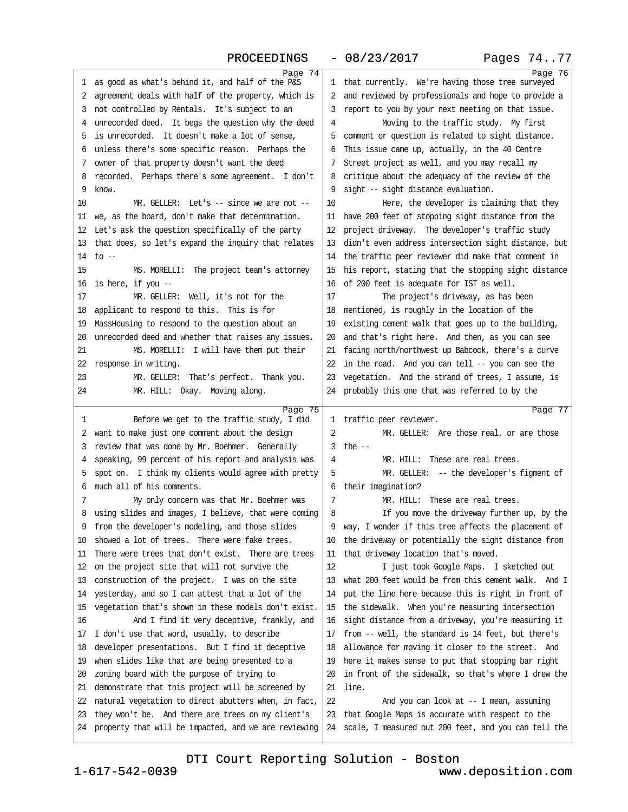<span id="page-19-0"></span>

|    | 1100000011100                                               |    | 00/20/201<br>r ayop                                           |
|----|-------------------------------------------------------------|----|---------------------------------------------------------------|
| 1  | Page 74<br>as good as what's behind it, and half of the P&S |    | Page 76<br>1 that currently. We're having those tree surveyed |
| 2  | agreement deals with half of the property, which is         | 2  | and reviewed by professionals and hope to provide a           |
| 3  | not controlled by Rentals. It's subject to an               | 3  | report to you by your next meeting on that issue.             |
| 4  | unrecorded deed. It begs the question why the deed          | 4  | Moving to the traffic study. My first                         |
| 5  | is unrecorded. It doesn't make a lot of sense,              | 5  | comment or question is related to sight distance.             |
| 6  | unless there's some specific reason. Perhaps the            | 6  | This issue came up, actually, in the 40 Centre                |
| 7  | owner of that property doesn't want the deed                |    | Street project as well, and you may recall my                 |
| 8  | recorded. Perhaps there's some agreement. I don't           | 8  | critique about the adequacy of the review of the              |
| 9  | know.                                                       | 9  | sight -- sight distance evaluation.                           |
| 10 | $MR. GELLER: Let's -- since we are not --$                  | 10 | Here, the developer is claiming that they                     |
| 11 | we, as the board, don't make that determination.            | 11 | have 200 feet of stopping sight distance from the             |
| 12 | Let's ask the question specifically of the party            | 12 | project driveway. The developer's traffic study               |
| 13 | that does, so let's expand the inquiry that relates         | 13 | didn't even address intersection sight distance, but          |
| 14 | $to$ $-$                                                    | 14 | the traffic peer reviewer did make that comment in            |
| 15 | MS. MORELLI: The project team's attorney                    | 15 | his report, stating that the stopping sight distance          |
| 16 | is here, if you --                                          | 16 | of 200 feet is adequate for IST as well.                      |
| 17 | MR. GELLER: Well, it's not for the                          | 17 | The project's driveway, as has been                           |
| 18 | applicant to respond to this. This is for                   | 18 | mentioned, is roughly in the location of the                  |
| 19 | MassHousing to respond to the question about an             | 19 | existing cement walk that goes up to the building,            |
| 20 | unrecorded deed and whether that raises any issues.         | 20 | and that's right here. And then, as you can see               |
| 21 | MS. MORELLI: I will have them put their                     | 21 | facing north/northwest up Babcock, there's a curve            |
| 22 | response in writing.                                        | 22 | in the road. And you can tell -- you can see the              |
| 23 | MR. GELLER: That's perfect. Thank you.                      | 23 | vegetation. And the strand of trees, I assume, is             |
| 24 | MR. HILL: Okay. Moving along.                               |    | 24 probably this one that was referred to by the              |
|    |                                                             |    |                                                               |
|    |                                                             |    |                                                               |
| 1  | Page 75<br>Before we get to the traffic study, I did        |    | Page 77<br>1 traffic peer reviewer.                           |
| 2  | want to make just one comment about the design              | 2  | MR. GELLER: Are those real, or are those                      |
| 3  | review that was done by Mr. Boehmer. Generally              | 3  | the $-$                                                       |
| 4  | speaking, 99 percent of his report and analysis was         | 4  | MR. HILL: These are real trees.                               |
| 5  | spot on. I think my clients would agree with pretty         | 5  | MR. GELLER: -- the developer's figment of                     |
| 6  | much all of his comments.                                   | 6  | their imagination?                                            |
| 7  | My only concern was that Mr. Boehmer was                    | 7  | MR. HILL:<br>These are real trees.                            |
| 8  | using slides and images, I believe, that were coming        | 8  | If you move the driveway further up, by the                   |
| 9  | from the developer's modeling, and those slides             | 9  | way, I wonder if this tree affects the placement of           |
| 10 | showed a lot of trees. There were fake trees.               | 10 | the driveway or potentially the sight distance from           |
| 11 | There were trees that don't exist. There are trees          | 11 | that driveway location that's moved.                          |
| 12 | on the project site that will not survive the               | 12 | I just took Google Maps. I sketched out                       |
| 13 | construction of the project. I was on the site              | 13 | what 200 feet would be from this cement walk. And I           |
| 14 | yesterday, and so I can attest that a lot of the            | 14 | put the line here because this is right in front of           |
| 15 | vegetation that's shown in these models don't exist.        | 15 | the sidewalk. When you're measuring intersection              |
| 16 | And I find it very deceptive, frankly, and                  | 16 | sight distance from a driveway, you're measuring it           |
| 17 | I don't use that word, usually, to describe                 | 17 | from -- well, the standard is 14 feet, but there's            |
| 18 | developer presentations. But I find it deceptive            | 18 | allowance for moving it closer to the street. And             |
| 19 | when slides like that are being presented to a              | 19 | here it makes sense to put that stopping bar right            |
| 20 | zoning board with the purpose of trying to                  | 20 | in front of the sidewalk, so that's where I drew the          |
| 21 | demonstrate that this project will be screened by           | 21 | line.                                                         |
| 22 | natural vegetation to direct abutters when, in fact,        | 22 | And you can look at $-$ I mean, assuming                      |
| 23 | they won't be. And there are trees on my client's           | 23 | that Google Maps is accurate with respect to the              |
| 24 | property that will be impacted, and we are reviewing        | 24 | scale, I measured out 200 feet, and you can tell the          |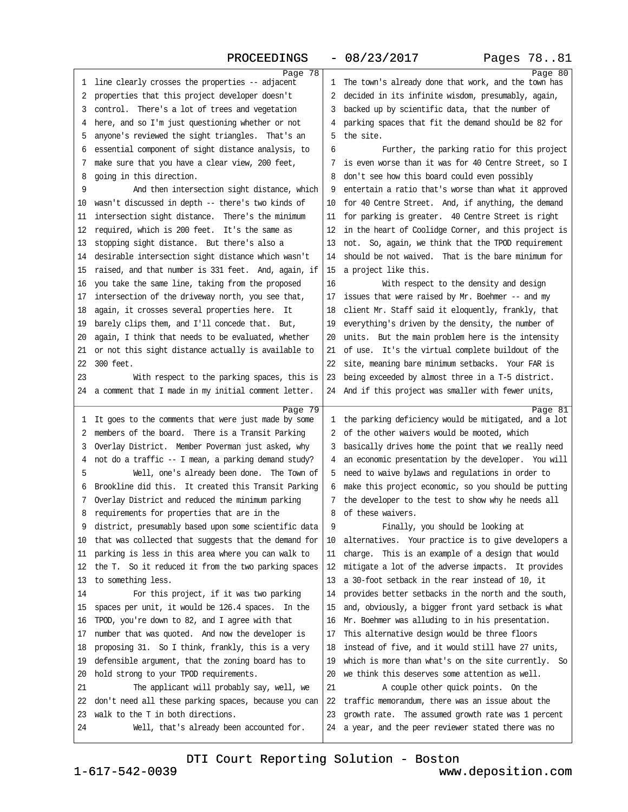<span id="page-20-0"></span>

| 1      | Page $\overline{78}$<br>line clearly crosses the properties -- adjacent                                      | ı      | Page 80<br>The town's already done that work, and the town has                                           |
|--------|--------------------------------------------------------------------------------------------------------------|--------|----------------------------------------------------------------------------------------------------------|
| 2      | properties that this project developer doesn't                                                               | 2      | decided in its infinite wisdom, presumably, again,                                                       |
| 3      | control. There's a lot of trees and vegetation                                                               | 3      | backed up by scientific data, that the number of                                                         |
| 4      | here, and so I'm just questioning whether or not                                                             | 4      | parking spaces that fit the demand should be 82 for                                                      |
| 5      | anyone's reviewed the sight triangles. That's an                                                             | 5      | the site.                                                                                                |
| 6      | essential component of sight distance analysis, to                                                           | 6      | Further, the parking ratio for this project                                                              |
| 7      | make sure that you have a clear view, 200 feet,                                                              | 7      | is even worse than it was for 40 Centre Street, so I                                                     |
| 8      | going in this direction.                                                                                     | 8      | don't see how this board could even possibly                                                             |
| 9      | And then intersection sight distance, which                                                                  | 9      | entertain a ratio that's worse than what it approved                                                     |
| 10     | wasn't discussed in depth -- there's two kinds of                                                            | 10     | for 40 Centre Street. And, if anything, the demand                                                       |
| 11     | intersection sight distance. There's the minimum                                                             | 11     | for parking is greater. 40 Centre Street is right                                                        |
| 12     | required, which is 200 feet. It's the same as                                                                | 12     | in the heart of Coolidge Corner, and this project is                                                     |
| 13     | stopping sight distance. But there's also a                                                                  | 13     | not. So, again, we think that the TPOD requirement                                                       |
| 14     | desirable intersection sight distance which wasn't                                                           | 14     | should be not waived. That is the bare minimum for                                                       |
| 15     | raised, and that number is 331 feet. And, again, if                                                          | 15     | a project like this.                                                                                     |
| 16     | you take the same line, taking from the proposed                                                             | 16     | With respect to the density and design                                                                   |
| 17     | intersection of the driveway north, you see that,                                                            | 17     | issues that were raised by Mr. Boehmer -- and my                                                         |
| 18     | again, it crosses several properties here. It                                                                | 18     | client Mr. Staff said it eloquently, frankly, that                                                       |
| 19     | barely clips them, and I'll concede that. But,                                                               | 19     | everything's driven by the density, the number of                                                        |
| 20     | again, I think that needs to be evaluated, whether                                                           | 20     | units. But the main problem here is the intensity                                                        |
| 21     | or not this sight distance actually is available to                                                          | 21     | of use. It's the virtual complete buildout of the                                                        |
| 22     | 300 feet.                                                                                                    | 22     | site, meaning bare minimum setbacks. Your FAR is                                                         |
| 23     | With respect to the parking spaces, this is                                                                  | 23     | being exceeded by almost three in a T-5 district.                                                        |
| 24     | a comment that I made in my initial comment letter.                                                          |        | 24 And if this project was smaller with fewer units,                                                     |
|        |                                                                                                              |        |                                                                                                          |
|        |                                                                                                              |        |                                                                                                          |
|        | Page 79                                                                                                      |        | Page 81                                                                                                  |
| 1      | It goes to the comments that were just made by some                                                          | 1<br>2 | the parking deficiency would be mitigated, and a lot                                                     |
| 2      | members of the board. There is a Transit Parking                                                             |        | of the other waivers would be mooted, which                                                              |
| 3      | Overlay District. Member Poverman just asked, why                                                            | 3<br>4 | basically drives home the point that we really need                                                      |
| 4<br>5 | not do a traffic -- I mean, a parking demand study?                                                          | 5.     | an economic presentation by the developer. You will                                                      |
| 6      | Well, one's already been done. The Town of<br>Brookline did this. It created this Transit Parking            | 6      | need to waive bylaws and regulations in order to                                                         |
| 7      | Overlay District and reduced the minimum parking                                                             | 7      | make this project economic, so you should be putting                                                     |
| 8      | requirements for properties that are in the                                                                  | 8      | the developer to the test to show why he needs all<br>of these waivers.                                  |
|        |                                                                                                              | 9      |                                                                                                          |
| 10     | district, presumably based upon some scientific data<br>that was collected that suggests that the demand for | 10     | Finally, you should be looking at                                                                        |
| 11     | parking is less in this area where you can walk to                                                           | 11     | alternatives. Your practice is to give developers a<br>charge. This is an example of a design that would |
| 12     | the T. So it reduced it from the two parking spaces                                                          | 12     | mitigate a lot of the adverse impacts. It provides                                                       |
| 13     | to something less.                                                                                           | 13     | a 30-foot setback in the rear instead of 10, it                                                          |
| 14     | For this project, if it was two parking                                                                      | 14     | provides better setbacks in the north and the south,                                                     |
| 15     | spaces per unit, it would be 126.4 spaces. In the                                                            | 15     | and, obviously, a bigger front yard setback is what                                                      |
| 16     | TPOD, you're down to 82, and I agree with that                                                               | 16     | Mr. Boehmer was alluding to in his presentation.                                                         |
| 17     | number that was quoted. And now the developer is                                                             | 17     | This alternative design would be three floors                                                            |
| 18     | proposing 31. So I think, frankly, this is a very                                                            | 18     | instead of five, and it would still have 27 units,                                                       |
| 19     | defensible argument, that the zoning board has to                                                            | 19     | which is more than what's on the site currently. So                                                      |
| 20     | hold strong to your TPOD requirements.                                                                       | 20     | we think this deserves some attention as well.                                                           |
| 21     | The applicant will probably say, well, we                                                                    | 21     | A couple other quick points. On the                                                                      |
| 22     | don't need all these parking spaces, because you can                                                         | 22     | traffic memorandum, there was an issue about the                                                         |
| 23     | walk to the T in both directions.                                                                            | 23     | growth rate. The assumed growth rate was 1 percent                                                       |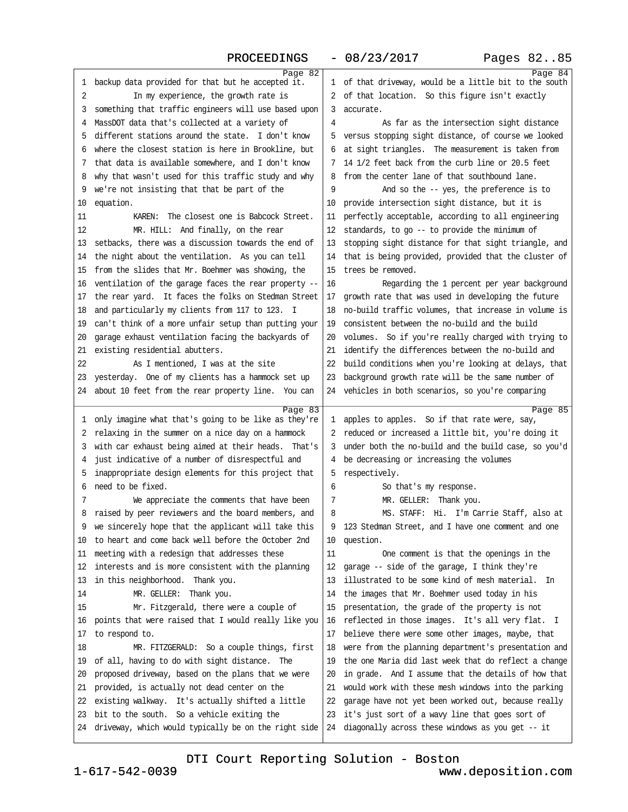<span id="page-21-0"></span>

|    | Page 82                                                         |              | Page 84                                                 |
|----|-----------------------------------------------------------------|--------------|---------------------------------------------------------|
| 1  | backup data provided for that but he accepted it.               | $\mathbf{1}$ | of that driveway, would be a little bit to the south    |
| 2  | In my experience, the growth rate is                            | 2            | of that location. So this figure isn't exactly          |
| 3  | something that traffic engineers will use based upon            | 3            | accurate.                                               |
| 4  | MassDOT data that's collected at a variety of                   | 4            | As far as the intersection sight distance               |
| 5  | different stations around the state. I don't know               | 5            | versus stopping sight distance, of course we looked     |
| 6  | where the closest station is here in Brookline, but             | 6            | at sight triangles. The measurement is taken from       |
| 7  | that data is available somewhere, and I don't know              | 7            | 14 1/2 feet back from the curb line or 20.5 feet        |
| 8  | why that wasn't used for this traffic study and why             | 8            | from the center lane of that southbound lane.           |
| 9  | we're not insisting that that be part of the                    | 9            | And so the -- yes, the preference is to                 |
| 10 | equation.                                                       | 10           | provide intersection sight distance, but it is          |
| 11 | KAREN: The closest one is Babcock Street.                       | 11           | perfectly acceptable, according to all engineering      |
| 12 | MR. HILL: And finally, on the rear                              | 12           | standards, to go -- to provide the minimum of           |
| 13 | setbacks, there was a discussion towards the end of             | 13           | stopping sight distance for that sight triangle, and    |
| 14 | the night about the ventilation. As you can tell                | 14           | that is being provided, provided that the cluster of    |
| 15 | from the slides that Mr. Boehmer was showing, the               | 15           | trees be removed.                                       |
| 16 | ventilation of the garage faces the rear property --            | 16           | Regarding the 1 percent per year background             |
| 17 | the rear yard. It faces the folks on Stedman Street             | 17           | growth rate that was used in developing the future      |
| 18 | and particularly my clients from 117 to 123. I                  | 18           | no-build traffic volumes, that increase in volume is    |
| 19 | can't think of a more unfair setup than putting your            | 19           | consistent between the no-build and the build           |
| 20 | garage exhaust ventilation facing the backyards of              | 20           | volumes. So if you're really charged with trying to     |
| 21 | existing residential abutters.                                  | 21           | identify the differences between the no-build and       |
| 22 | As I mentioned, I was at the site                               | 22           | build conditions when you're looking at delays, that    |
| 23 | yesterday. One of my clients has a hammock set up               | 23           | background growth rate will be the same number of       |
| 24 | about 10 feet from the rear property line. You can              |              | 24 vehicles in both scenarios, so you're comparing      |
|    |                                                                 |              |                                                         |
|    |                                                                 |              |                                                         |
| 1  | Page 83<br>only imagine what that's going to be like as they're | $\mathbf{1}$ | Page 85<br>apples to apples. So if that rate were, say, |
| 2  | relaxing in the summer on a nice day on a hammock               | 2            | reduced or increased a little bit, you're doing it      |
| 3  | with car exhaust being aimed at their heads. That's             | 3            | under both the no-build and the build case, so you'd    |
| 4  | just indicative of a number of disrespectful and                | 4            | be decreasing or increasing the volumes                 |
| 5  | inappropriate design elements for this project that             | 5            | respectively.                                           |
| 6  | need to be fixed.                                               | 6            | So that's my response.                                  |
| 7  | We appreciate the comments that have been                       | 7            | MR. GELLER: Thank you.                                  |
| 8  | raised by peer reviewers and the board members, and             | 8            | MS. STAFF: Hi. I'm Carrie Staff, also at                |
|    | we sincerely hope that the applicant will take this             | 9            | 123 Stedman Street, and I have one comment and one      |
| 10 | to heart and come back well before the October 2nd              | 10           | question.                                               |
| 11 | meeting with a redesign that addresses these                    | 11           | One comment is that the openings in the                 |
| 12 | interests and is more consistent with the planning              | 12           | garage -- side of the garage, I think they're           |
| 13 | in this neighborhood. Thank you.                                | 13           | illustrated to be some kind of mesh material.<br>In     |
| 14 | MR. GELLER: Thank you.                                          | 14           | the images that Mr. Boehmer used today in his           |
| 15 | Mr. Fitzgerald, there were a couple of                          | 15           | presentation, the grade of the property is not          |
| 16 | points that were raised that I would really like you            | 16           | reflected in those images. It's all very flat. I        |
| 17 | to respond to.                                                  | 17           | believe there were some other images, maybe, that       |
| 18 | MR. FITZGERALD: So a couple things, first                       | 18           | were from the planning department's presentation and    |
| 19 | of all, having to do with sight distance. The                   | 19           | the one Maria did last week that do reflect a change    |
| 20 | proposed driveway, based on the plans that we were              | 20           | in grade. And I assume that the details of how that     |
| 21 | provided, is actually not dead center on the                    | 21           | would work with these mesh windows into the parking     |
| 22 | existing walkway. It's actually shifted a little                | 22           | garage have not yet been worked out, because really     |
| 23 | bit to the south. So a vehicle exiting the                      | 23           | it's just sort of a wavy line that goes sort of         |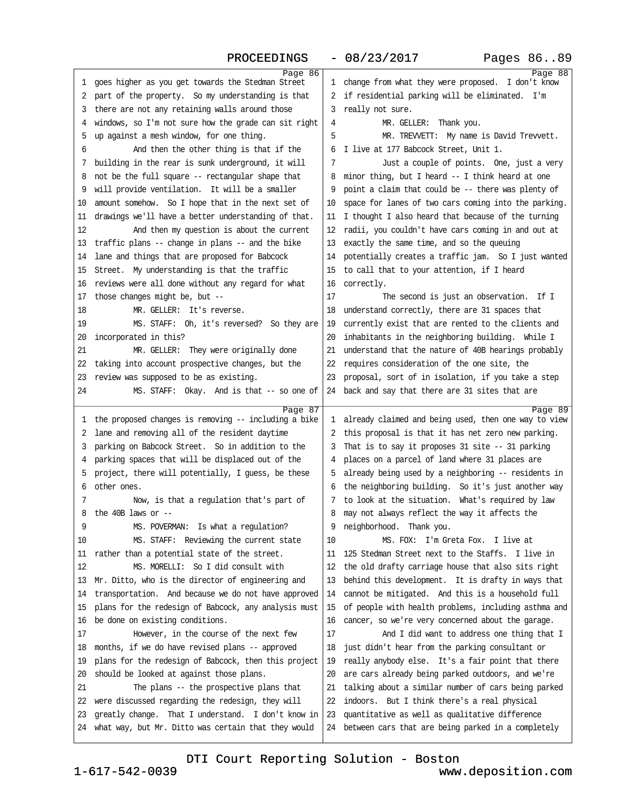PROCEEDINGS - 08/23/2017 Pages 86..89

<span id="page-22-0"></span>

|    | Page 86                                                                                                   |              | Page 88                                                                                              |
|----|-----------------------------------------------------------------------------------------------------------|--------------|------------------------------------------------------------------------------------------------------|
| 1  | goes higher as you get towards the Stedman Street                                                         | $\mathbf{1}$ | change from what they were proposed. I don't know                                                    |
| 2  | part of the property. So my understanding is that                                                         | 2            | if residential parking will be eliminated. I'm                                                       |
| 3  | there are not any retaining walls around those                                                            | 3            | really not sure.                                                                                     |
| 4  | windows, so I'm not sure how the grade can sit right                                                      | 4            | MR. GELLER: Thank you.                                                                               |
| 5  | up against a mesh window, for one thing.                                                                  | 5            | MR. TREVVETT: My name is David Trevvett.                                                             |
| 6  | And then the other thing is that if the                                                                   | 6            | I live at 177 Babcock Street, Unit 1.                                                                |
| 7  | building in the rear is sunk underground, it will                                                         | 7            | Just a couple of points. One, just a very                                                            |
| 8  | not be the full square -- rectangular shape that                                                          | 8            | minor thing, but I heard $-1$ think heard at one                                                     |
| 9  | will provide ventilation. It will be a smaller                                                            | 9            | point a claim that could be -- there was plenty of                                                   |
| 10 | amount somehow. So I hope that in the next set of                                                         | 10           | space for lanes of two cars coming into the parking.                                                 |
| 11 | drawings we'll have a better understanding of that.                                                       | 11           | I thought I also heard that because of the turning                                                   |
| 12 | And then my question is about the current                                                                 | 12           | radii, you couldn't have cars coming in and out at                                                   |
| 13 | traffic plans -- change in plans -- and the bike                                                          | 13           | exactly the same time, and so the queuing                                                            |
| 14 | lane and things that are proposed for Babcock                                                             | 14           | potentially creates a traffic jam. So I just wanted                                                  |
| 15 | Street. My understanding is that the traffic                                                              | 15           | to call that to your attention, if I heard                                                           |
| 16 | reviews were all done without any regard for what                                                         | 16           | correctly.                                                                                           |
| 17 | those changes might be, but --                                                                            | 17           | The second is just an observation. If I                                                              |
| 18 | MR. GELLER: It's reverse.                                                                                 | 18           | understand correctly, there are 31 spaces that                                                       |
| 19 | MS. STAFF: Oh, it's reversed? So they are                                                                 | 19           | currently exist that are rented to the clients and                                                   |
| 20 | incorporated in this?                                                                                     | 20           | inhabitants in the neighboring building. While I                                                     |
| 21 | MR. GELLER: They were originally done                                                                     | 21           | understand that the nature of 40B hearings probably                                                  |
| 22 | taking into account prospective changes, but the                                                          | 22           | requires consideration of the one site, the                                                          |
| 23 | review was supposed to be as existing.                                                                    | 23           | proposal, sort of in isolation, if you take a step                                                   |
| 24 | MS. STAFF: Okay. And is that -- so one of                                                                 | 24           | back and say that there are 31 sites that are                                                        |
|    |                                                                                                           |              |                                                                                                      |
|    |                                                                                                           |              |                                                                                                      |
|    | Page 87                                                                                                   |              | Page 89                                                                                              |
| 1  | the proposed changes is removing -- including a bike                                                      | $\mathbf{1}$ | already claimed and being used, then one way to view                                                 |
| 2  | lane and removing all of the resident daytime                                                             | 2            | this proposal is that it has net zero new parking.                                                   |
| 3  | parking on Babcock Street. So in addition to the                                                          | 3            | That is to say it proposes $31$ site -- $31$ parking                                                 |
| 4  | parking spaces that will be displaced out of the                                                          | 4            | places on a parcel of land where 31 places are                                                       |
| 5  | project, there will potentially, I guess, be these                                                        | 5            | already being used by a neighboring -- residents in                                                  |
| 6  | other ones.                                                                                               | 6            | the neighboring building. So it's just another way                                                   |
| 7  | Now, is that a regulation that's part of                                                                  | 7            | to look at the situation. What's required by law                                                     |
| 8  | the 40B laws or $-$                                                                                       | 8            | may not always reflect the way it affects the                                                        |
| 9  | MS. POVERMAN: Is what a regulation?                                                                       | 9            | neighborhood. Thank you.                                                                             |
| 10 | MS. STAFF: Reviewing the current state                                                                    | 10           | MS. FOX: I'm Greta Fox. I live at                                                                    |
| 11 | rather than a potential state of the street.                                                              | 11           | 125 Stedman Street next to the Staffs. I live in                                                     |
| 12 | MS. MORELLI: So I did consult with                                                                        | 12           | the old drafty carriage house that also sits right                                                   |
| 13 | Mr. Ditto, who is the director of engineering and                                                         | 13           | behind this development. It is drafty in ways that                                                   |
| 14 | transportation. And because we do not have approved                                                       | 14           | cannot be mitigated. And this is a household full                                                    |
| 15 | plans for the redesign of Babcock, any analysis must                                                      | 15           | of people with health problems, including asthma and                                                 |
| 16 | be done on existing conditions.                                                                           | 16           | cancer, so we're very concerned about the garage.                                                    |
| 17 | However, in the course of the next few                                                                    | 17           | And I did want to address one thing that I                                                           |
| 18 | months, if we do have revised plans -- approved                                                           | 18           | just didn't hear from the parking consultant or                                                      |
| 19 | plans for the redesign of Babcock, then this project                                                      | 19           | really anybody else. It's a fair point that there                                                    |
| 20 | should be looked at against those plans.                                                                  | 20           | are cars already being parked outdoors, and we're                                                    |
| 21 | The plans -- the prospective plans that                                                                   | 21           | talking about a similar number of cars being parked                                                  |
| 22 | were discussed regarding the redesign, they will                                                          | 22           | indoors. But I think there's a real physical                                                         |
| 23 | greatly change. That I understand. I don't know in<br>what way, but Mr. Ditto was certain that they would | 23<br>24     | quantitative as well as qualitative difference<br>between cars that are being parked in a completely |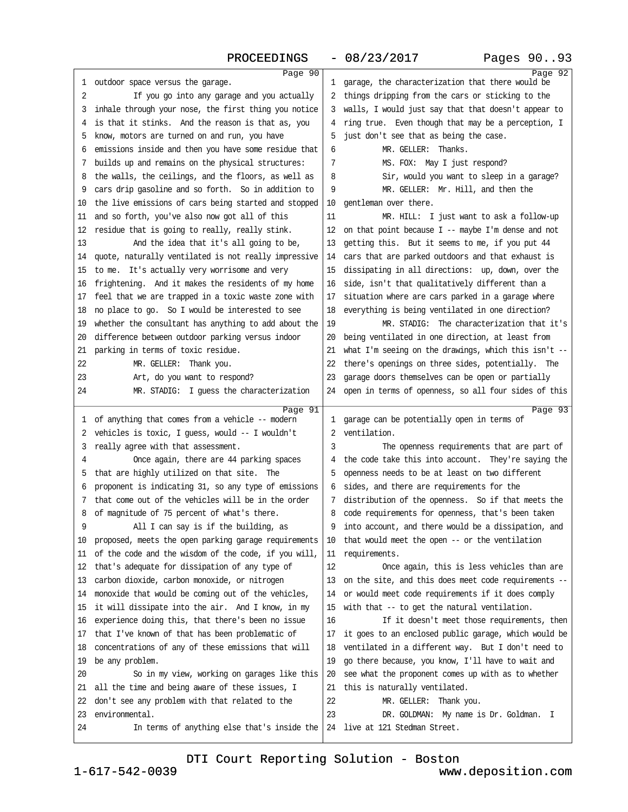<span id="page-23-0"></span>

| 1        | Page 90<br>outdoor space versus the garage.                                                    | $\mathbf{1}$ | Page 92<br>garage, the characterization that there would be |
|----------|------------------------------------------------------------------------------------------------|--------------|-------------------------------------------------------------|
| 2        | If you go into any garage and you actually                                                     | 2            | things dripping from the cars or sticking to the            |
| 3        | inhale through your nose, the first thing you notice                                           | 3            | walls, I would just say that that doesn't appear to         |
| 4        | is that it stinks. And the reason is that as, you                                              | 4            | ring true. Even though that may be a perception, I          |
| 5        | know, motors are turned on and run, you have                                                   | 5            | just don't see that as being the case.                      |
| 6        | emissions inside and then you have some residue that                                           | 6            | MR. GELLER: Thanks.                                         |
| 7        | builds up and remains on the physical structures:                                              | 7            | MS. FOX: May I just respond?                                |
| 8        | the walls, the ceilings, and the floors, as well as                                            | 8            | Sir, would you want to sleep in a garage?                   |
| 9        | cars drip gasoline and so forth. So in addition to                                             | 9            | MR. GELLER: Mr. Hill, and then the                          |
| 10       | the live emissions of cars being started and stopped                                           | 10           | gentleman over there.                                       |
| 11       | and so forth, you've also now got all of this                                                  | 11           | MR. HILL: I just want to ask a follow-up                    |
| 12       | residue that is going to really, really stink.                                                 | 12           | on that point because $I$ -- maybe $I'm$ dense and not      |
| 13       | And the idea that it's all going to be,                                                        | 13           | getting this. But it seems to me, if you put 44             |
| 14       | quote, naturally ventilated is not really impressive                                           | 14           | cars that are parked outdoors and that exhaust is           |
| 15       | to me. It's actually very worrisome and very                                                   | 15           | dissipating in all directions: up, down, over the           |
| 16       | frightening. And it makes the residents of my home                                             | 16           | side, isn't that qualitatively different than a             |
| 17       | feel that we are trapped in a toxic waste zone with                                            | 17           | situation where are cars parked in a garage where           |
| 18       | no place to go. So I would be interested to see                                                | 18           | everything is being ventilated in one direction?            |
| 19       | whether the consultant has anything to add about the                                           | 19           | MR. STADIG: The characterization that it's                  |
| 20       | difference between outdoor parking versus indoor                                               | 20           | being ventilated in one direction, at least from            |
| 21       | parking in terms of toxic residue.                                                             | 21           | what I'm seeing on the drawings, which this isn't $-$       |
| 22       | MR. GELLER: Thank you.                                                                         | 22           | there's openings on three sides, potentially. The           |
| 23       | Art, do you want to respond?                                                                   | 23           | garage doors themselves can be open or partially            |
| 24       | MR. STADIG: I quess the characterization                                                       | 24           | open in terms of openness, so all four sides of this        |
|          |                                                                                                |              |                                                             |
| 1        | Page 91<br>of anything that comes from a vehicle -- modern                                     | 1            | Page 93<br>garage can be potentially open in terms of       |
| 2        | vehicles is toxic, I guess, would -- I wouldn't                                                | 2            | ventilation.                                                |
| 3        | really agree with that assessment.                                                             | 3            | The openness requirements that are part of                  |
| 4        | Once again, there are 44 parking spaces                                                        | 4            | the code take this into account. They're saying the         |
| 5        | that are highly utilized on that site. The                                                     | 5            | openness needs to be at least on two different              |
| 6        | proponent is indicating 31, so any type of emissions                                           | 6            | sides, and there are requirements for the                   |
| 7        | that come out of the vehicles will be in the order                                             | 7            | distribution of the openness. So if that meets the          |
| 8        | of magnitude of 75 percent of what's there.                                                    | 8            | code requirements for openness, that's been taken           |
|          | All I can say is if the building, as                                                           | 9            | into account, and there would be a dissipation, and         |
| 10       | proposed, meets the open parking garage requirements                                           | 10           | that would meet the open -- or the ventilation              |
| 11       | of the code and the wisdom of the code, if you will,                                           | 11           | requirements.                                               |
| 12       | that's adequate for dissipation of any type of                                                 | 12           | Once again, this is less vehicles than are                  |
| 13       | carbon dioxide, carbon monoxide, or nitrogen                                                   | 13           | on the site, and this does meet code requirements --        |
| 14       | monoxide that would be coming out of the vehicles,                                             | 14           | or would meet code requirements if it does comply           |
| 15       | it will dissipate into the air. And I know, in my                                              | 15           | with that -- to get the natural ventilation.                |
| 16       | experience doing this, that there's been no issue                                              | 16           | If it doesn't meet those requirements, then                 |
| 17       | that I've known of that has been problematic of                                                | 17           | it goes to an enclosed public garage, which would be        |
| 18       | concentrations of any of these emissions that will                                             | 18           | ventilated in a different way. But I don't need to          |
| 19       | be any problem.                                                                                | 19           | go there because, you know, I'll have to wait and           |
| 20       | So in my view, working on garages like this                                                    | 20           | see what the proponent comes up with as to whether          |
| 21       | all the time and being aware of these issues, I                                                | 21           | this is naturally ventilated.                               |
| 22       |                                                                                                |              |                                                             |
|          |                                                                                                |              |                                                             |
|          | don't see any problem with that related to the                                                 | 22           | MR. GELLER: Thank you.                                      |
| 23<br>24 | environmental.<br>In terms of anything else that's inside the $24$ live at 121 Stedman Street. | 23           | DR. GOLDMAN: My name is Dr. Goldman. I                      |

[DTI Court Reporting Solution - Boston](http://www.deposition.com)

1-617-542-0039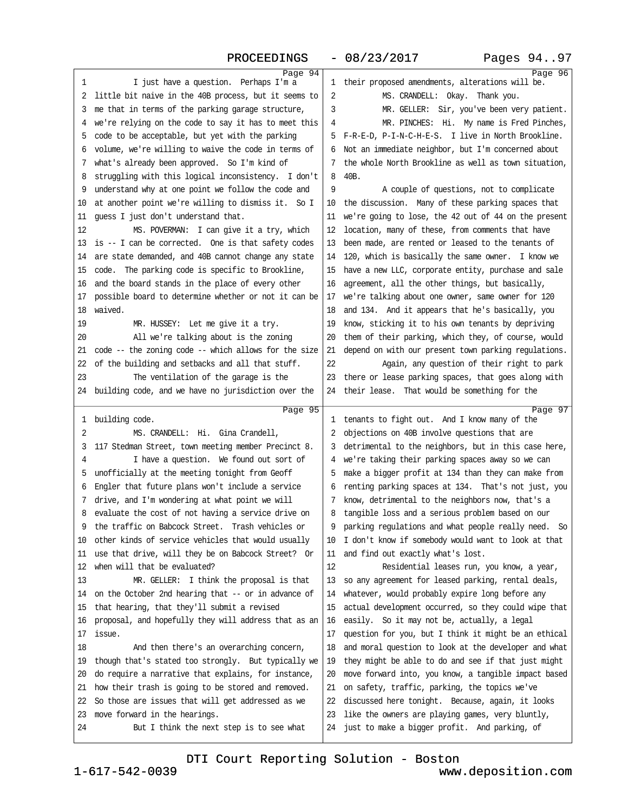<span id="page-24-0"></span>

| 1  | Page 94<br>I just have a question. Perhaps I'm a     | 1  | Page 96<br>their proposed amendments, alterations will be. |
|----|------------------------------------------------------|----|------------------------------------------------------------|
| 2  | little bit naive in the 40B process, but it seems to | 2  | MS. CRANDELL: Okay. Thank you.                             |
| 3  | me that in terms of the parking garage structure,    | 3  | MR. GELLER: Sir, you've been very patient.                 |
| 4  | we're relying on the code to say it has to meet this | 4  | MR. PINCHES: Hi. My name is Fred Pinches,                  |
| 5  | code to be acceptable, but yet with the parking      | 5. | F-R-E-D, P-I-N-C-H-E-S. I live in North Brookline.         |
| 6  | volume, we're willing to waive the code in terms of  | 6  | Not an immediate neighbor, but I'm concerned about         |
| 7  | what's already been approved. So I'm kind of         | 7  | the whole North Brookline as well as town situation,       |
| 8  | struggling with this logical inconsistency. I don't  | 8  | 40B.                                                       |
| 9  | understand why at one point we follow the code and   | 9  | A couple of questions, not to complicate                   |
| 10 | at another point we're willing to dismiss it. So I   | 10 | the discussion. Many of these parking spaces that          |
| 11 | quess I just don't understand that.                  | 11 | we're going to lose, the 42 out of 44 on the present       |
| 12 | MS. POVERMAN: I can give it a try, which             | 12 | location, many of these, from comments that have           |
| 13 | is -- I can be corrected. One is that safety codes   | 13 | been made, are rented or leased to the tenants of          |
| 14 | are state demanded, and 40B cannot change any state  | 14 | 120, which is basically the same owner. I know we          |
| 15 | code. The parking code is specific to Brookline,     | 15 | have a new LLC, corporate entity, purchase and sale        |
| 16 | and the board stands in the place of every other     | 16 | agreement, all the other things, but basically,            |
| 17 | possible board to determine whether or not it can be | 17 | we're talking about one owner, same owner for 120          |
| 18 | waived.                                              | 18 | and 134. And it appears that he's basically, you           |
| 19 | MR. HUSSEY: Let me give it a try.                    | 19 | know, sticking it to his own tenants by depriving          |
| 20 | All we're talking about is the zoning                | 20 | them of their parking, which they, of course, would        |
| 21 | code -- the zoning code -- which allows for the size | 21 | depend on with our present town parking regulations.       |
| 22 | of the building and setbacks and all that stuff.     | 22 | Again, any question of their right to park                 |
| 23 | The ventilation of the garage is the                 | 23 | there or lease parking spaces, that goes along with        |
| 24 | building code, and we have no jurisdiction over the  | 24 | their lease. That would be something for the               |
|    |                                                      |    |                                                            |
|    |                                                      |    |                                                            |
| 1  | Page 95<br>building code.                            | 1  | Page 97<br>tenants to fight out. And I know many of the    |
| 2  | MS. CRANDELL: Hi. Gina Crandell,                     | 2  | objections on 40B involve questions that are               |
| 3  | 117 Stedman Street, town meeting member Precinct 8.  | 3  | detrimental to the neighbors, but in this case here,       |
| 4  | I have a question. We found out sort of              | 4  | we're taking their parking spaces away so we can           |
| 5  | unofficially at the meeting tonight from Geoff       | 5  | make a bigger profit at 134 than they can make from        |
| 6  | Engler that future plans won't include a service     | 6  | renting parking spaces at 134. That's not just, you        |
| 7  | drive, and I'm wondering at what point we will       | 7  | know, detrimental to the neighbors now, that's a           |
| 8  | evaluate the cost of not having a service drive on   | 8  | tangible loss and a serious problem based on our           |
| 9  | the traffic on Babcock Street. Trash vehicles or     | 9  | parking regulations and what people really need. So        |
| 10 | other kinds of service vehicles that would usually   | 10 | I don't know if somebody would want to look at that        |
| 11 | use that drive, will they be on Babcock Street? Or   | 11 | and find out exactly what's lost.                          |
| 12 | when will that be evaluated?                         | 12 | Residential leases run, you know, a year,                  |
| 13 | $MR. GELLER: I think the proposal is that$           | 13 | so any agreement for leased parking, rental deals,         |
| 14 | on the October 2nd hearing that -- or in advance of  | 14 | whatever, would probably expire long before any            |
| 15 | that hearing, that they'll submit a revised          | 15 | actual development occurred, so they could wipe that       |
| 16 | proposal, and hopefully they will address that as an | 16 | easily. So it may not be, actually, a legal                |
| 17 | issue.                                               | 17 | question for you, but I think it might be an ethical       |
| 18 | And then there's an overarching concern,             | 18 | and moral question to look at the developer and what       |
| 19 | though that's stated too strongly. But typically we  | 19 | they might be able to do and see if that just might        |
| 20 | do require a narrative that explains, for instance,  | 20 | move forward into, you know, a tangible impact based       |
| 21 | how their trash is going to be stored and removed.   | 21 | on safety, traffic, parking, the topics we've              |
| 22 | So those are issues that will get addressed as we    | 22 | discussed here tonight. Because, again, it looks           |
| 23 | move forward in the hearings.                        | 23 | like the owners are playing games, very bluntly,           |
| 24 | But I think the next step is to see what             | 24 | just to make a bigger profit. And parking, of              |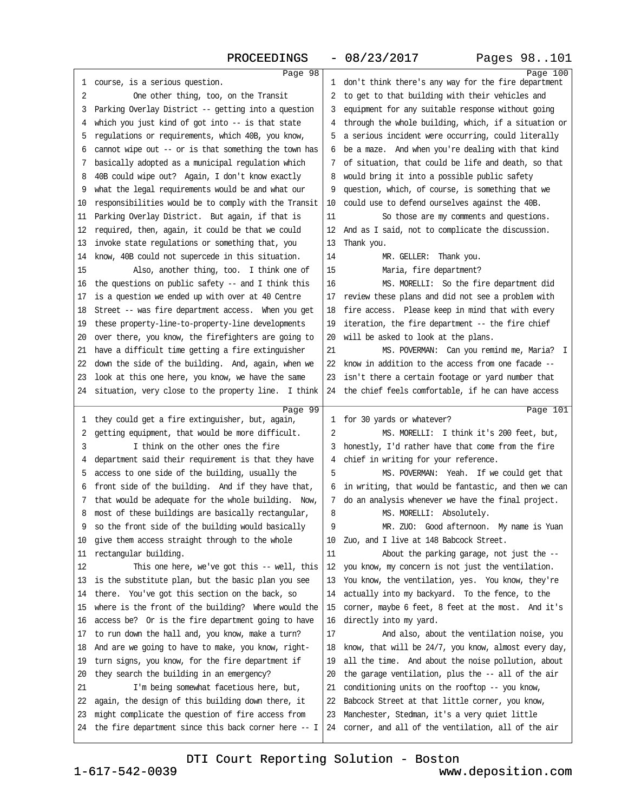<span id="page-25-0"></span>

| 1  | Page 98<br>course, is a serious question.                  |    | Page 100<br>1 don't think there's any way for the fire department |
|----|------------------------------------------------------------|----|-------------------------------------------------------------------|
| 2  | One other thing, too, on the Transit                       | 2  | to get to that building with their vehicles and                   |
| 3  | Parking Overlay District -- getting into a question        | 3  | equipment for any suitable response without going                 |
| 4  | which you just kind of got into -- is that state           | 4  | through the whole building, which, if a situation or              |
| 5  | regulations or requirements, which 40B, you know,          | 5  | a serious incident were occurring, could literally                |
| 6  | cannot wipe out -- or is that something the town has       | 6  | be a maze. And when you're dealing with that kind                 |
| 7  | basically adopted as a municipal regulation which          | 7  | of situation, that could be life and death, so that               |
| 8  | 40B could wipe out? Again, I don't know exactly            | 8  | would bring it into a possible public safety                      |
| 9  | what the legal requirements would be and what our          | 9  | question, which, of course, is something that we                  |
| 10 | responsibilities would be to comply with the Transit       | 10 | could use to defend ourselves against the 40B.                    |
| 11 | Parking Overlay District. But again, if that is            | 11 | So those are my comments and questions.                           |
| 12 | required, then, again, it could be that we could           | 12 | And as I said, not to complicate the discussion.                  |
| 13 | invoke state regulations or something that, you            | 13 | Thank you.                                                        |
| 14 | know, 40B could not supercede in this situation.           | 14 | MR. GELLER: Thank you.                                            |
| 15 | Also, another thing, too. I think one of                   | 15 | Maria, fire department?                                           |
| 16 | the questions on public safety -- and I think this         | 16 | MS. MORELLI: So the fire department did                           |
| 17 | is a question we ended up with over at 40 Centre           | 17 | review these plans and did not see a problem with                 |
| 18 | Street -- was fire department access. When you get         | 18 | fire access. Please keep in mind that with every                  |
| 19 | these property-line-to-property-line developments          | 19 | iteration, the fire department -- the fire chief                  |
| 20 | over there, you know, the firefighters are going to        | 20 | will be asked to look at the plans.                               |
| 21 | have a difficult time getting a fire extinguisher          | 21 | MS. POVERMAN: Can you remind me, Maria? I                         |
| 22 | down the side of the building. And, again, when we         | 22 | know in addition to the access from one facade --                 |
| 23 | look at this one here, you know, we have the same          | 23 | isn't there a certain footage or yard number that                 |
| 24 | situation, very close to the property line. I think        | 24 | the chief feels comfortable, if he can have access                |
|    |                                                            |    |                                                                   |
|    |                                                            |    |                                                                   |
| 1  | Page 99<br>they could get a fire extinguisher, but, again, |    | Page 101<br>1 for 30 yards or whatever?                           |
| 2  | getting equipment, that would be more difficult.           | 2  | MS. MORELLI: I think it's 200 feet, but,                          |
| 3  | I think on the other ones the fire                         | 3  | honestly, I'd rather have that come from the fire                 |
| 4  | department said their requirement is that they have        | 4  | chief in writing for your reference.                              |
| 5  | access to one side of the building, usually the            | 5  | MS. POVERMAN: Yeah. If we could get that                          |
| 6  | front side of the building. And if they have that,         | 6  | in writing, that would be fantastic, and then we can              |
| 7  | that would be adequate for the whole building. Now,        | 7  | do an analysis whenever we have the final project.                |
| 8  | most of these buildings are basically rectangular,         | 8  | MS. MORELLI: Absolutely.                                          |
| 9  | so the front side of the building would basically          | 9  | MR. ZUO: Good afternoon. My name is Yuan                          |
| 10 | give them access straight through to the whole             | 10 | Zuo, and I live at 148 Babcock Street.                            |
| 11 | rectangular building.                                      | 11 | About the parking garage, not just the --                         |
| 12 | This one here, we've got this -- well, this                | 12 | you know, my concern is not just the ventilation.                 |
| 13 | is the substitute plan, but the basic plan you see         | 13 | You know, the ventilation, yes. You know, they're                 |
| 14 | there. You've got this section on the back, so             | 14 | actually into my backyard. To the fence, to the                   |
| 15 | where is the front of the building? Where would the        | 15 | corner, maybe 6 feet, 8 feet at the most. And it's                |
| 16 | access be? Or is the fire department going to have         | 16 | directly into my yard.                                            |
| 17 | to run down the hall and, you know, make a turn?           | 17 | And also, about the ventilation noise, you                        |
| 18 | And are we going to have to make, you know, right-         | 18 | know, that will be 24/7, you know, almost every day,              |
| 19 | turn signs, you know, for the fire department if           | 19 | all the time. And about the noise pollution, about                |
| 20 | they search the building in an emergency?                  | 20 | the garage ventilation, plus the -- all of the air                |
| 21 | I'm being somewhat facetious here, but,                    | 21 | conditioning units on the rooftop -- you know,                    |
| 22 | again, the design of this building down there, it          | 22 | Babcock Street at that little corner, you know,                   |
| 23 | might complicate the question of fire access from          | 23 | Manchester, Stedman, it's a very quiet little                     |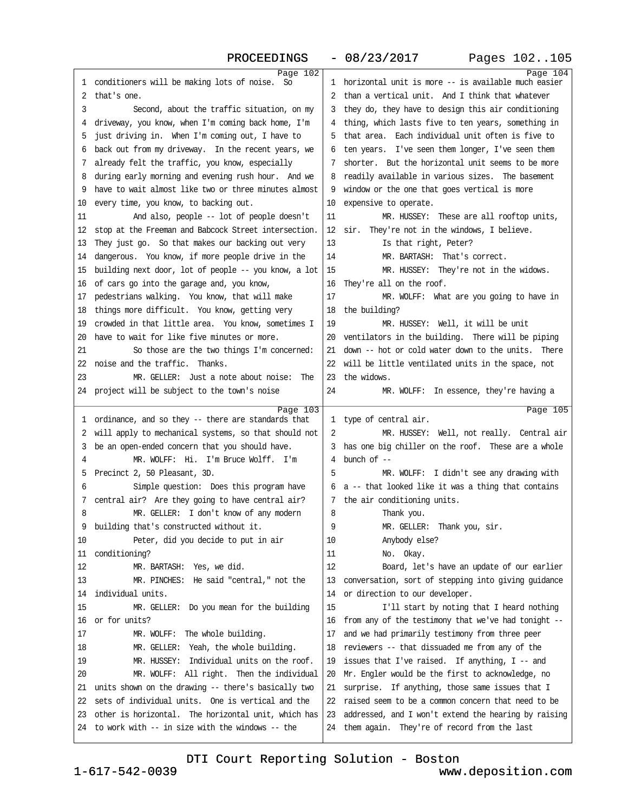<span id="page-26-0"></span>

|              | PROCEEDINGS                                                                                            |          | Pages 102105<br>$-08/23/2017$                                                                       |
|--------------|--------------------------------------------------------------------------------------------------------|----------|-----------------------------------------------------------------------------------------------------|
|              | Page 102                                                                                               |          | Page 104                                                                                            |
| $\mathbf{1}$ | conditioners will be making lots of noise.<br>So                                                       |          | 1 horizontal unit is more -- is available much easier                                               |
| 2            | that's one.                                                                                            | 2        | than a vertical unit. And I think that whatever                                                     |
| 3            | Second, about the traffic situation, on my                                                             | 3        | they do, they have to design this air conditioning                                                  |
| 4            | driveway, you know, when I'm coming back home, I'm                                                     | 4        | thing, which lasts five to ten years, something in                                                  |
| 5            | just driving in. When I'm coming out, I have to                                                        | 5        | that area. Each individual unit often is five to                                                    |
| 6            | back out from my driveway. In the recent years, we                                                     | 6        | ten years. I've seen them longer, I've seen them                                                    |
| 7            | already felt the traffic, you know, especially                                                         | 7        | shorter. But the horizontal unit seems to be more                                                   |
| 8            | during early morning and evening rush hour. And we                                                     | 8        | readily available in various sizes. The basement                                                    |
| 9            | have to wait almost like two or three minutes almost                                                   | 9        | window or the one that goes vertical is more                                                        |
| 10           | every time, you know, to backing out.                                                                  | 10       | expensive to operate.                                                                               |
| 11           | And also, people -- lot of people doesn't                                                              | 11       | MR. HUSSEY: These are all rooftop units,                                                            |
| 12           | stop at the Freeman and Babcock Street intersection.                                                   | 12       | They're not in the windows, I believe.<br>sir.                                                      |
| 13           | They just go. So that makes our backing out very                                                       | 13       | Is that right, Peter?                                                                               |
| 14           | dangerous. You know, if more people drive in the                                                       | 14       | MR. BARTASH: That's correct.                                                                        |
| 15           | building next door, lot of people -- you know, a lot                                                   | 15       | MR. HUSSEY: They're not in the widows.                                                              |
| 16           | of cars go into the garage and, you know,                                                              | 16       | They're all on the roof.                                                                            |
| 17           | pedestrians walking. You know, that will make                                                          | 17       | MR. WOLFF: What are you going to have in                                                            |
| 18           | things more difficult. You know, getting very                                                          | 18       | the building?                                                                                       |
| 19           | crowded in that little area. You know, sometimes I                                                     | 19       | MR. HUSSEY: Well, it will be unit                                                                   |
| 20           | have to wait for like five minutes or more.                                                            | 20       | ventilators in the building. There will be piping                                                   |
| 21           | So those are the two things I'm concerned:                                                             | 21       | down -- hot or cold water down to the units. There                                                  |
| 22           | noise and the traffic. Thanks.                                                                         | 22       | will be little ventilated units in the space, not                                                   |
| 23           | MR. GELLER: Just a note about noise: The                                                               | 23       | the widows.                                                                                         |
|              | 24 project will be subject to the town's noise                                                         | 24       | MR. WOLFF: In essence, they're having a                                                             |
|              | Page $103$                                                                                             |          | Page 105                                                                                            |
|              | 1 ordinance, and so they -- there are standards that                                                   |          | 1 type of central air.                                                                              |
| 2            | will apply to mechanical systems, so that should not                                                   | 2        | MR. HUSSEY: Well, not really. Central air                                                           |
| 3            | be an open-ended concern that you should have.                                                         |          | 3 has one big chiller on the roof. These are a whole                                                |
| 4            | MR. WOLFF: Hi. I'm Bruce Wolff. I'm                                                                    |          | 4 bunch of $-$                                                                                      |
|              |                                                                                                        |          |                                                                                                     |
| 5            | Precinct 2, 50 Pleasant, 3D.                                                                           | 5        | MR. WOLFF: I didn't see any drawing with                                                            |
| 6            | Simple question: Does this program have                                                                |          | 6 a -- that looked like it was a thing that contains                                                |
| 7            | central air? Are they going to have central air?                                                       |          | 7 the air conditioning units.                                                                       |
| 8            | MR. GELLER: I don't know of any modern                                                                 | 8        | Thank you.                                                                                          |
| 9            | building that's constructed without it.                                                                | 9        | MR. GELLER: Thank you, sir.                                                                         |
| 10           | Peter, did you decide to put in air                                                                    | 10       | Anybody else?                                                                                       |
| 11           | conditioning?                                                                                          | 11       | No. Okay.                                                                                           |
| 12           | MR. BARTASH: Yes, we did.                                                                              | 12       | Board, let's have an update of our earlier                                                          |
| 13           | MR. PINCHES: He said "central," not the                                                                | 13       | conversation, sort of stepping into giving quidance                                                 |
| 14           | individual units.                                                                                      | 14       | or direction to our developer.                                                                      |
| 15           | MR. GELLER: Do you mean for the building                                                               | 15       | I'll start by noting that I heard nothing                                                           |
| 16           | or for units?                                                                                          | 16       | from any of the testimony that we've had tonight --                                                 |
| 17           | The whole building.<br>MR. WOLFF:                                                                      | 17       | and we had primarily testimony from three peer                                                      |
| 18           | MR. GELLER: Yeah, the whole building.                                                                  | 18       | reviewers -- that dissuaded me from any of the                                                      |
| 19           | Individual units on the roof.<br>MR. HUSSEY:                                                           | 19       | issues that I've raised. If anything, I -- and                                                      |
| 20           | MR. WOLFF: All right. Then the individual                                                              | 20       | Mr. Engler would be the first to acknowledge, no                                                    |
| 21           | units shown on the drawing -- there's basically two                                                    | 21       | surprise. If anything, those same issues that I                                                     |
| 22           | sets of individual units. One is vertical and the                                                      | 22       | raised seem to be a common concern that need to be                                                  |
| 23           | other is horizontal. The horizontal unit, which has<br>to work with -- in size with the windows -- the | 23<br>24 | addressed, and I won't extend the hearing by raising<br>them again. They're of record from the last |

1-617-542-0039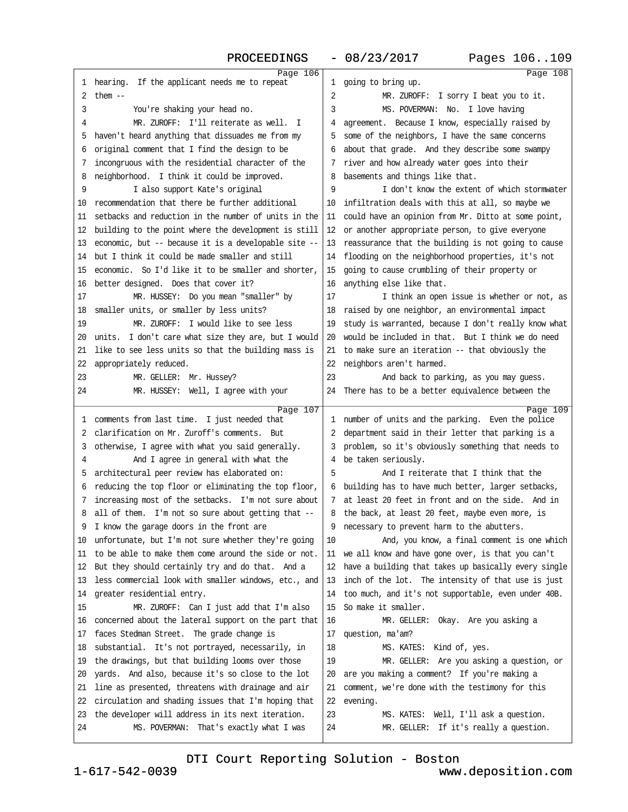<span id="page-27-0"></span>Page 106 1 hearing. If the applicant needs me to repeat  $2$  them  $--$ 3 · · · You're shaking your head no. 4 MR. ZUROFF: I'll reiterate as well. I 5 haven't heard anything that dissuades me from my ·6· original comment that I find the design to be 7 incongruous with the residential character of the 8 neighborhood. I think it could be improved. 9 I also support Kate's original 10 recommendation that there be further additional 11· setbacks and reduction in the number of units in the 12 building to the point where the development is still 13 economic, but -- because it is a developable site --14· but I think it could be made smaller and still 15 economic. So I'd like it to be smaller and shorter, 16 better designed. Does that cover it? 17 MR. HUSSEY: Do you mean "smaller" by 18 smaller units, or smaller by less units? 19 MR. ZUROFF: I would like to see less 20 units. I don't care what size they are, but I would 21 like to see less units so that the building mass is 22 appropriately reduced. 23 MR. GELLER: Mr. Hussey? 24 MR. HUSSEY: Well, I agree with your Page 107 1 comments from last time. I just needed that 2 clarification on Mr. Zuroff's comments. But 3 otherwise, I agree with what you said generally. ·4· · · · · ·And I agree in general with what the 5 architectural peer review has elaborated on: 6 reducing the top floor or eliminating the top floor, 7 increasing most of the setbacks. I'm not sure about 8 all of them. I'm not so sure about getting that --9 I know the garage doors in the front are 10· unfortunate, but I'm not sure whether they're going 11 to be able to make them come around the side or not. 12 But they should certainly try and do that. And a 13 less commercial look with smaller windows, etc., and 14 greater residential entry. 15 MR. ZUROFF: Can I just add that I'm also 16 concerned about the lateral support on the part that  $|16|$ 17 faces Stedman Street. The grade change is 18 substantial. It's not portrayed, necessarily, in 19 the drawings, but that building looms over those 20 yards. And also, because it's so close to the lot 21 line as presented, threatens with drainage and air 22 circulation and shading issues that I'm hoping that 23 the developer will address in its next iteration. 24 MS. POVERMAN: That's exactly what I was Page 108 1 going to bring up. 2 MR. ZUROFF: I sorry I beat you to it. 3 MS. POVERMAN: No. I love having 4 agreement. Because I know, especially raised by 5 some of the neighbors, I have the same concerns 6 about that grade. And they describe some swampy 7 river and how already water goes into their 8 basements and things like that. 9 I don't know the extent of which stormwater 10· infiltration deals with this at all, so maybe we 11 could have an opinion from Mr. Ditto at some point, 12 or another appropriate person, to give everyone 13 reassurance that the building is not going to cause flooding on the neighborhood properties, it's not 15 going to cause crumbling of their property or 16 anything else like that. 17 I think an open issue is whether or not, as 18 raised by one neighbor, an environmental impact 19 study is warranted, because I don't really know what 20 would be included in that. But I think we do need 21 to make sure an iteration -- that obviously the 22 neighbors aren't harmed. 23 · · · · · And back to parking, as you may guess. 24 There has to be a better equivalence between the Page 109 1 number of units and the parking. Even the police 2 department said in their letter that parking is a 3 problem, so it's obviously something that needs to 4 be taken seriously. 5 · · · · · And I reiterate that I think that the 6 building has to have much better, larger setbacks, 7 at least 20 feet in front and on the side. And in 8 the back, at least 20 feet, maybe even more, is 9 necessary to prevent harm to the abutters. 10 · · · · And, you know, a final comment is one which 11 we all know and have gone over, is that you can't 12 have a building that takes up basically every single 13 inch of the lot. The intensity of that use is just 14 too much, and it's not supportable, even under 40B. 15· So make it smaller. MR. GELLER: Okay. Are you asking a 17 question, ma'am? 18 **MS. KATES:** Kind of, yes. 19 MR. GELLER: Are you asking a question, or 20 are you making a comment? If you're making a 21 comment, we're done with the testimony for this 22 evening. 23 MS. KATES: Well, I'll ask a question. 24 MR. GELLER: If it's really a question.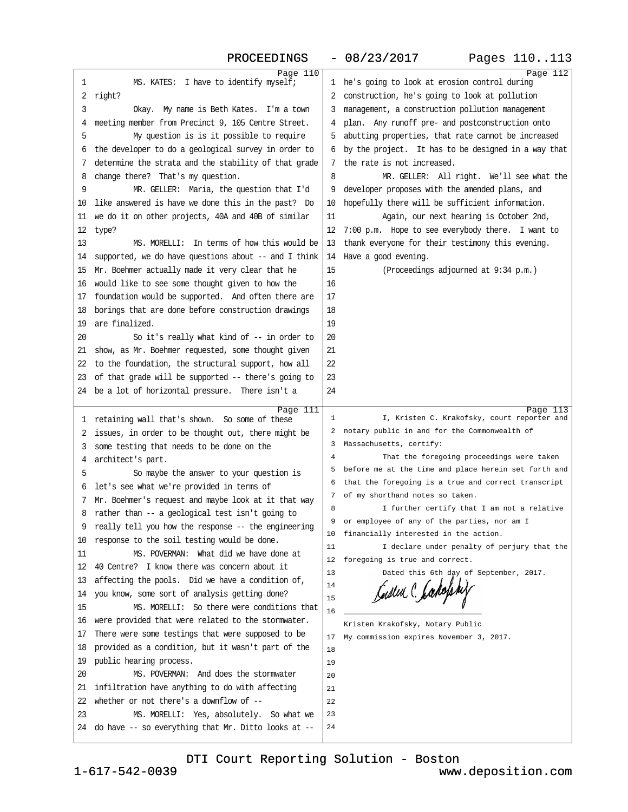<span id="page-28-0"></span>

|    | PROCEEDINGS                                               |          | Pages 110113<br>$-08/23/2017$                                                        |
|----|-----------------------------------------------------------|----------|--------------------------------------------------------------------------------------|
|    | Page 110                                                  |          | Page 112                                                                             |
| 1  | MS. KATES: I have to identify myself;                     | 1        | he's going to look at erosion control during                                         |
| 2  | right?                                                    | 2        | construction, he's going to look at pollution                                        |
| 3  | Okay. My name is Beth Kates. I'm a town                   | 3        | management, a construction pollution management                                      |
| 4  | meeting member from Precinct 9, 105 Centre Street.        | 4        | plan. Any runoff pre- and postconstruction onto                                      |
| 5  | My question is is it possible to require                  |          | abutting properties, that rate cannot be increased                                   |
| 6  | the developer to do a geological survey in order to       | 6        | by the project. It has to be designed in a way that                                  |
| 7  | determine the strata and the stability of that grade      | 7        | the rate is not increased.                                                           |
| 8  | change there? That's my question.                         | 8        | MR. GELLER: All right. We'll see what the                                            |
| 9  | MR. GELLER: Maria, the question that I'd                  | 9        | developer proposes with the amended plans, and                                       |
| 10 | like answered is have we done this in the past? Do        | 10       | hopefully there will be sufficient information.                                      |
| 11 | we do it on other projects, 40A and 40B of similar        | 11       | Again, our next hearing is October 2nd,                                              |
| 12 | type?                                                     | 12       | 7:00 p.m. Hope to see everybody there. I want to                                     |
| 13 | MS. MORELLI: In terms of how this would be                | 13       | thank everyone for their testimony this evening.                                     |
| 14 | supported, we do have questions about -- and I think      | 14       | Have a good evening.                                                                 |
| 15 | Mr. Boehmer actually made it very clear that he           | 15       | (Proceedings adjourned at 9:34 p.m.)                                                 |
| 16 | would like to see some thought given to how the           | 16       |                                                                                      |
| 17 | foundation would be supported. And often there are        | 17       |                                                                                      |
| 18 | borings that are done before construction drawings        | 18       |                                                                                      |
| 19 | are finalized.                                            | 19       |                                                                                      |
| 20 | So it's really what kind of -- in order to                | 20       |                                                                                      |
| 21 | show, as Mr. Boehmer requested, some thought given        | 21       |                                                                                      |
| 22 | to the foundation, the structural support, how all        | 22       |                                                                                      |
| 23 | of that grade will be supported -- there's going to       | 23       |                                                                                      |
| 24 | be a lot of horizontal pressure. There isn't a            | 24       |                                                                                      |
|    | Page 111                                                  |          | Page 113                                                                             |
| T  | retaining wall that's shown. So some of these             | 1        | I, Kristen C. Krakofsky, court reporter and                                          |
| 2  | issues, in order to be thought out, there might be        |          | notary public in and for the Commonwealth of                                         |
| 3  | some testing that needs to be done on the                 | 3        | Massachusetts, certify:                                                              |
| 4  | architect's part.                                         | 4        | That the foregoing proceedings were taken                                            |
| 5  | So maybe the answer to your question is                   |          | before me at the time and place herein set forth and                                 |
| 6  | let's see what we're provided in terms of                 | 6        | that the foregoing is a true and correct transcript                                  |
| 7  | Mr. Boehmer's request and maybe look at it that way       | 7        | of my shorthand notes so taken.                                                      |
|    | rather than -- a geological test isn't going to           | 8        | I further certify that I am not a relative                                           |
| 9  | really tell you how the response -- the engineering       | 9        | or employee of any of the parties, nor am I                                          |
| 10 | response to the soil testing would be done.               | 10<br>11 | financially interested in the action.<br>I declare under penalty of perjury that the |
| 11 | MS. POVERMAN: What did we have done at                    | 12       | foregoing is true and correct.                                                       |
| 12 | 40 Centre? I know there was concern about it              | 13       | Dated this 6th day of September, 2017.                                               |
| 13 | affecting the pools. Did we have a condition of,          | 14       |                                                                                      |
| 14 | you know, some sort of analysis getting done?             | 15       | Castea C. Ladoph                                                                     |
| 15 | MS. MORELLI: So there were conditions that                | 16       |                                                                                      |
| 16 | were provided that were related to the stormwater.        |          | Kristen Krakofsky, Notary Public                                                     |
| 17 | There were some testings that were supposed to be         | 17       | My commission expires November 3, 2017.                                              |
| 18 | provided as a condition, but it wasn't part of the        | 18       |                                                                                      |
| 19 | public hearing process.                                   | 19       |                                                                                      |
| 20 | MS. POVERMAN: And does the stormwater                     | 20       |                                                                                      |
| 21 | infiltration have anything to do with affecting           | 21       |                                                                                      |
| 22 | whether or not there's a downflow of --                   | 22       |                                                                                      |
| 23 | MS. MORELLI: Yes, absolutely. So what we                  | 23       |                                                                                      |
| 24 | do have $-$ - so everything that Mr. Ditto looks at $-$ - | 24       |                                                                                      |
|    |                                                           |          |                                                                                      |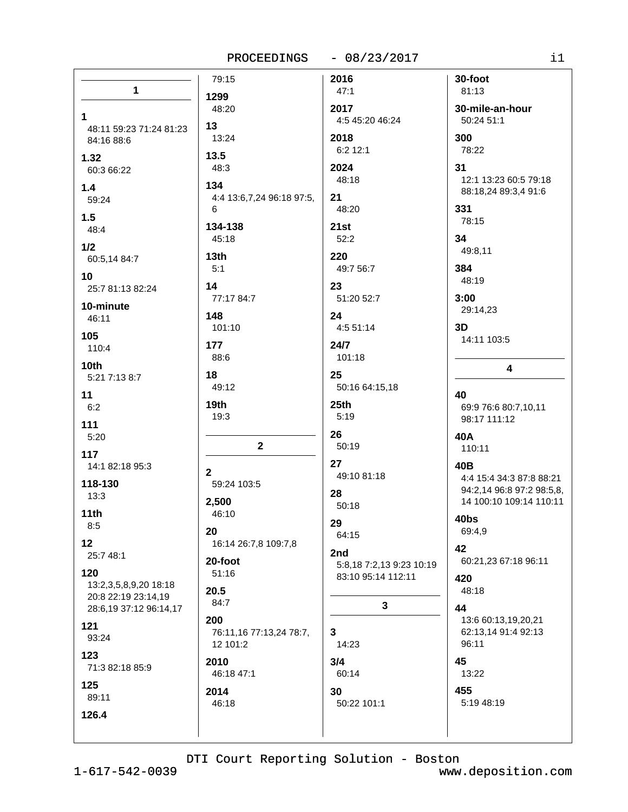|                                     | 79:15                       | 2016                     | 30-foot                                       |
|-------------------------------------|-----------------------------|--------------------------|-----------------------------------------------|
| 1                                   | 1299                        | 47:1                     | 81:13                                         |
|                                     | 48:20                       | 2017                     | 30-mile-an-hour                               |
| 1                                   |                             | 4:5 45:20 46:24          | 50:24 51:1                                    |
| 48:11 59:23 71:24 81:23             | 13                          |                          |                                               |
| 84:16 88:6                          | 13:24                       | 2018<br>6:2 12:1         | 300<br>78:22                                  |
| 1.32                                | 13.5                        |                          |                                               |
| 60:3 66:22                          | 48:3                        | 2024                     | 31                                            |
| 1.4                                 | 134                         | 48:18                    | 12:1 13:23 60:5 79:18<br>88:18,24 89:3,4 91:6 |
| 59:24                               | 4:4 13:6,7,24 96:18 97:5,   | 21                       |                                               |
| 1.5                                 | 6                           | 48:20                    | 331                                           |
| 48:4                                | 134-138                     | 21st                     | 78:15                                         |
| 1/2                                 | 45:18                       | 52:2                     | 34                                            |
| 60:5,14 84:7                        | 13th                        | 220                      | 49:8,11                                       |
|                                     | 5:1                         | 49:7 56:7                | 384                                           |
| 10 <sub>1</sub><br>25:7 81:13 82:24 | 14                          | 23                       | 48:19                                         |
|                                     | 77:17 84:7                  | 51:20 52:7               | 3:00                                          |
| 10-minute                           | 148                         | 24                       | 29:14,23                                      |
| 46:11                               | 101:10                      | 4:551:14                 | 3D                                            |
| 105                                 | 177                         | 24/7                     | 14:11 103:5                                   |
| 110:4                               | 88:6                        | 101:18                   |                                               |
| 10 <sub>th</sub>                    |                             |                          | 4                                             |
| 5:21 7:13 8:7                       | 18<br>49:12                 | 25<br>50:16 64:15,18     |                                               |
| 11                                  |                             |                          | 40                                            |
| 6:2                                 | 19th                        | 25th                     | 69:9 76:6 80:7,10,11                          |
| 111                                 | 19:3                        | 5:19                     | 98:17 111:12                                  |
| 5:20                                |                             | 26                       | 40A                                           |
| 117                                 | $\mathbf{2}$                | 50:19                    | 110:11                                        |
| 14:1 82:18 95:3                     |                             | 27                       | 40B                                           |
| 118-130                             | $\mathbf{2}$<br>59:24 103:5 | 49:10 81:18              | 4:4 15:4 34:3 87:8 88:21                      |
| 13:3                                |                             | 28                       | 94:2,14 96:8 97:2 98:5,8,                     |
| 11th                                | 2,500<br>46:10              | 50:18                    | 14 100:10 109:14 110:11                       |
| 8:5                                 |                             | 29                       | 40bs                                          |
|                                     | 20                          | 64:15                    | 69:4,9                                        |
| 12<br>25:7 48:1                     | 16:14 26:7,8 109:7,8        | 2nd                      | 42                                            |
|                                     | 20-foot                     | 5:8,18 7:2,13 9:23 10:19 | 60:21,23 67:18 96:11                          |
| 120<br>13:2,3,5,8,9,20 18:18        | 51:16                       | 83:10 95:14 112:11       | 420                                           |
| 20:8 22:19 23:14,19                 | 20.5                        |                          | 48:18                                         |
| 28:6,19 37:12 96:14,17              | 84:7                        | 3                        | 44                                            |
| 121                                 | 200                         |                          | 13:6 60:13,19,20,21                           |
| 93:24                               | 76:11,16 77:13,24 78:7,     | 3                        | 62:13,14 91:4 92:13                           |
| 123                                 | 12 101:2                    | 14:23                    | 96:11                                         |
| 71:3 82:18 85:9                     | 2010                        | 3/4                      | 45                                            |
|                                     | 46:18 47:1                  | 60:14                    | 13:22                                         |
| 125<br>89:11                        | 2014                        | 30                       | 455                                           |
|                                     | 46:18                       | 50:22 101:1              | 5:19 48:19                                    |
| 126.4                               |                             |                          |                                               |
|                                     |                             |                          |                                               |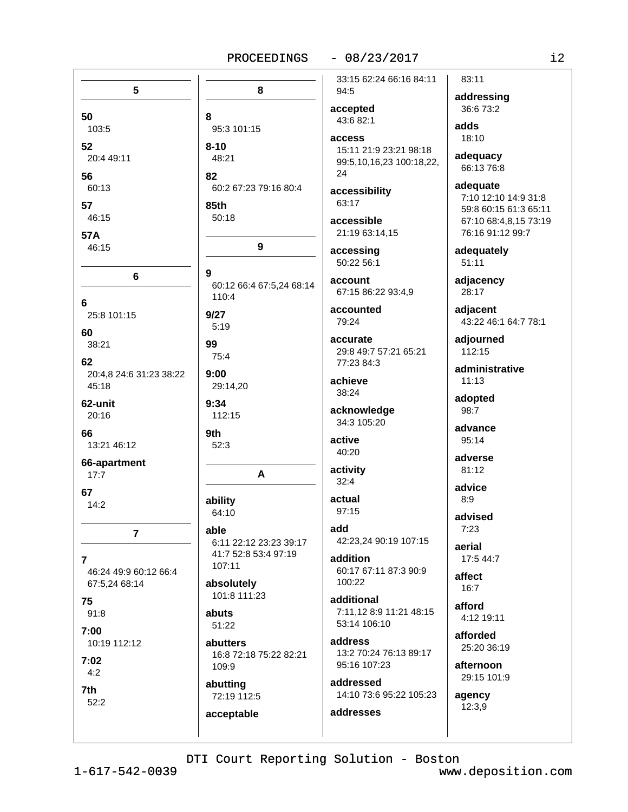### $-08/23/2017$

5 8 50 8 103:5 95:3 101:15 52  $8 - 10$ 20:4 49:11 48:21 56 82 60:13 60:2 67:23 79:16 80:4  $85th$ 57  $46.15$  $50.18$ **57A** 46:15 9 9 6 60:12 66:4 67:5,24 68:14 110:4 6 25:8 101:15  $9/27$  $5:19$ 60 99 38:21 75:4 62 20:4.8 24:6 31:23 38:22  $9:00$  $45:18$ 29:14,20 62-unit  $9:34$ 112:15  $20:16$ 66 9th 13:21 46:12  $52:3$ 66-apartment A  $17:7$ 67 ability  $14:2$ 64:10 able  $\overline{7}$ 6:11 22:12 23:23 39:17 41:7 52:8 53:4 97:19  $\overline{7}$  $107:11$ 46:24 49:9 60:12 66:4 absolutely 67:5,24 68:14 101:8 111:23 75 abuts  $91:8$ 51:22  $7:00$ 10:19 112:12 abutters 16:8 72:18 75:22 82:21  $7:02$ 109:9  $4:2$ abutting 7th 72:19 112:5  $52:2$ acceptable

33:15 62:24 66:16 84:11 94:5 accepted 43:6 82:1 **access** 15:11 21:9 23:21 98:18 99:5,10,16,23 100:18,22, 24

accessibility 63:17

accessible 21:19 63:14,15

accessing 50:22 56:1

account 67:15 86:22 93:4,9

accounted 79:24

accurate 29:8 49:7 57:21 65:21 77:23 84:3

achieve 38:24

acknowledge 34:3 105:20

active 40:20

activity  $32:4$ 

actual  $97:15$ 

add 42:23,24 90:19 107:15

addition 60:17 67:11 87:3 90:9 100:22

additional 7:11.12 8:9 11:21 48:15  $53.14106.10$ 

address 13:2 70:24 76:13 89:17 95:16 107:23

addressed 14:10 73:6 95:22 105:23

addresses

addressing 36:6 73:2 adds  $18:10$ 

83:11

adequacy 66:13 76:8

adequate 7:10 12:10 14:9 31:8 59:8 60:15 61:3 65:11 67:10 68:4,8,15 73:19 76:16 91:12 99:7

adequately 51:11

adjacency 28:17

adjacent 43:22 46:1 64:7 78:1

adjourned 112:15

administrative  $11:13$ 

adopted 98:7

advance 95:14

adverse  $81.12$ 

advice  $8:9$ 

advised  $7.23$ 

aerial 17:5 44:7

affect  $16:7$ 

afford 4:12 19:11

afforded 25:20 36:19

afternoon 29:15 101:9

agency  $12:3.9$ 

DTI Court Reporting Solution - Boston

 $1 - 617 - 542 - 0039$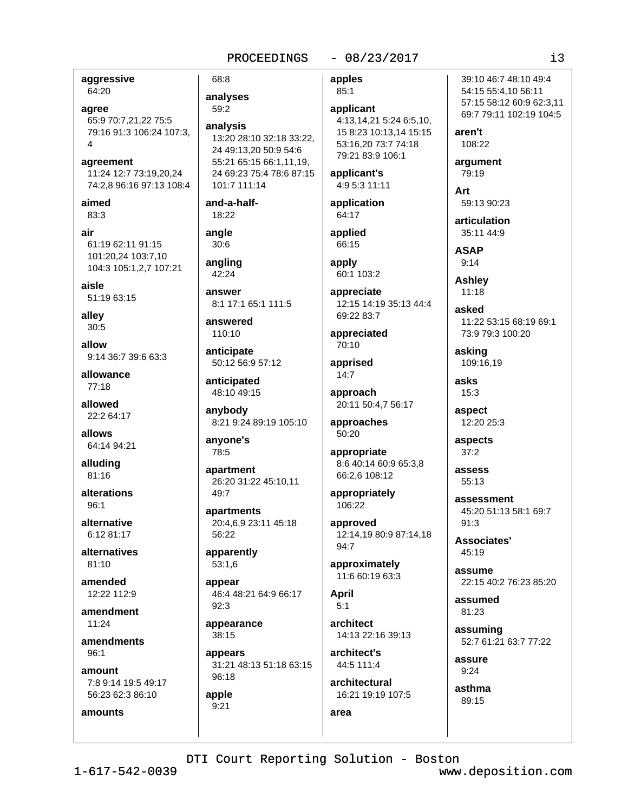## $-08/23/2017$

aggressive 64:20 agree 65:9 70:7,21,22 75:5 79:16 91:3 106:24 107:3. agreement 11:24 12:7 73:19.20.24 74:2.8 96:16 97:13 108:4 aimed 83:3 air 61:19 62:11 91:15 101:20,24 103:7,10 104:3 105:1.2.7 107:21 aisle 51:19 63:15 alley  $30:5$ allow 9:14 36:7 39:6 63:3 allowance  $77:18$ allowed 22:2 64:17 allows 64:14 94:21 alluding 81:16 alterations  $96:1$ alternative 6:12 81:17 alternatives  $81:10$ amended 12:22 112:9 amendment  $11.24$ amendments  $96:1$ amount 7:8 9:14 19:5 49:17 56:23 62:3 86:10 amounts

68:8 analyses 59:2

analysis 13:20 28:10 32:18 33:22. 24 49:13,20 50:9 54:6 55:21 65:15 66:1,11,19, 24 69:23 75:4 78:6 87:15 101:7 111:14

and-a-half-18:22

angle  $30:6$ 

angling  $42:24$ 

answer 8:1 17:1 65:1 111:5

answered 110:10

anticipate 50:12 56:9 57:12

anticipated 48:10 49:15

anybody 8:21 9:24 89:19 105:10

anyone's 78:5

apartment 26:20 31:22 45:10,11  $49:7$ 

apartments 20:4.6.9 23:11 45:18 56:22

apparently  $53:1,6$ 

appear 46:4 48:21 64:9 66:17  $92:3$ 

appearance 38:15

appears 31:21 48:13 51:18 63:15 96:18

apple  $9:21$ 

apples  $85:1$ 

applicant 4:13,14,21 5:24 6:5,10, 15 8:23 10:13.14 15:15 53:16.20 73:7 74:18 79:21 83:9 106:1

applicant's 4:9 5:3 11:11

application 64:17

applied 66:15

apply 60:1 103:2

appreciate 12:15 14:19 35:13 44:4 69:22 83:7

appreciated 70:10

apprised  $14:7$ 

approach 20:11 50:4,7 56:17

approaches 50:20

appropriate 8:6 40:14 60:9 65:3,8 66:2,6 108:12

appropriately 106:22

approved 12:14,19 80:9 87:14,18  $94.7$ 

approximately 11:6 60:19 63:3

**April**  $5:1$ 

area

architect 14:13 22:16 39:13

architect's 44:5 111:4

architectural 16:21 19:19 107:5

39:10 46:7 48:10 49:4 54:15 55:4,10 56:11 57:15 58:12 60:9 62:3,11 69:7 79:11 102:19 104:5

aren't 108:22

argument 79:19

Art 59:13 90:23

articulation 35:11 44:9

**ASAP**  $9:14$ 

**Ashley**  $11:18$ 

asked 11:22 53:15 68:19 69:1 73:9 79:3 100:20

asking 109:16.19

asks  $15:3$ 

aspect 12:20 25:3

aspects  $37:2$ 

assess  $55:13$ 

assessment 45:20 51:13 58:1 69:7  $91.3$ 

**Associates'** 45:19

assume 22:15 40:2 76:23 85:20

assumed 81:23

assuming 52:7 61:21 63:7 77:22

assure  $9:24$ 

asthma 89:15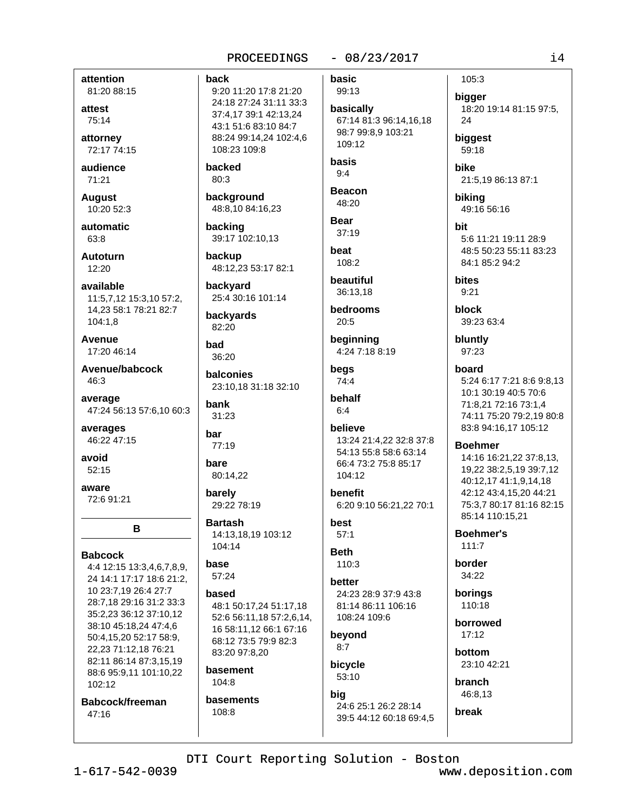## $-08/23/2017$

attention 81:20 88:15

attest 75:14

attorney 72:17 74:15

audience  $71:21$ 

**August** 10:20 52:3

automatic 63:8

**Autoturn**  $12:20$ 

available 11:5.7.12 15:3.10 57:2. 14,23 58:1 78:21 82:7 104:1,8

Avenue 17:20 46:14

Avenue/babcock 46:3

average 47:24 56:13 57:6,10 60:3

averages 46:22 47:15

avoid  $52:15$ 

aware 72:6 91:21

B

**Babcock** 

4:4 12:15 13:3,4,6,7,8,9, 24 14:1 17:17 18:6 21:2, 10 23:7,19 26:4 27:7 28:7,18 29:16 31:2 33:3 35:2,23 36:12 37:10,12 38:10 45:18,24 47:4,6 50:4,15,20 52:17 58:9, 22,23 71:12,18 76:21 82:11 86:14 87:3,15,19 88:6 95:9,11 101:10,22  $102:12$ 

Babcock/freeman 47:16

back 9:20 11:20 17:8 21:20 24:18 27:24 31:11 33:3 37:4,17 39:1 42:13,24 43:1 51:6 83:10 84:7 88:24 99:14,24 102:4,6 108:23 109:8

backed 80:3

background 48:8,10 84:16,23

backing 39:17 102:10,13

backup 48:12,23 53:17 82:1

backyard 25:4 30:16 101:14

backyards 82:20

had 36:20

balconies 23:10,18 31:18 32:10

hank 31:23

bar 77:19

bare 80:14,22

barely 29:22 78:19

**Bartash** 14:13,18,19 103:12 104:14

base 57:24

hased 48:1 50:17.24 51:17.18 52:6 56:11.18 57:2.6.14. 16 58:11,12 66:1 67:16 68:12 73:5 79:9 82:3 83:20 97:8.20

basement 104:8

basements 108:8

basic 99:13

basically 67:14 81:3 96:14,16,18 98:7 99:8.9 103:21 109:12

basis  $9:4$ 

**Beacon** 48:20

**Bear**  $37:19$ 

heat 108:2

beautiful 36:13.18

bedrooms  $20:5$ 

beginning 4:24 7:18 8:19

begs 74:4

behalf  $6:4$ 

believe 13:24 21:4,22 32:8 37:8 54:13 55:8 58:6 63:14 66:4 73:2 75:8 85:17 104:12

benefit 6:20 9:10 56:21,22 70:1

hest  $57:1$ 

**Beth** 110:3

better 24:23 28:9 37:9 43:8 81:14 86:11 106:16 108:24 109:6

beyond  $8:7$ 

bicycle  $53:10$ 

big 24:6 25:1 26:2 28:14 39:5 44:12 60:18 69:4.5 bigger 18:20 19:14 81:15 97:5, 24 biggest 59:18 bike 21:5,19 86:13 87:1

105:3

biking 49:16 56:16

bit 5:6 11:21 19:11 28:9 48:5 50:23 55:11 83:23 84:1 85:2 94:2

bites  $9:21$ 

**block** 39:23 63:4

bluntly 97:23

board

5:24 6:17 7:21 8:6 9:8,13 10:1 30:19 40:5 70:6 71:8,21 72:16 73:1,4 74:11 75:20 79:2,19 80:8 83:8 94:16,17 105:12

**Boehmer** 

14:16 16:21,22 37:8,13, 19,22 38:2,5,19 39:7,12 40:12,17 41:1,9,14,18 42:12 43:4.15.20 44:21 75:3.7 80:17 81:16 82:15 85:14 110:15,21

**Boehmer's**  $111.7$ 

border 34:22

borings 110:18

borrowed  $17:12$ 

bottom  $23.1042.21$ 

branch 46:8,13

break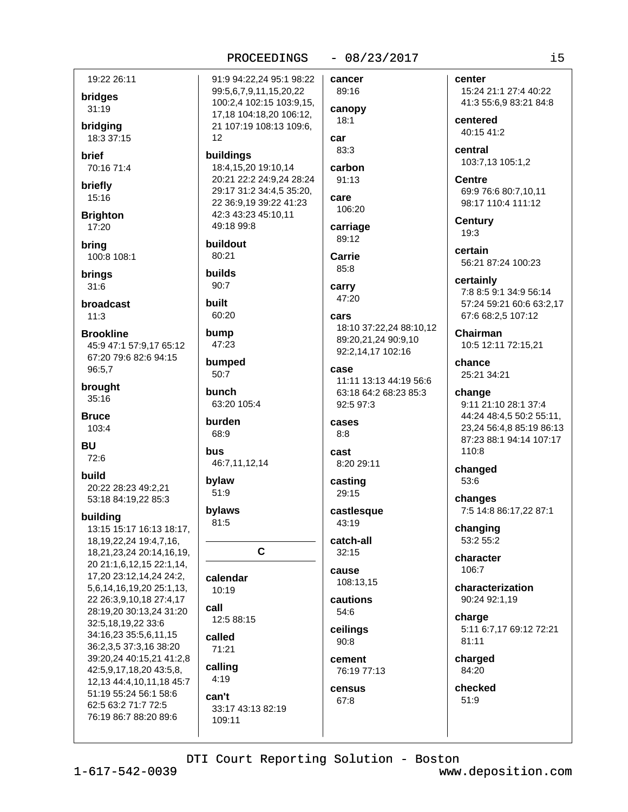## $-08/23/2017$

19:22 26:11 bridges 31:19 bridgina 18:3 37:15  $12$ **brief** 70:16 71:4 briefly 15:16 **Brighton** 17:20 bring 80:21 100:8 108:1 **builds** brings  $90.7$  $31:6$ **broadcast** built 60:20  $11:3$ bump **Brookline** 45:9 47:1 57:9.17 65:12 67:20 79:6 82:6 94:15 96:5,7  $50:7$ brought **bunch** 35:16 **Bruce** burden 103:4  $68:9$ **BU** bus 72:6 build bylaw 20:22 28:23 49:2,21  $51:9$ 53:18 84:19,22 85:3 bylaws buildina 81:5 13:15 15:17 16:13 18:17, 18, 19, 22, 24 19: 4, 7, 16, 18,21,23,24 20:14,16,19, 20 21:1,6,12,15 22:1,14, 17,20 23:12,14,24 24:2, 5,6,14,16,19,20 25:1,13, 22 26:3,9,10,18 27:4,17 call 28:19,20 30:13,24 31:20 32:5,18,19,22 33:6 34:16,23 35:5,6,11,15 called 36:2,3,5 37:3,16 38:20 71:21 39:20,24 40:15,21 41:2,8 calling 42:5,9,17,18,20 43:5,8,  $4:19$ 12,13 44:4,10,11,18 45:7 51:19 55:24 56:1 58:6 can't 62:5 63:2 71:7 72:5 76:19 86:7 88:20 89:6 109:11

91:9 94:22.24 95:1 98:22 cancer 99:5,6,7,9,11,15,20,22 100:2,4 102:15 103:9,15, 17.18 104:18.20 106:12.  $18:1$ 21 107:19 108:13 109:6. car 83:3 buildings 18:4,15,20 19:10,14 20:21 22:2 24:9.24 28:24 29:17 31:2 34:4,5 35:20, care 22 36:9,19 39:22 41:23 42:3 43:23 45:10.11 49:18 99:8 buildout Carrie 85:8 carry cars 47:23 bumped case 63:20 105:4 cases  $8:8$ cast 46:7,11,12,14  $\mathbf{C}$ cause calendar 10:19  $54:6$ 12:5 88:15  $90:8$ CANSUS 67:8 33:17 43:13 82:19

center 89:16 canopy central carbon  $91:13$ **Centre** 106:20 **Century** carriage 19:3 89:12 certain certainly 47:20 18:10 37:22.24 88:10.12 89:20,21,24 90:9,10 92:2,14,17 102:16 chance 11:11 13:13 44:19 56:6 63:18 64:2 68:23 85:3 change  $92.597.3$ 8:20 29:11 casting 53:6 29:15 changes castlesque 43:19 catch-all  $32:15$ 108:13,15 cautions charge ceilings cement 76:19 77:13  $51:9$ 

15:24 21:1 27:4 40:22 41:3 55:6,9 83:21 84:8

centered 40:15 41:2

103:7,13 105:1,2

69:9 76:6 80:7,10,11 98:17 110:4 111:12

56:21 87:24 100:23

7:8 8:5 9:1 34:9 56:14 57:24 59:21 60:6 63:2.17 67:6 68:2,5 107:12

**Chairman** 10:5 12:11 72:15,21

25:21 34:21

9:11 21:10 28:1 37:4 44:24 48:4,5 50:2 55:11, 23.24 56:4.8 85:19 86:13 87:23 88:1 94:14 107:17 110:8

changed

7:5 14:8 86:17,22 87:1

changing 53:2 55:2

character  $106.7$ 

characterization 90:24 92:1,19

5:11 6:7,17 69:12 72:21  $81:11$ 

charged 84:20

checked

DTI Court Reporting Solution - Boston

 $1 - 617 - 542 - 0039$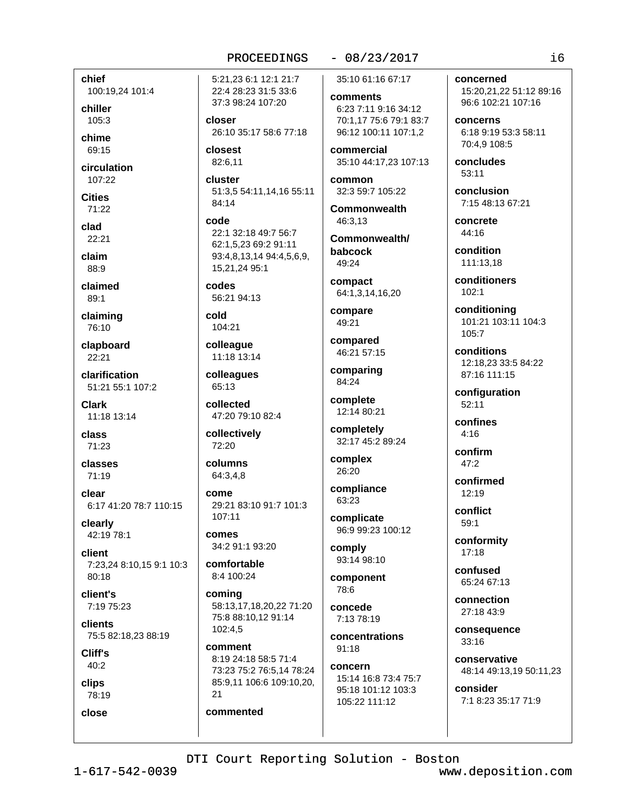chief 100:19,24 101:4

chiller 105:3

chime 69:15

circulation  $107:22$ 

**Cities** 

71:22 clad

 $22:21$ 

claim 88:9

claimed  $89:1$ 

claiming 76:10

clapboard  $22:21$ 

clarification 51:21 55:1 107:2

Clark 11:18 13:14

class 71:23

classes 71:19

clear 6:17 41:20 78:7 110:15

clearly 42:19 78:1

client 7:23,24 8:10,15 9:1 10:3 80:18

client's 7:19 75:23

clients 75:5 82:18,23 88:19

Cliff's 40:2

**clips** 

78:19 close

5:21.23 6:1 12:1 21:7 22:4 28:23 31:5 33:6 37:3 98:24 107:20

closer 26:10 35:17 58:6 77:18

closest 82:6.11

cluster 51:3,5 54:11,14,16 55:11 84:14

code 22:1 32:18 49:7 56:7 62:1.5.23 69:2 91:11 93:4,8,13,14 94:4,5,6,9, 15.21.24 95:1

codes. 56:21 94:13

cold 104:21

colleague 11:18 13:14

colleagues 65:13

collected 47:20 79:10 82:4

collectively 72:20

columns 64:3,4,8

come 29:21 83:10 91:7 101:3  $107:11$ 

comes 34:2 91:1 93:20

comfortable 8:4 100:24

commented

comina 58:13.17.18.20.22 71:20 75:8 88:10.12 91:14 102:4,5

comment 8:19 24:18 58:5 71:4 73:23 75:2 76:5,14 78:24 85:9,11 106:6 109:10,20,  $21$ 

 $-08/23/2017$ 35:10 61:16 67:17

comments 6:23 7:11 9:16 34:12 70:1.17 75:6 79:1 83:7 96:12 100:11 107:1,2

commercial 35:10 44:17,23 107:13

common 32:3 59:7 105:22

**Commonwealth** 46:3.13

Commonwealth/ babcock 49:24

compact 64:1,3,14,16,20

compare 49:21

compared 46:21 57:15

comparing 84:24

complete 12:14 80:21

completely 32:17 45:2 89:24

complex 26:20

compliance 63:23

complicate 96:9 99:23 100:12

comply 93:14 98:10

component 78:6

concede 7:13 78:19

concentrations  $91:18$ 

concern 15:14 16:8 73:4 75:7 95:18 101:12 103:3 105:22 111:12

concerned

15:20,21,22 51:12 89:16 96:6 102:21 107:16

**CONCATIS** 6:18 9:19 53:3 58:11 70:4,9 108:5

concludes  $53:11$ 

conclusion 7:15 48:13 67:21

concrete 44:16

condition 111:13,18

conditioners  $102:1$ 

conditioning 101:21 103:11 104:3  $105:7$ 

conditions 12:18.23 33:5 84:22 87:16 111:15

configuration  $52.11$ 

confines  $4:16$ 

confirm  $47.2$ 

confirmed  $12:19$ 

conflict  $59.1$ 

conformity  $17:18$ 

confused 65:24 67:13

connection 27:18 43:9

consequence 33:16

conservative 48:14 49:13,19 50:11,23

consider 7:1 8:23 35:17 71:9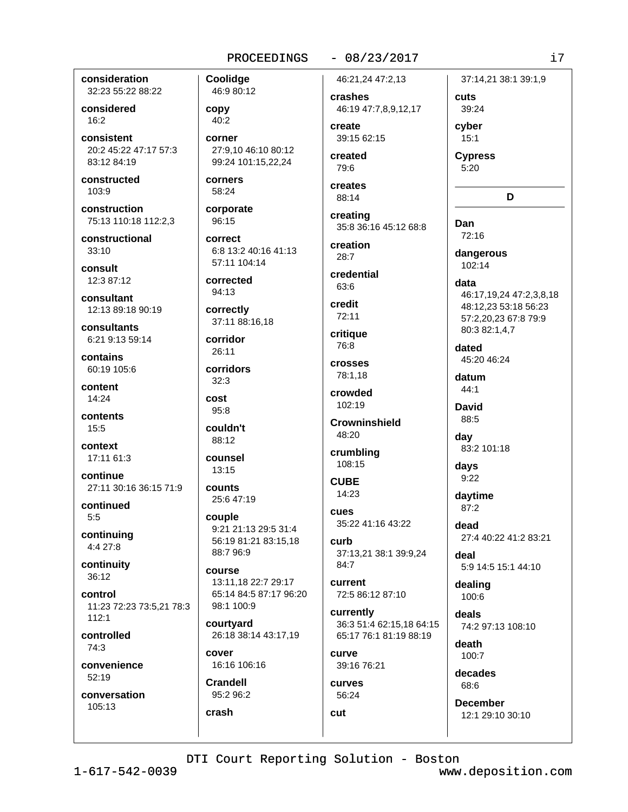## $-08/23/2017$

consideration 32:23 55:22 88:22

considered  $16:2$ 

consistent 20:2 45:22 47:17 57:3 83:12 84:19

constructed 103:9

construction 75:13 110:18 112:2,3

constructional  $33:10$ 

consult 12:3 87:12

consultant 12:13 89:18 90:19

consultants 6:21 9:13 59:14

contains 60:19 105:6

content  $14:24$ 

contents  $15:5$ 

context 17:11 61:3

continue 27:11 30:16 36:15 71:9

continued  $5:5$ 

continuing 4:4 27:8

continuity 36:12

control 11:23 72:23 73:5.21 78:3  $112:1$ 

controlled 74:3

convenience 52:19

conversation 105:13

Coolidge 46:9 80:12 copy 40:2 corner 27:9,10 46:10 80:12 99:24 101:15,22,24

corners 58:24

corporate 96:15

correct 6:8 13:2 40:16 41:13 57:11 104:14

corrected 94:13

correctly 37:11 88:16,18

corridor  $26:11$ 

corridors  $32:3$ cost

 $95:8$ 

couldn't 88:12

counsel  $13.15$ 

counts 25:6 47:19

couple 9:21 21:13 29:5 31:4 56:19 81:21 83:15,18 88:7 96:9

course 13:11,18 22:7 29:17 65:14 84:5 87:17 96:20 98:1 100:9

courtyard 26:18 38:14 43:17,19

cover 16:16 106:16

**Crandell** 95:2 96:2 crash

46:21.24 47:2.13

crashes 46:19 47:7,8,9,12,17

create 39:15 62:15

created 79:6

creates 88:14

creating 35:8 36:16 45:12 68:8

creation  $28.7$ 

credential 63:6

credit 72:11

critique 76:8

crosses 78:1,18

crowded  $102:19$ 

**Crowninshield** 48:20

crumbling 108:15

**CUBE** 14:23

CHAS 35:22 41:16 43:22

curb 37:13,21 38:1 39:9,24 84:7

current 72:5 86:12 87:10

currently 36:3 51:4 62:15,18 64:15 65:17 76:1 81:19 88:19

**CULTVe** 39:16 76:21

curves 56:24

cut

37:14,21 38:1 39:1,9 cuts 39:24 cyber  $15:1$ **Cypress**  $5:20$ D Dan 72:16 dangerous  $102:14$ data 46:17.19.24 47:2.3.8.18 48:12.23 53:18 56:23 57:2,20,23 67:8 79:9 80:3 82:1,4,7 dated 45:20 46:24 datum 44:1 **David** 88:5 dav 83:2 101:18 davs  $9:22$ daytime 87:2 dead 27:4 40:22 41:2 83:21 deal 5:9 14:5 15:1 44:10 dealing

 $100.6$ deals

74:2 97:13 108:10 death

 $100:7$ 

decades 68:6

**December** 12:1 29:10 30:10

DTI Court Reporting Solution - Boston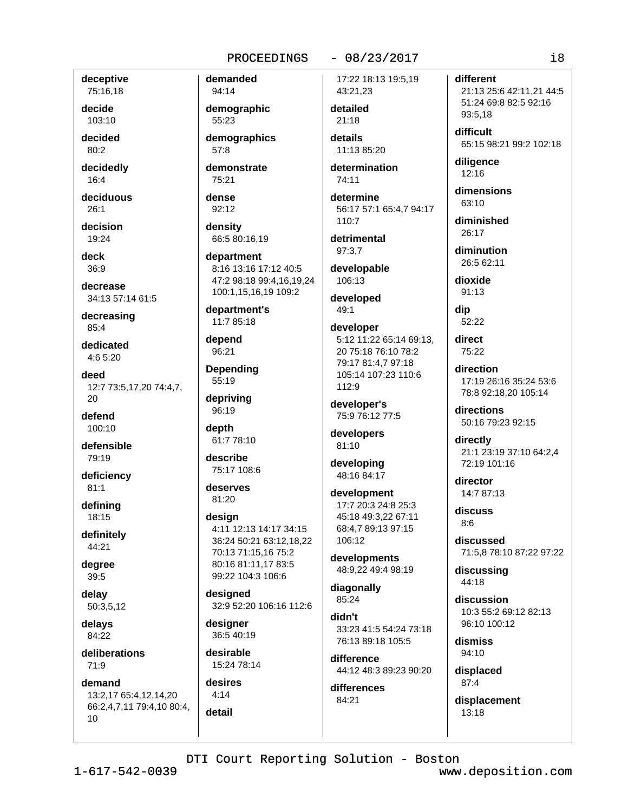### $-08/23/2017$

deceptive 75:16,18

decide 103:10

decided 80:2

decidedly 16:4

deciduous  $26:1$ 

decision 19:24

deck  $36:9$ 

decrease 34:13 57:14 61:5

decreasing 85:4

dedicated  $4:65:20$ 

deed 12:7 73:5,17,20 74:4,7,  $20$ 

defend 100:10

defensible 79:19

deficiency  $81:1$ 

defining 18:15

definitely 44:21

degree 39:5

delay 50:3,5,12

delays 84:22

deliberations  $71:9$ 

demand 13:2,17 65:4,12,14,20 66:2,4,7,11 79:4,10 80:4, 10

94:14 demographic 55:23

demanded

demographics 57:8

demonstrate 75:21

dense 92:12

density 66:5 80:16.19

department 8:16 13:16 17:12 40:5 47:2 98:18 99:4,16,19,24 100:1,15,16,19 109:2

department's 11:7 85:18

depend 96:21

**Depending** 55:19

depriving 96:19

depth 61:7 78:10

describe 75:17 108:6

deserves 81:20

desian 4:11 12:13 14:17 34:15 36:24 50:21 63:12,18,22 70:13 71:15,16 75:2 80:16 81:11,17 83:5 99:22 104:3 106:6

desianed 32:9 52:20 106:16 112:6

designer 36:5 40:19

desirable 15:24 78:14

desires  $4:14$ detail

17:22 18:13 19:5.19 43:21,23

detailed  $21:18$ 

details 11:13 85:20

determination 74:11

determine 56:17 57:1 65:4,7 94:17 110:7

detrimental 97:3.7

developable 106:13

developed  $49:1$ 

developer 5:12 11:22 65:14 69:13, 20 75:18 76:10 78:2 79:17 81:4.7 97:18 105:14 107:23 110:6 112:9

developer's 75:9 76:12 77:5

developers 81:10

developing 48:16 84:17

development 17:7 20:3 24:8 25:3 45:18 49:3.22 67:11 68:4,7 89:13 97:15 106:12

developments 48:9,22 49:4 98:19

diagonally 85:24

didn't 33:23 41:5 54:24 73:18 76:13 89:18 105:5

difference 44:12 48:3 89:23 90:20

differences 84:21

different 21:13 25:6 42:11,21 44:5 51:24 69:8 82:5 92:16 93:5.18

difficult 65:15 98:21 99:2 102:18

diligence  $12:16$ 

dimensions 63:10

diminished  $26.17$ 

diminution 26:5 62:11

dioxide  $91:13$ 

dip 52:22

direct 75:22

direction 17:19 26:16 35:24 53:6 78:8 92:18,20 105:14

directions 50:16 79:23 92:15

directly 21:1 23:19 37:10 64:2,4 72:19 101:16

director 14:7 87:13

discuss  $8:6$ 

discussed 71:5,8 78:10 87:22 97:22

discussing 44:18

discussion 10:3 55:2 69:12 82:13 96:10 100:12

dismiss  $94:10$ 

displaced  $87:4$ 

displacement  $13:18$ 

DTI Court Reporting Solution - Boston

 $1 - 617 - 542 - 0039$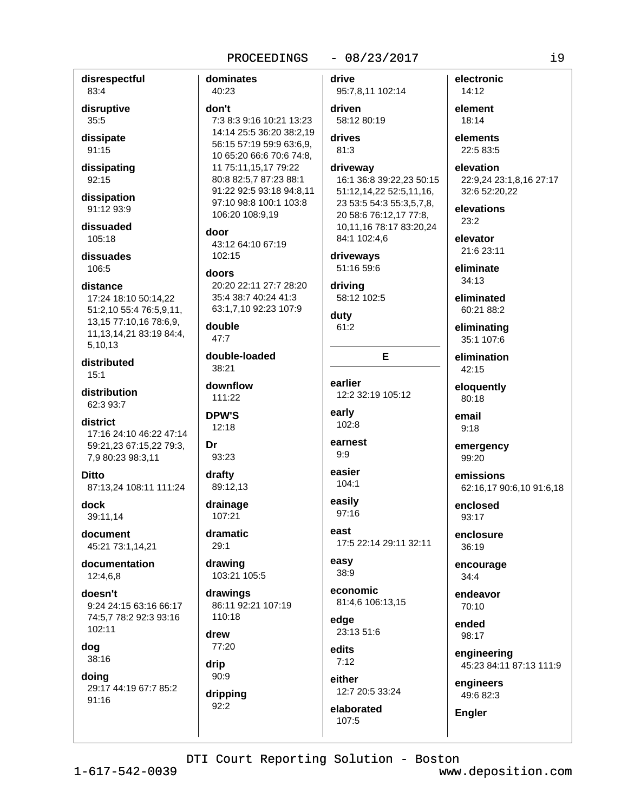## $-08/23/2017$

disrespectful 83:4 disruptive  $35:5$ dissipate 91:15 dissipating 92:15 dissipation 91:12 93:9 dissuaded 105:18 dissuades 106:5 distance 17:24 18:10 50:14.22 51:2,10 55:4 76:5,9,11, 13,15 77:10,16 78:6,9, 11, 13, 14, 21 83: 19 84: 4, 5,10,13 distributed  $15:1$ distribution 62:3.93:7 district 17:16 24:10 46:22 47:14 59:21,23 67:15,22 79:3, 7,9 80:23 98:3,11 **Ditto** 87:13.24 108:11 111:24 dock 39:11,14 document 45:21 73:1,14,21 documentation 12:4,6,8 doesn't 9:24 24:15 63:16 66:17 74:5.7 78:2 92:3 93:16 102:11 dog 38:16 doing 29:17 44:19 67:7 85:2 91:16

dominates 40:23 don't 7:3 8:3 9:16 10:21 13:23 14:14 25:5 36:20 38:2.19 56:15 57:19 59:9 63:6,9, 10 65:20 66:6 70:6 74:8, 11 75:11,15,17 79:22 80:8 82:5.7 87:23 88:1 91:22 92:5 93:18 94:8,11 97:10 98:8 100:1 103:8 106:20 108:9.19 door 43:12 64:10 67:19 102:15 doors 20:20 22:11 27:7 28:20 35:4 38:7 40:24 41:3 63:1,7,10 92:23 107:9 double 47:7 double-loaded 38:21 downflow 111:22 **DPW'S**  $12:18$ Dr 93:23 drafty 89:12,13 drainage 107:21 dramatic  $29.1$ drawing 103:21 105:5 drawings 86:11 92:21 107:19 110:18 drew 77:20 drip  $90:9$ dripping  $92:2$ 

drive 95:7,8,11 102:14 driven 58:12 80:19 drives 81:3 driveway 16:1 36:8 39:22,23 50:15 51:12,14,22 52:5,11,16, 23 53:5 54:3 55:3,5,7,8, 20 58:6 76:12,17 77:8, 10,11,16 78:17 83:20,24 84:1 102:4,6 driveways 51:16 59:6 driving 58:12 102:5 duty  $61:2$ E earlier 12:2 32:19 105:12 early 102:8 earnest  $9:9$ easier  $104:1$ easily 97:16 Aast 17:5 22:14 29:11 32:11 easy  $38:9$ 

economic 81:4,6 106:13,15

edae 23:13 51:6

edits  $7:12$ either

12:7 20:5 33:24

elaborated  $107:5$ 

electronic  $14:12$ element  $18:14$ elements 22:5 83:5 elevation 22:9,24 23:1,8,16 27:17

32:6 52:20,22

elevations  $23.2$ 

elevator 21:6 23:11

eliminate  $34:13$ 

eliminated  $60.2188.2$ 

eliminating 35:1 107:6

elimination  $42:15$ 

eloquently 80:18

email  $9:18$ 

emergency 99:20

emissions 62:16,17 90:6,10 91:6,18

enclosed  $93:17$ 

enclosure 36:19

encourage  $34:4$ 

endeavor  $70:10$ 

ended 98:17

engineering 45:23 84:11 87:13 111:9

engineers 49:6 82:3

**Engler** 

DTI Court Reporting Solution - Boston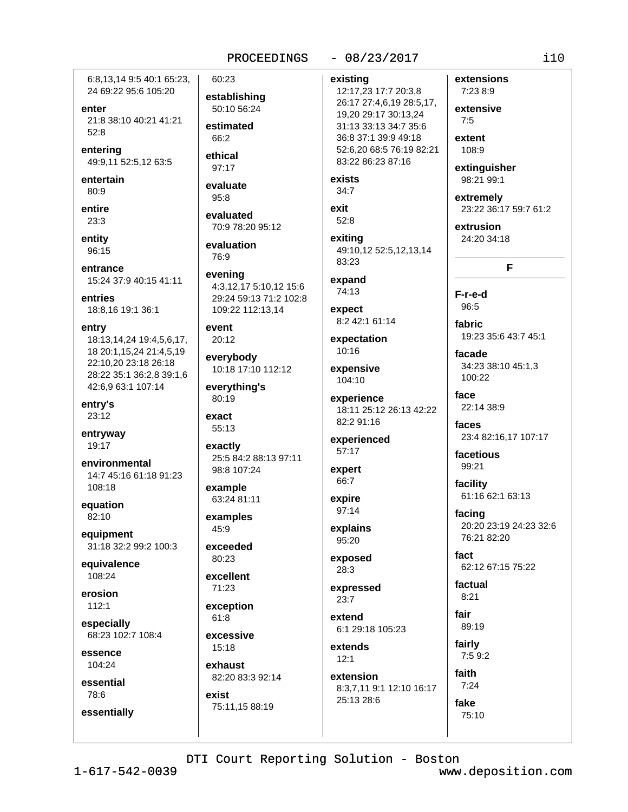## $-08/23/2017$

6:8.13.14 9:5 40:1 65:23. 24 69:22 95:6 105:20

enter 21:8 38:10 40:21 41:21  $52:8$ 

entering 49:9,11 52:5,12 63:5

entertain  $80:9$ 

entire  $23:3$ 

entity 96:15

entrance 15:24 37:9 40:15 41:11

entries 18:8,16 19:1 36:1

entry 18:13,14,24 19:4,5,6,17, 18 20:1,15,24 21:4,5,19 22:10,20 23:18 26:18 28:22 35:1 36:2,8 39:1,6 42:6,9 63:1 107:14

entry's 23:12

entryway 19:17

environmental 14:7 45:16 61:18 91:23 108:18

equation 82:10

equipment 31:18 32:2 99:2 100:3

equivalence 108:24

erosion  $112:1$ 

especially 68:23 102:7 108:4

essence 104:24

essential 78:6

essentially

establishing 50:10 56:24 estimated  $66.2$ 

60:23

ethical 97:17

evaluate  $95:8$ 

evaluated 70:9 78:20 95:12

evaluation 76:9

evening 4:3,12,17 5:10,12 15:6 29:24 59:13 71:2 102:8 109:22 112:13.14

event  $20:12$ 

everybody 10:18 17:10 112:12

everything's 80:19

exact 55:13

exactly 25:5 84:2 88:13 97:11 98:8 107:24

example 63:24 81:11

examples 45:9

exceeded  $80:23$ 

excellent 71:23

exception  $61:8$ 

excessive 15:18

exhaust 82:20 83:3 92:14 exist 75:11,15 88:19

existing 12:17,23 17:7 20:3,8 26:17 27:4,6,19 28:5,17, 19.20 29:17 30:13.24 31:13 33:13 34:7 35:6 36:8 37:1 39:9 49:18 52:6.20 68:5 76:19 82:21 83:22 86:23 87:16

exists  $34:7$ 

exit  $52:8$ 

exiting 49:10,12 52:5,12,13,14 83:23

expand 74:13

expect 8:2 42:1 61:14

expectation 10:16

expensive 104:10

experience 18:11 25:12 26:13 42:22 82:2 91:16

experienced 57:17

expert 66:7

expire 97:14

explains 95:20

exposed  $28:3$ 

expressed  $23:7$ 

extend 6:1 29:18 105:23

extends  $12:1$ extension

8:3,7,11 9:1 12:10 16:17 25:13 28:6

extensive  $7:5$ extent 108:9

extensions

7:23 8:9

extinguisher 98:21 99:1

extremely 23:22 36:17 59:7 61:2

extrusion 24:20 34:18

# F

F-r-e-d 96:5

fabric 19:23 35:6 43:7 45:1

facade 34:23 38:10 45:1,3 100:22

face 22:14 38:9

faces 23:4 82:16,17 107:17

facetious 99:21

facility 61:16 62:1 63:13

facing 20:20 23:19 24:23 32:6 76:21 82:20

fact 62:12 67:15 75:22

factual  $8.21$ 

fair 89:19

fairly  $7:59:2$ 

faith  $7:24$ fake 75:10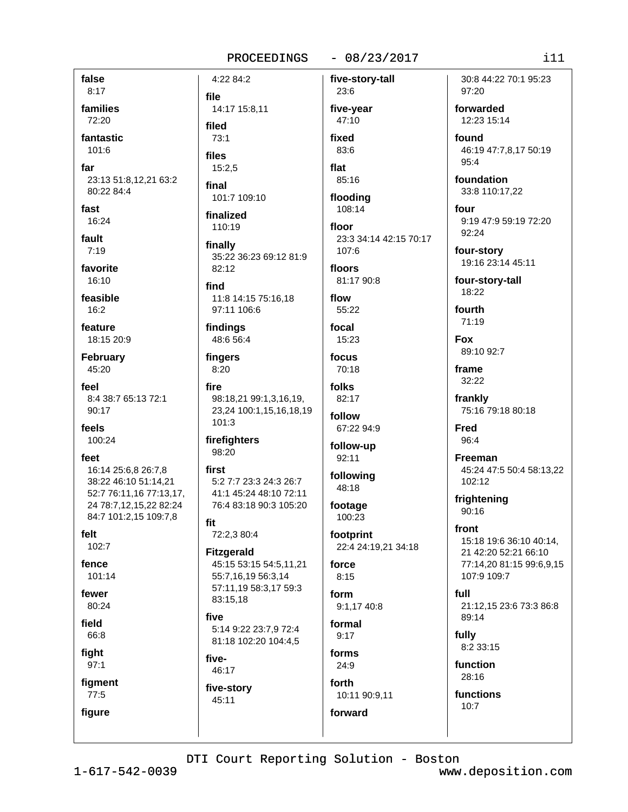## $-08/23/2017$

five-story-tall

false  $8:17$ families 72:20

fantastic 101:6

far 23:13 51:8,12,21 63:2 80:22 84:4

fast 16:24

fault  $7:19$ 

favorite 16:10

feasible

 $16.2$ 

feature 18:15 20:9

**February** 45:20

feel 8:4 38:7 65:13 72:1 90:17

feels 100:24

feet 16:14 25:6,8 26:7.8 38:22 46:10 51:14,21 52:7 76:11.16 77:13.17. 24 78:7,12,15,22 82:24 84:7 101:2,15 109:7,8

felt 102:7

fence

101:14

fewer 80:24

field 66:8

fight

 $97:1$ 

figment  $77:5$ figure

4:22 84:2 file 14:17 15:8,11 filed  $73.1$ files  $15:2.5$ final

101:7 109:10

finalized 110:19

finally 35:22 36:23 69:12 81:9 82:12

find 11:8 14:15 75:16.18 97:11 106:6

findings 48:6 56:4

fingers 8:20

fire 98:18.21 99:1.3.16.19. 23,24 100:1,15,16,18,19 101:3

firefighters 98:20

first 5:2 7:7 23:3 24:3 26:7 41:1 45:24 48:10 72:11 76:4 83:18 90:3 105:20

fit 72:2,3 80:4

**Fitzgerald** 45:15 53:15 54:5,11,21 55:7,16,19 56:3,14 57:11,19 58:3,17 59:3 83:15,18

five 5:14 9:22 23:7,9 72:4 81:18 102:20 104:4,5

five-46:17

five-story 45:11

23:6 five-year 47:10 fixed

83:6 flat  $85:16$ 

flooding 108:14

floor 23:3 34:14 42:15 70:17 107:6

floors 81:17 90:8

flow 55:22

focal 15:23

focus 70:18

folks 82:17

follow 67:22 94:9

follow-up  $92:11$ 

following 48:18

footage 100:23

footprint 22:4 24:19,21 34:18

force  $8:15$ 

form 9:1,17 40:8

formal  $9:17$ 

forms  $24:9$ forth

10:11 90:9,11 forward

30:8 44:22 70:1 95:23 97:20

forwarded 12:23 15:14

found 46:19 47:7,8,17 50:19 95:4

foundation 33:8 110:17,22

four 9:19 47:9 59:19 72:20 92:24

four-story 19:16 23:14 45:11

four-story-tall 18:22

fourth 71:19

**Fox** 89:10 92:7

frame 32:22

frankly 75:16 79:18 80:18

**Fred** 96:4

Freeman 45:24 47:5 50:4 58:13,22 102:12

frightening  $90:16$ 

front 15:18 19:6 36:10 40:14, 21 42:20 52:21 66:10 77:14,20 81:15 99:6.9.15 107:9 109:7

full 21:12,15 23:6 73:3 86:8 89:14

fully 8:2 33:15

function 28:16

functions  $10:7$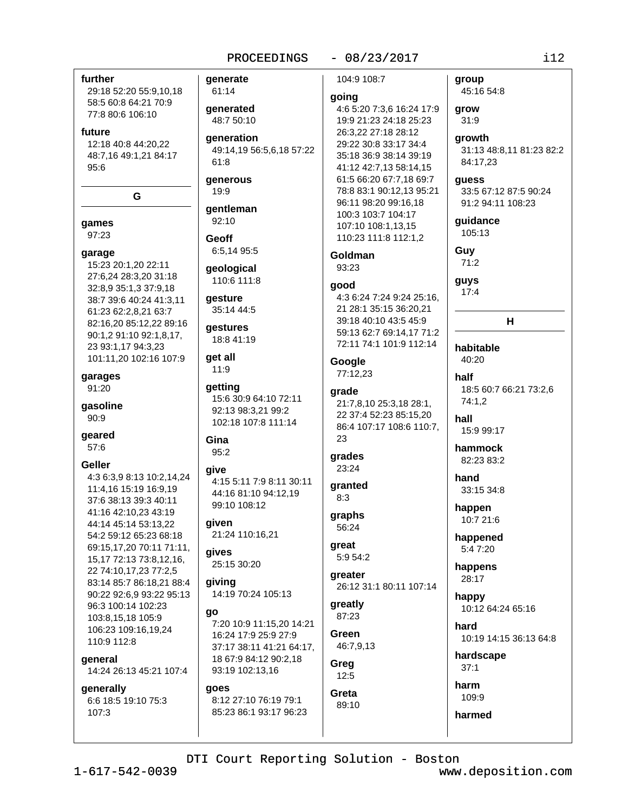$-08/23/2017$ 

## further

29:18 52:20 55:9,10,18 58:5 60:8 64:21 70:9 77:8 80:6 106:10

#### future

12:18 40:8 44:20,22 48:7,16 49:1,21 84:17  $95:6$ 

G

games 97:23

#### garage

15:23 20:1,20 22:11 27:6,24 28:3,20 31:18 32:8,9 35:1,3 37:9,18 38:7 39:6 40:24 41:3,11 61:23 62:2,8,21 63:7 82:16,20 85:12,22 89:16 90:1,2 91:10 92:1,8,17, 23 93:1.17 94:3.23 101:11,20 102:16 107:9

garages 91:20

gasoline  $90:9$ 

geared  $57:6$ 

#### **Geller**

4:3 6:3,9 8:13 10:2,14,24 11:4,16 15:19 16:9,19 37:6 38:13 39:3 40:11 41:16 42:10,23 43:19 44:14 45:14 53:13,22 54:2 59:12 65:23 68:18 69:15,17,20 70:11 71:11, 15, 17 72: 13 73: 8, 12, 16, 22 74:10,17,23 77:2,5 83:14 85:7 86:18.21 88:4 90:22 92:6,9 93:22 95:13 96:3 100:14 102:23 103:8,15,18 105:9 106:23 109:16,19,24 110:9 112:8

general 14:24 26:13 45:21 107:4

generally 6:6 18:5 19:10 75:3 107:3

## generate

61:14 qenerated 48:7 50:10

**generation** 49:14,19 56:5,6,18 57:22  $61:8$ 

generous 19:9

gentleman 92:10

**Geoff** 6:5,14 95:5

geological 110:6 111:8

qesture 35:14 44:5

gestures 18:8 41:19

## aet all  $11:9$

getting 15:6 30:9 64:10 72:11 92:13 98:3,21 99:2 102:18 107:8 111:14

Gina  $95:2$ 

## give

4:15 5:11 7:9 8:11 30:11 44:16 81:10 94:12.19 99:10 108:12

aiven 21:24 110:16,21

gives 25:15 30:20

giving 14:19 70:24 105:13

### go

7:20 10:9 11:15.20 14:21 16:24 17:9 25:9 27:9 37:17 38:11 41:21 64:17. 18 67:9 84:12 90:2,18 93:19 102:13,16

## goes

8:12 27:10 76:19 79:1 85:23 86:1 93:17 96:23 104:9 108:7

### going

4:6 5:20 7:3,6 16:24 17:9 19:9 21:23 24:18 25:23 26:3.22 27:18 28:12 29:22 30:8 33:17 34:4 35:18 36:9 38:14 39:19 41:12 42:7,13 58:14,15 61:5 66:20 67:7,18 69:7 78:8 83:1 90:12,13 95:21 96:11 98:20 99:16,18 100:3 103:7 104:17 107:10 108:1,13,15 110:23 111:8 112:1,2

**Goldman**  $93:23$ 

## qood

4:3 6:24 7:24 9:24 25:16. 21 28:1 35:15 36:20.21 39:18 40:10 43:5 45:9 59:13 62:7 69:14,17 71:2 72:11 74:1 101:9 112:14

Google 77:12,23

# grade

21:7.8.10 25:3.18 28:1. 22 37:4 52:23 85:15.20 86:4 107:17 108:6 110:7, 23

grades 23:24

qranted  $8:3$ 

## graphs 56:24

great 5:9 54:2

greater 26:12 31:1 80:11 107:14

greatly 87:23

Green 46:7,9,13

Greg  $12:5$ 

Greta 89:10

## grow  $31:9$ arowth

31:13 48:8,11 81:23 82:2 84:17,23

### guess

group

45:16 54:8

33:5 67:12 87:5 90:24 91:2 94:11 108:23

guidance 105:13

Guy

71:2 guys

 $17:4$ 

н

## habitable 40:20

half 18:5 60:7 66:21 73:2,6 74:1.2

hall 15:9 99:17

hammock 82:23 83:2

hand 33:15 34:8

happen 10:7 21:6

happened 5:4 7:20

happens 28:17

happy 10:12 64:24 65:16

hard 10:19 14:15 36:13 64:8

hardscape  $37:1$ 

harm 109:9

## harmed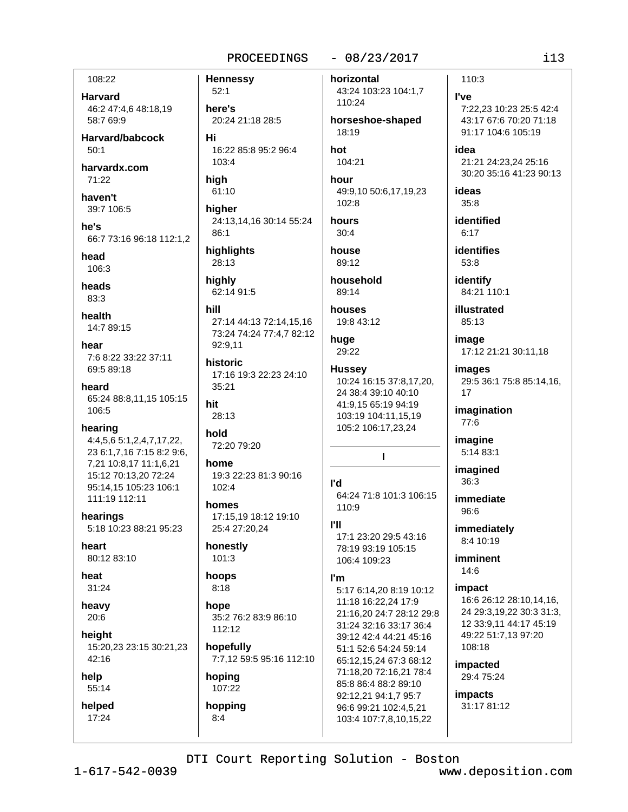## $-08/23/2017$

108:22

**Harvard** 46:2 47:4,6 48:18,19 58:7 69:9

Harvard/babcock  $50:1$ 

harvardx.com  $71:22$ 

haven't 39:7 106:5

he's 66:7 73:16 96:18 112:1.2

head

106:3

heads 83:3

health 14:7 89:15

hear 7:6 8:22 33:22 37:11 69:5 89:18

heard 65:24 88:8,11,15 105:15 106:5

- hearing
- 4:4,5,6 5:1,2,4,7,17,22, 23 6:1,7,16 7:15 8:2 9:6, 7,21 10:8,17 11:1,6,21 15:12 70:13,20 72:24 95:14.15 105:23 106:1 111:19 112:11

hearings 5:18 10:23 88:21 95:23

heart 80:12 83:10

heat 31:24

heavy  $20:6$ 

height 15:20,23 23:15 30:21,23 42:16

help 55:14

helped 17:24

here's 20:24 21:18 28:5 Hi 16:22 85:8 95:2 96:4 103:4

high 61:10

**Hennessy** 

 $52:1$ 

higher 24:13,14,16 30:14 55:24  $86:1$ 

highlights 28:13

highly 62:14 91:5

hill 27:14 44:13 72:14,15,16 73:24 74:24 77:4,7 82:12 92:9,11

historic 17:16 19:3 22:23 24:10 35:21

hit 28:13

hold 72:20 79:20

home 19:3 22:23 81:3 90:16  $102:4$ 

homes 17:15,19 18:12 19:10 25:4 27:20,24

honestly  $101:3$ 

### hoops  $8:18$

hope 35:2 76:2 83:9 86:10 112:12

hopefully 7:7,12 59:5 95:16 112:10

# hoping 107:22

 $8:4$ 

hopping

horizontal 43:24 103:23 104:1,7

horseshoe-shaped 18:19

hot 104:21

110:24

hour 49:9,10 50:6,17,19,23 102:8

hours  $30:4$ 

house 89:12

household 89:14

houses 19:8 43:12

huge 29:22

**Hussey** 10:24 16:15 37:8,17,20, 24 38:4 39:10 40:10 41:9.15 65:19 94:19 103:19 104:11,15,19 105:2 106:17,23,24

**P**d

64:24 71:8 101:3 106:15 110:9

 $\mathbf{I}$ 

## **PH**

17:1 23:20 29:5 43:16 78:19 93:19 105:15 106:4 109:23

## I'm

5:17 6:14,20 8:19 10:12 11:18 16:22.24 17:9 21:16,20 24:7 28:12 29:8 31:24 32:16 33:17 36:4 39:12 42:4 44:21 45:16 51:1 52:6 54:24 59:14 65:12,15,24 67:3 68:12 71:18,20 72:16,21 78:4 85:8 86:4 88:2 89:10 92:12.21 94:1.7 95:7 96:6 99:21 102:4,5,21 103:4 107:7,8,10,15,22

110:3

## **I've** 7:22,23 10:23 25:5 42:4 43:17 67:6 70:20 71:18 91:17 104:6 105:19

idea 21:21 24:23,24 25:16 30:20 35:16 41:23 90:13

ideas  $35:8$ 

identified  $6:17$ 

**identifies** 53:8

identify 84:21 110:1

illustrated 85:13

image 17:12 21:21 30:11.18

images 29:5 36:1 75:8 85:14,16, 17

imagination 77:6

imagine 5:14 83:1

imagined  $36:3$ 

immediate 96:6

immediately 8:4 10:19

imminent 14:6

## impact

16:6 26:12 28:10,14,16, 24 29:3.19.22 30:3 31:3. 12 33:9.11 44:17 45:19 49:22 51:7,13 97:20 108:18

impacted 29:4 75:24

impacts 31:17 81:12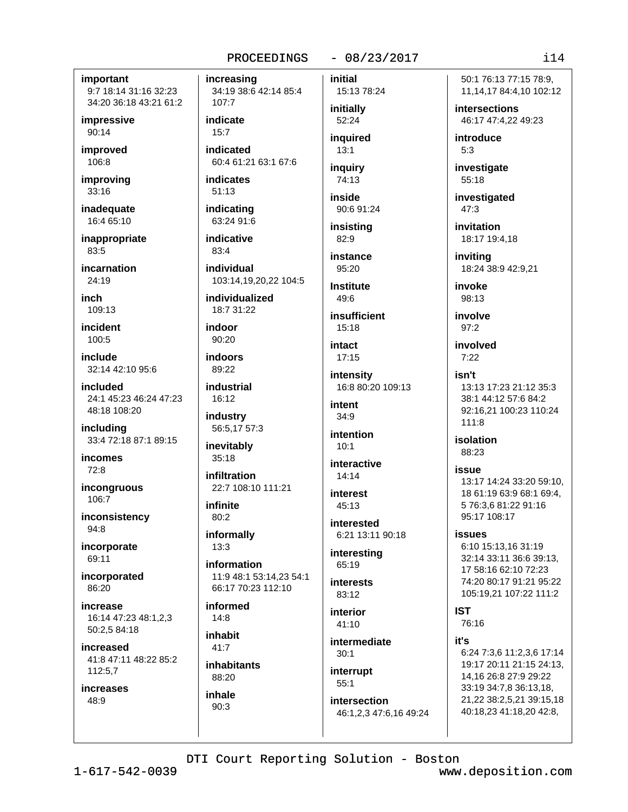## $-08/23/2017$

## important 9:7 18:14 31:16 32:23

34:20 36:18 43:21 61:2

impressive  $90:14$ 

improved 106:8

improving 33:16

inadequate 16:4 65:10

inappropriate 83:5

incarnation  $24:19$ 

inch  $109.13$ 

incident  $100:5$ 

include 32:14 42:10 95:6

included 24:1 45:23 46:24 47:23 48:18 108:20

including 33:4 72:18 87:1 89:15

**incomes**  $72:8$ 

incongruous 106:7

inconsistency 94:8

incorporate 69:11

incorporated 86:20

increase 16:14 47:23 48:1.2.3 50:2,5 84:18

increased 41:8 47:11 48:22 85:2 112:5,7

increases 48:9

increasing

34:19 38:6 42:14 85:4 107:7

indicate  $15:7$ 

indicated 60:4 61:21 63:1 67:6

indicates  $51:13$ 

indicating 63:24 91:6

indicative 83:4

individual 103:14,19,20,22 104:5

individualized  $18.7.31.22$ 

indoor  $90:20$ 

indoors 89:22

industrial  $16:12$ 

industry 56:5,17 57:3

inevitably  $35:18$ 

infiltration 22:7 108:10 111:21

infinite  $80:2$ 

informally  $13:3$ 

information 11:9 48:1 53:14,23 54:1 66:17 70:23 112:10

informed  $14:8$ 

inhabit  $41:7$ 

**inhabitants** 88:20 inhale

 $90:3$ 

initial 15:13 78:24 initially

52:24 inguired  $13:1$ 

inquiry 74:13

inside

90:6 91:24 insistina

 $82:9$ instance 95:20

**Institute** 

 $49.6$ insufficient

 $15:18$ 

intact  $17:15$ 

intensity 16:8 80:20 109:13

intont  $34:9$ 

intention  $10:1$ 

interactive  $14:14$ 

interest 45:13

interested 6:21 13:11 90:18

interesting 65:19

**interests** 83:12

interior  $41:10$ 

intermediate  $30:1$ 

interrupt  $55:1$ 

intersection 46:1,2,3 47:6,16 49:24 50:1 76:13 77:15 78:9. 11, 14, 17 84: 4, 10 102: 12

**intersections** 46:17 47:4.22 49:23

introduce  $5:3$ 

investigate 55:18

investigated  $47:3$ 

invitation 18:17 19:4.18

invitina 18:24 38:9 42:9,21

invoke 98:13

involve  $97:2$ 

involved  $7:22$ 

## isn't 13:13 17:23 21:12 35:3 38:1 44:12 57:6 84:2 92:16,21 100:23 110:24

 $111:8$ isolation

## 88:23 issue

13:17 14:24 33:20 59:10, 18 61:19 63:9 68:1 69:4. 5 76:3,6 81:22 91:16 95:17 108:17

**issues** 

6:10 15:13,16 31:19 32:14 33:11 36:6 39:13. 17 58:16 62:10 72:23 74:20 80:17 91:21 95:22 105:19,21 107:22 111:2

**IST** 76:16

it's

6:24 7:3.6 11:2.3.6 17:14 19:17 20:11 21:15 24:13. 14,16 26:8 27:9 29:22 33:19 34:7,8 36:13,18, 21,22 38:2,5,21 39:15,18 40:18,23 41:18,20 42:8,

DTI Court Reporting Solution - Boston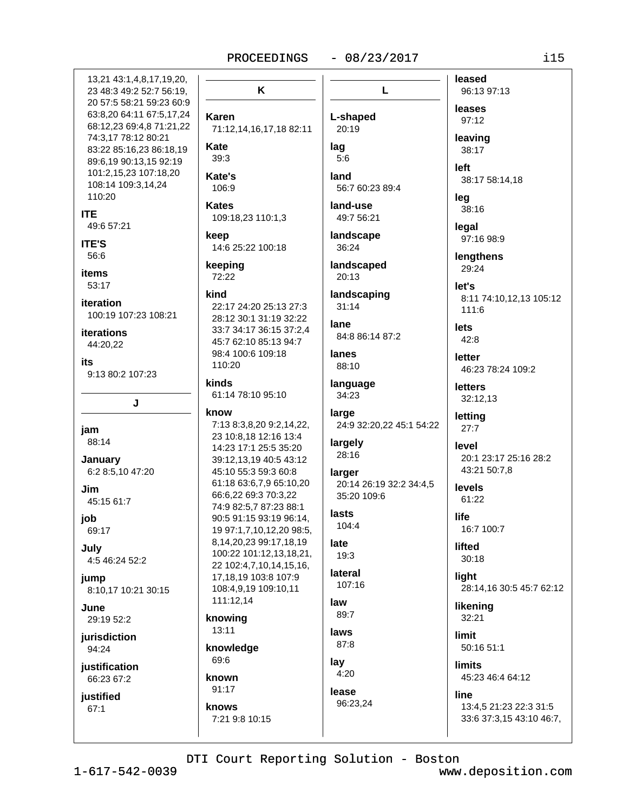$-08/23/2017$ 

13.21 43:1.4.8.17.19.20. 23 48:3 49:2 52:7 56:19, 20 57:5 58:21 59:23 60:9 63:8,20 64:11 67:5,17,24 68:12.23 69:4.8 71:21.22 74:3,17 78:12 80:21 83:22 85:16,23 86:18,19 89:6,19 90:13,15 92:19 101:2,15,23 107:18,20 108:14 109:3,14,24 110:20 **ITE** 49:6 57:21 **ITE'S** 56:6 **items**  $53.17$ iteration 100:19 107:23 108:21 iterations 44:20,22 its 9:13 80:2 107:23  $\mathbf{I}$ jam 88:14 January 6:2 8:5,10 47:20 Jim 45:15 61:7 job 69:17 July 4:5 46:24 52:2 iump 8:10,17 10:21 30:15 June. 29:19 52:2 jurisdiction 94:24 iustification 66:23 67:2 justified  $67:1$ 

K Karen 71:12,14,16,17,18 82:11 **Kate**  $39.3$ Kate's 106:9 **Kates** 109:18,23 110:1,3 keep 14:6 25:22 100:18 keeping 72:22 kind 22:17 24:20 25:13 27:3 28:12 30:1 31:19 32:22 33:7 34:17 36:15 37:2,4 45:7 62:10 85:13 94:7 98:4 100:6 109:18 110:20 kinds 61:14 78:10 95:10 know 7:13 8:3,8,20 9:2,14,22, 23 10:8.18 12:16 13:4 14:23 17:1 25:5 35:20 39:12.13.19 40:5 43:12 45:10 55:3 59:3 60:8 61:18 63:6,7,9 65:10,20 66:6,22 69:3 70:3,22 74:9 82:5,7 87:23 88:1 90:5 91:15 93:19 96:14, 19 97:1,7,10,12,20 98:5, 8,14,20,23 99:17,18,19 100:22 101:12,13,18,21, 22 102:4,7,10,14,15,16, 17.18.19 103:8 107:9 108:4,9,19 109:10,11 111:12,14 knowing 13:11 knowledge 69:6 known 91:17 knows 7:21 9:8 10:15

L leases L-shaped 97:12 20:19 leaving lag 38:17  $5:6$ left land 56:7 60:23 89:4 leq land-use 38:16 49:7 56:21 legal landscape 36:24 landscaped 29:24 20:13 let's landscaping  $31:14$ 111:6 lane lets 84:8 86:14 87:2  $42:8$ lanes letter 88:10 language **letters** 34:23 large letting 24:9 32:20,22 45:1 54:22  $27:7$ largely level 28:16 larger 20:14 26:19 32:2 34:4,5 **levels** 35:20 109:6 61:22 lasts life 104:4 late lifted  $19:3$  $30:18$ lateral light 107:16 law likening 89:7  $32:21$ laws limit 87:8 lav limits  $4:20$ 45:23 46:4 64:12 lease line 96:23,24

leased 96:13 97:13 38:17 58:14,18 97:16 98:9 lengthens 8:11 74:10,12,13 105:12 46:23 78:24 109:2 32:12,13 20:1 23:17 25:16 28:2 43:21 50:7,8 16:7 100:7 28:14,16 30:5 45:7 62:12 50:16 51:1

13:4,5 21:23 22:3 31:5 33:6 37:3,15 43:10 46:7,

DTI Court Reporting Solution - Boston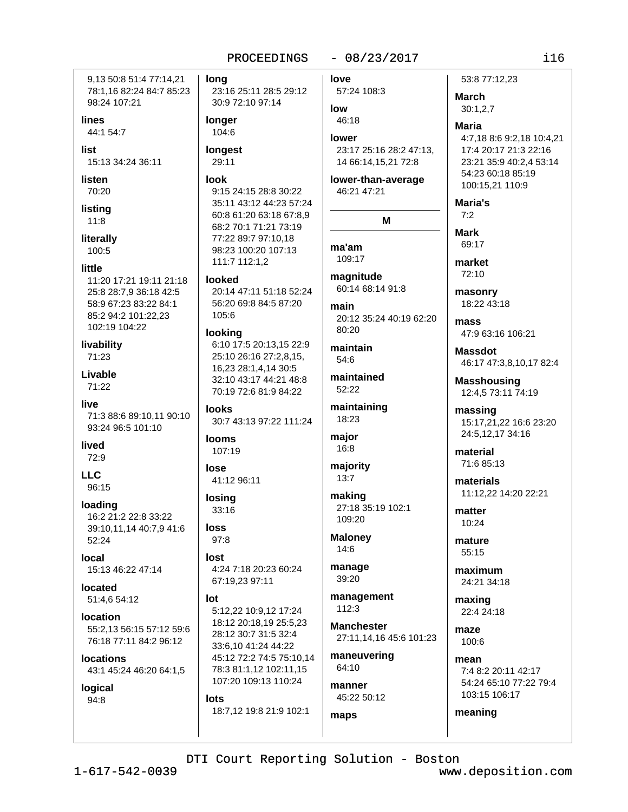## $-08/23/2017$

9.13 50:8 51:4 77:14.21 78:1,16 82:24 84:7 85:23 98:24 107:21 lines 44:1 54:7

list 15:13 34:24 36:11

listen 70:20

```
listing
11:8
```
literally 100:5

## little

11:20 17:21 19:11 21:18 25:8 28:7,9 36:18 42:5 58:9 67:23 83:22 84:1 85:2 94:2 101:22,23 102:19 104:22

livability 71:23

Livable 71:22

live

71:3 88:6 89:10,11 90:10 93:24 96:5 101:10

lived 72:9

**LLC** 96:15

loading 16:2 21:2 22:8 33:22 39:10,11,14 40:7,9 41:6 52:24

Iocal 15:13 46:22 47:14

located 51:4.6 54:12

**Iocation** 55:2,13 56:15 57:12 59:6 76:18 77:11 84:2 96:12

**locations** 43:1 45:24 46:20 64:1,5

logical 94:8

**long** 23:16 25:11 28:5 29:12 30:9 72:10 97:14 **longer** 104:6 longest 29:11 look 9:15 24:15 28:8 30:22 35:11 43:12 44:23 57:24 60:8 61:20 63:18 67:8,9 68:2 70:1 71:21 73:19 77:22 89:7 97:10.18 98:23 100:20 107:13 111:7 112:1,2

**looked** 

20:14 47:11 51:18 52:24 56:20 69:8 84:5 87:20 105:6

## looking

6:10 17:5 20:13,15 22:9 25:10 26:16 27:2,8,15, 16,23 28:1,4,14 30:5 32:10 43:17 44:21 48:8 70:19 72:6 81:9 84:22

**looks** 30:7 43:13 97:22 111:24

**looms** 107:19

lose 41:12 96:11

losina 33:16

loss  $97.8$ 

lost 4:24 7:18 20:23 60:24 67:19,23 97:11

### $Int$

5:12,22 10:9,12 17:24 18:12 20:18.19 25:5.23 28:12 30:7 31:5 32:4 33:6,10 41:24 44:22 45:12 72:2 74:5 75:10,14 78:3 81:1.12 102:11.15 107:20 109:13 110:24

lots 18:7,12 19:8 21:9 102:1

love 57:24 108:3

low 46:18

lower 23:17 25:16 28:2 47:13, 14 66:14,15,21 72:8

lower-than-average 46:21 47:21

# M

ma'am 109:17

magnitude 60:14 68:14 91:8

main 20:12 35:24 40:19 62:20 80:20

maintain 54:6

maintained 52:22

maintaining 18:23

major 16:8

majority  $13:7$ 

making 27:18 35:19 102:1 109:20

**Maloney** 14:6

manage 39:20

management 112:3

**Manchester** 27:11,14,16 45:6 101:23

maneuvering 64:10

manner 45:22 50:12

maps

53:8 77:12.23

**March**  $30:1,2.7$ 

**Maria** 4:7.18 8:6 9:2.18 10:4.21 17:4 20:17 21:3 22:16

23:21 35:9 40:2.4 53:14 54:23 60:18 85:19 100:15.21 110:9

Maria's  $7:2$ 

**Mark** 69:17

market  $72:10$ 

masonry 18:22 43:18

mass 47:9 63:16 106:21

**Massdot** 46:17 47:3,8,10,17 82:4

**Masshousing** 12:4.5 73:11 74:19

massing 15:17,21,22 16:6 23:20 24:5,12,17 34:16

material 71:6 85:13

materials 11:12.22 14:20 22:21

matter 10:24

mature 55:15

maximum 24:21 34:18

maxing 22:4 24:18

 $maxa$ 100:6

mean 7:4 8:2 20:11 42:17 54:24 65:10 77:22 79:4 103:15 106:17

meaning

DTI Court Reporting Solution - Boston

 $1 - 617 - 542 - 0039$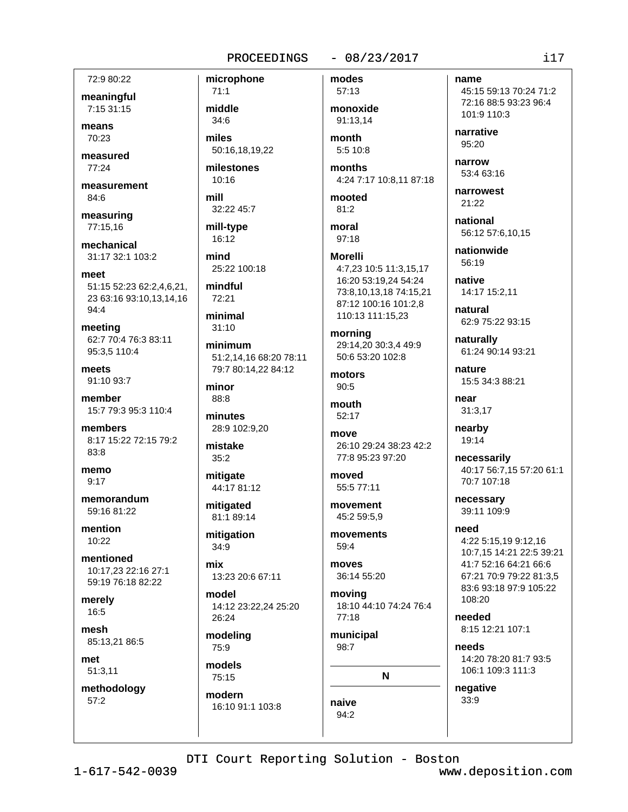## $-08/23/2017$

72:9 80:22

meaningful 7:15 31:15

means  $70.23$ 

measured 77:24

measurement 84:6

measuring 77:15.16

mechanical 31:17 32:1 103:2

meet 51:15 52:23 62:2,4,6,21, 23 63:16 93:10,13,14,16  $94:4$ 

meeting 62:7 70:4 76:3 83:11 95:3,5 110:4

meets 91:10 93:7

member 15:7 79:3 95:3 110:4

members 8:17 15:22 72:15 79:2 83:8

memo  $9:17$ 

memorandum 59:16 81:22

mention 10:22

mentioned 10:17,23 22:16 27:1 59:19 76:18 82:22

merely 16:5

mesh 85:13,21 86:5

met 51:3,11

methodology  $57:2$ 

 $71:1$ middle  $34:6$ miles

microphone

50:16,18,19,22 milestones

 $10:16$ mill

32:22 45:7

mill-type 16:12

mind 25:22 100:18

mindful  $72:21$ 

minimal  $31:10$ 

minimum 51:2.14.16 68:20 78:11 79:7 80:14,22 84:12

minor 88:8

minutes 28:9 102:9,20

mistake  $35:2$ 

mitigate 44:17 81:12

mitigated 81:1 89:14

mitigation 34:9

mix 13:23 20:6 67:11

model 14:12 23:22.24 25:20 26:24

modeling 75:9

models 75:15

modern 16:10 91:1 103:8

57:13 monoxide 91:13.14 month

modes

5:5 10:8

months 4:24 7:17 10:8,11 87:18

mooted  $81:2$ 

moral 97:18

## **Morelli** 4:7,23 10:5 11:3,15,17 16:20 53:19,24 54:24 73:8,10,13,18 74:15,21 87:12 100:16 101:2.8 110:13 111:15,23

morning 29:14,20 30:3,4 49:9 50:6 53:20 102:8

motors  $90:5$ 

mouth 52:17

move 26:10 29:24 38:23 42:2 77:8 95:23 97:20

moved 55:5 77:11

movement 45:2 59:5,9

movements 59:4

**MOVAS** 36:14 55:20

moving 18:10 44:10 74:24 76:4 77:18

municipal 98:7

N

naive 94:2

name 45:15 59:13 70:24 71:2 72:16 88:5 93:23 96:4

101:9 110:3

narrative 95:20

narrow 53:4 63:16

narrowest 21:22

national 56:12 57:6,10,15

nationwide 56:19

native 14:17 15:2,11

natural 62:9 75:22 93:15

naturally 61:24 90:14 93:21

nature 15:5 34:3 88:21

near 31:3,17

nearby 19:14

necessarily 40:17 56:7,15 57:20 61:1 70:7 107:18

necessary 39:11 109:9

need 4:22 5:15,19 9:12,16 10:7.15 14:21 22:5 39:21 41:7 52:16 64:21 66:6 67:21 70:9 79:22 81:3,5 83:6 93:18 97:9 105:22 108:20

heeded 8:15 12:21 107:1

needs 14:20 78:20 81:7 93:5 106:1 109:3 111:3

negative 33:9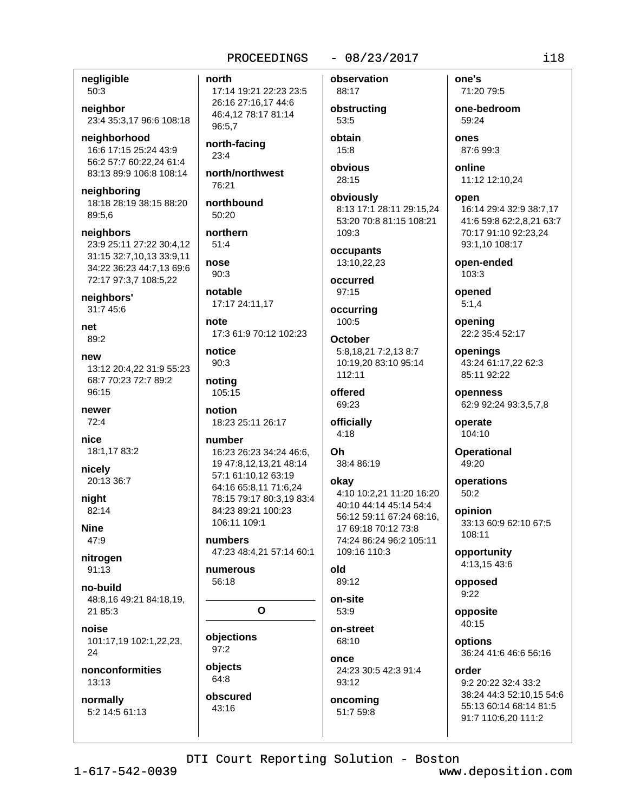## $-08/23/2017$

negligible 50:3

neighbor 23:4 35:3,17 96:6 108:18

neighborhood 16:6 17:15 25:24 43:9 56:2 57:7 60:22.24 61:4 83:13 89:9 106:8 108:14

neighboring 18:18 28:19 38:15 88:20 89:5,6

neighbors 23:9 25:11 27:22 30:4,12 31:15 32:7,10,13 33:9,11 34:22 36:23 44:7.13 69:6 72:17 97:3,7 108:5,22

neighbors' 31:7 45:6

net 89:2

new 13:12 20:4.22 31:9 55:23 68:7 70:23 72:7 89:2 96:15

newer  $72:4$ 

nice 18:1,17 83:2

nicely 20:13 36:7

niaht 82:14

**Nine** 47:9

nitrogen  $91:13$ 

no-build 48:8.16 49:21 84:18.19. 21 85:3

noise 101:17,19 102:1,22,23, 24

nonconformities 13:13

normally 5:2 14:5 61:13 north

17:14 19:21 22:23 23:5 26:16 27:16,17 44:6 46:4,12 78:17 81:14 96:5.7

north-facing  $23:4$ 

north/northwest  $76.21$ 

northbound 50:20

northern  $51:4$ 

nose  $90:3$ 

notable 17:17 24:11,17

note 17:3 61:9 70:12 102:23

notice  $90:3$ 

noting 105:15

notion 18:23 25:11 26:17

number 16:23 26:23 34:24 46:6, 19 47:8,12,13,21 48:14 57:1 61:10.12 63:19 64:16 65:8.11 71:6.24 78:15 79:17 80:3.19 83:4 84:23 89:21 100:23 106:11 109:1

numbers 47:23 48:4,21 57:14 60:1

numerous 56:18

 $\Omega$ 

objections 97:2 objects 64:8

obscured 43:16

observation 88:17 obstructing 53:5

obtain 15:8

obvious 28:15

obviously 8:13 17:1 28:11 29:15,24 53:20 70:8 81:15 108:21 109:3

occupants 13:10,22,23

occurred 97:15

occurring 100:5

**October** 5:8,18,21 7:2,13 8:7 10:19,20 83:10 95:14 112:11

offered 69:23

officially  $4:18$ 

Oh 38:4 86:19

okay

4:10 10:2.21 11:20 16:20 40:10 44:14 45:14 54:4 56:12 59:11 67:24 68:16, 17 69:18 70:12 73:8 74:24 86:24 96:2 105:11 109:16 110:3

blo 89:12

on-site  $53:9$ 

on-street 68:10 once 24:23 30:5 42:3 91:4 93:12

oncoming 51:7 59:8

71:20 79:5 one-bedroom 59:24 ones

one's

87:6 99:3

online 11:12 12:10,24

open 16:14 29:4 32:9 38:7,17 41:6 59:8 62:2,8,21 63:7 70:17 91:10 92:23,24 93:1,10 108:17

open-ended  $103:3$ 

opened  $5:1.4$ 

opening 22:2 35:4 52:17

openings 43:24 61:17,22 62:3 85:11 92:22

openness 62:9 92:24 93:3,5,7,8

operate 104:10

**Operational** 49:20

operations  $50:2$ 

opinion 33:13 60:9 62:10 67:5 108:11

opportunity 4:13.15 43:6

opposed  $9:22$ 

opposite  $40.15$ 

options 36:24 41:6 46:6 56:16

order 9:2 20:22 32:4 33:2 38:24 44:3 52:10,15 54:6 55:13 60:14 68:14 81:5 91:7 110:6,20 111:2

DTI Court Reporting Solution - Boston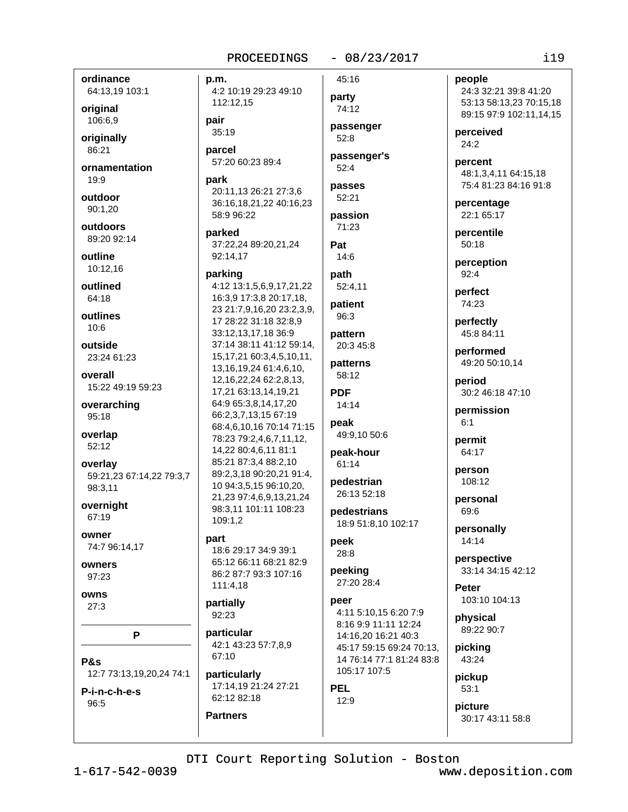## $-08/23/2017$

ordinance 64:13,19 103:1

original 106:6,9

originally 86:21

ornamentation  $19:9$ 

outdoor 90:1,20

outdoors 89:20 92:14

outline 10:12,16

outlined 64:18

outlines  $10:6$ 

outside 23:24 61:23

overall 15:22 49:19 59:23

overarching 95:18

overlap 52:12

overlay 59:21,23 67:14,22 79:3,7 98:3,11

overnight 67:19

OWNAR 74:7 96:14,17

owners 97:23

owns  $27:3$ 

P

P&s 12:7 73:13,19,20,24 74:1

P-i-n-c-h-e-s 96:5

p.m. 4:2 10:19 29:23 49:10 112:12,15

pair  $35:19$ 

parcel 57:20 60:23 89:4

park 20:11,13 26:21 27:3,6 36:16,18,21,22 40:16,23 58:9 96:22

parked 37:22.24 89:20.21.24 92:14,17

#### parking

4:12 13:1,5,6,9,17,21,22 16:3,9 17:3,8 20:17,18, 23 21:7,9,16,20 23:2,3,9, 17 28:22 31:18 32:8,9 33:12,13,17,18 36:9 37:14 38:11 41:12 59:14, 15, 17, 21 60: 3, 4, 5, 10, 11, 13, 16, 19, 24 61: 4, 6, 10, 12, 16, 22, 24 62: 2, 8, 13, 17,21 63:13,14,19,21 64:9 65:3.8.14.17.20 66:2,3,7,13,15 67:19 68:4,6,10,16 70:14 71:15 78:23 79:2,4,6,7,11,12, 14,22 80:4,6,11 81:1 85:21 87:3,4 88:2,10 89:2,3,18 90:20,21 91:4, 10 94:3,5,15 96:10,20, 21,23 97:4,6,9,13,21,24 98:3,11 101:11 108:23 109:1.2

### part

18:6 29:17 34:9 39:1 65:12 66:11 68:21 82:9 86:2 87:7 93:3 107:16  $111:4,18$ 

partially 92:23

**Partners** 

particular 42:1 43:23 57:7.8.9 67:10

particularly 17:14,19 21:24 27:21 62:12 82:18

party 74:12 passenger  $52:8$ passenger's  $52:4$ passes  $52:21$ 

45:16

passion 71:23

Pat  $14:6$ 

path 52:4,11

patient 96:3

pattern 20:3 45:8

patterns 58:12

**PDF**  $14:14$ 

peak

49:9,10 50:6

peak-hour 61:14

pedestrian 26:13 52:18

pedestrians 18:9 51:8,10 102:17

## peek 28:8

peeking 27:20 28:4

peer 4:11 5:10.15 6:20 7:9 8:16 9:9 11:11 12:24 14:16,20 16:21 40:3 45:17 59:15 69:24 70:13, 14 76:14 77:1 81:24 83:8 105:17 107:5

**PEL**  $12:9$  people 24:3 32:21 39:8 41:20 53:13 58:13,23 70:15,18 89:15 97:9 102:11,14,15

perceived  $24:2$ 

percent 48:1,3,4,11 64:15,18 75:4 81:23 84:16 91:8

percentage 22:1 65:17

percentile  $50:18$ 

perception  $92:4$ 

perfect 74:23

perfectly 45:8 84:11

performed 49:20 50:10,14

period 30:2 46:18 47:10

permission  $6:1$ 

permit 64:17

person 108:12

personal 69:6

personally 14:14

perspective 33:14 34:15 42:12

Peter 103:10 104:13

physical 89:22 90:7

picking 43:24

pickup  $53:1$ 

picture 30:17 43:11 58:8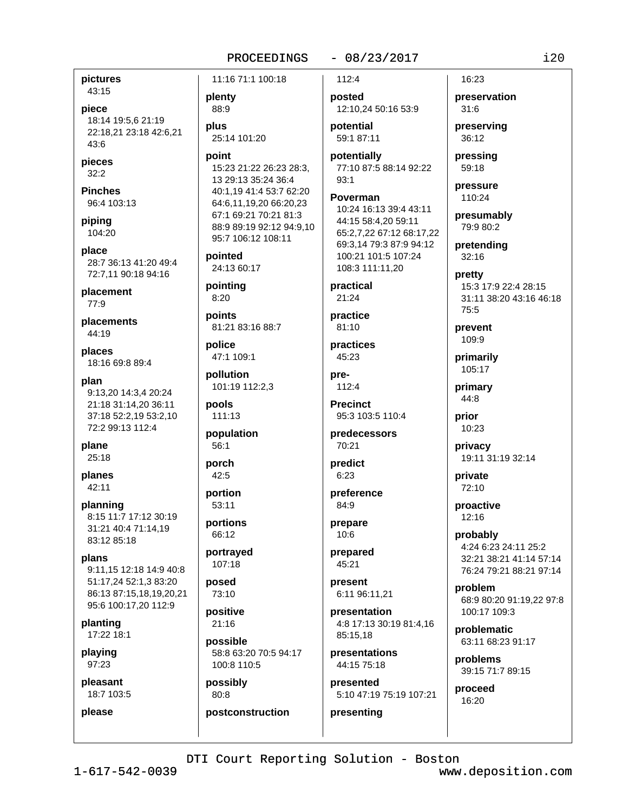## $-08/23/2017$

pictures 43:15

piece 18:14 19:5,6 21:19 22:18,21 23:18 42:6,21  $43.6$ 

pieces  $32:2$ 

**Pinches** 96:4 103:13

piping 104:20

place 28:7 36:13 41:20 49:4 72:7.11 90:18 94:16

placement 77:9

placements 44:19

places 18:16 69:8 89:4

plan 9:13.20 14:3.4 20:24 21:18 31:14,20 36:11 37:18 52:2,19 53:2,10 72:2 99:13 112:4

plane 25:18

planes 42:11

planning 8:15 11:7 17:12 30:19 31:21 40:4 71:14,19 83:12 85:18

plans 9:11,15 12:18 14:9 40:8 51:17,24 52:1,3 83:20 86:13 87:15,18,19,20,21 95:6 100:17,20 112:9

planting 17:22 18:1

playing 97:23

please

pleasant 18:7 103:5 plenty 88:9 plus 25:14 101:20

11:16 71:1 100:18

point 15:23 21:22 26:23 28:3. 13 29:13 35:24 36:4 40:1.19 41:4 53:7 62:20 64:6,11,19,20 66:20,23 67:1 69:21 70:21 81:3 88:9 89:19 92:12 94:9,10 95:7 106:12 108:11

pointed 24:13 60:17

pointing  $8:20$ 

points 81:21 83:16 88:7

police 47:1 109:1

pollution 101:19 112:2,3

pools 111:13

population  $56:1$ 

porch 42:5

portion 53:11

portions 66:12

portrayed  $107:18$ 

posed 73:10

> positive  $21.16$

possible 58:8 63:20 70:5 94:17 100:8 110:5

postconstruction

possibly 80:8

posted 12:10,24 50:16 53:9

112:4

potential 59:1 87:11

potentially 77:10 87:5 88:14 92:22  $93:1$ 

Poverman 10:24 16:13 39:4 43:11

44:15 58:4,20 59:11 65:2,7,22 67:12 68:17,22 69:3.14 79:3 87:9 94:12 100:21 101:5 107:24 108:3 111:11.20

practical  $21:24$ 

practice 81:10

practices 45:23

pre- $112:4$ 

**Precinct** 95:3 103:5 110:4

predecessors 70:21

predict  $6:23$ 

preference 84:9

prepare 10:6

prepared 45:21

present 6:11 96:11,21

presentation 4:8 17:13 30:19 81:4,16 85:15,18

presentations 44:15 75:18

presented 5:10 47:19 75:19 107:21

presenting

16:23 preservation

 $31:6$ 

preserving  $36:12$ 

pressing 59:18

pressure 110:24

presumably 79:9 80:2

pretending  $32:16$ 

pretty 15:3 17:9 22:4 28:15 31:11 38:20 43:16 46:18  $75.5$ 

prevent 109:9

primarily 105:17

primary 44:8

prior 10:23

privacy 19:11 31:19 32:14

private 72:10

proactive  $12:16$ 

probably 4:24 6:23 24:11 25:2 32:21 38:21 41:14 57:14 76:24 79:21 88:21 97:14

problem 68:9 80:20 91:19.22 97:8 100:17 109:3

problematic 63:11 68:23 91:17

problems 39:15 71:7 89:15

proceed 16:20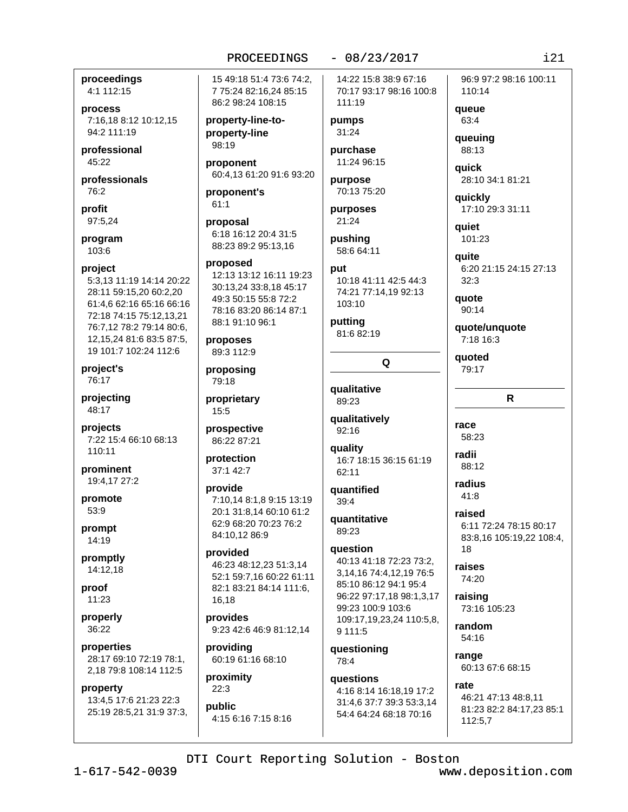$-08/23/2017$ 

proceedings 4:1 112:15

process 7:16.18 8:12 10:12.15 94:2 111:19

professional 45:22

professionals 76:2

profit 97:5,24

program 103:6

#### project

5:3,13 11:19 14:14 20:22 28:11 59:15,20 60:2,20 61:4,6 62:16 65:16 66:16 72:18 74:15 75:12,13,21 76:7,12 78:2 79:14 80:6, 12, 15, 24 81: 6 83: 5 87: 5, 19 101:7 102:24 112:6

project's 76:17

projecting 48:17

projects 7:22 15:4 66:10 68:13 110:11

prominent 19:4.17 27:2

promote 53:9

prompt 14:19

promptly  $14:12.18$ 

proof 11:23

properly 36:22

properties 28:17 69:10 72:19 78:1, 2,18 79:8 108:14 112:5

#### property

13:4,5 17:6 21:23 22:3 25:19 28:5,21 31:9 37:3, 15 49:18 51:4 73:6 74:2. 7 75:24 82:16,24 85:15 86:2 98:24 108:15

property-line-toproperty-line 98:19

proponent 60:4,13 61:20 91:6 93:20

proponent's  $61:1$ 

proposal 6:18 16:12 20:4 31:5 88:23 89:2 95:13.16

## proposed

12:13 13:12 16:11 19:23 30:13,24 33:8,18 45:17 49:3 50:15 55:8 72:2 78:16 83:20 86:14 87:1 88:1 91:10 96:1

proposes 89:3 112:9

proposing 79:18 proprietary

15:5

prospective 86:22 87:21

#### protection 37:1 42:7

provide 7:10,14 8:1,8 9:15 13:19 20:1 31:8.14 60:10 61:2 62:9 68:20 70:23 76:2 84:10,12 86:9

provided 46:23 48:12,23 51:3,14 52:1 59:7,16 60:22 61:11 82:1 83:21 84:14 111:6, 16,18

provides 9:23 42:6 46:9 81:12,14

providing 60:19 61:16 68:10

proximity  $22:3$ 

public 4:15 6:16 7:15 8:16 14:22 15:8 38:9 67:16 70:17 93:17 98:16 100:8 111:19

pumps  $31:24$ 

purchase 11:24 96:15

purpose 70:13 75:20

purposes 21:24

pushing 58:6 64:11

# put 10:18 41:11 42:5 44:3

74:21 77:14,19 92:13 103:10

Q

putting 81:6 82:19

qualitative 89:23

qualitatively  $92:16$ 

quality 16:7 18:15 36:15 61:19  $62.11$ 

quantified  $39:4$ 

quantitative 89:23

## question

40:13 41:18 72:23 73:2. 3, 14, 16 74: 4, 12, 19 76: 5 85:10 86:12 94:1 95:4 96:22 97:17,18 98:1,3,17 99:23 100:9 103:6 109:17,19,23,24 110:5,8, 9 111:5

questioning 78:4

auestions 4:16 8:14 16:18,19 17:2 31:4,6 37:7 39:3 53:3,14 54:4 64:24 68:18 70:16

96:9 97:2 98:16 100:11 110:14

queue 63:4

queuing 88:13

**aujck** 28:10 34:1 81:21

quickly 17:10 29:3 31:11

**aujet** 101:23

quite 6:20 21:15 24:15 27:13  $32:3$ 

quote  $90:14$ 

quote/unquote 7:18 16:3

quoted 79:17

## R

race 58:23

radii 88:12

radius  $41:8$ 

raised 6:11 72:24 78:15 80:17 83:8,16 105:19,22 108:4, 18

raises 74:20

raising 73:16 105:23

random 54:16

range 60:13 67:6 68:15

rate 46:21 47:13 48:8,11 81:23 82:2 84:17,23 85:1 112:5,7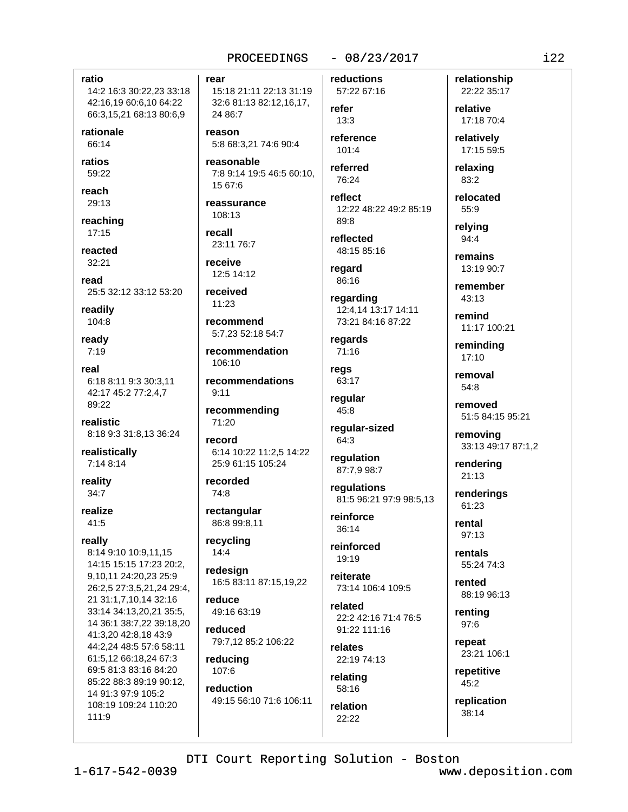## $-08/23/2017$

ratio 14:2 16:3 30:22,23 33:18 42:16,19 60:6,10 64:22 66:3,15,21 68:13 80:6,9

rationale 66:14

ratios 59:22

reach 29:13

reaching  $17:15$ 

reacted 32:21

read

25:5 32:12 33:12 53:20 readily

104:8

ready  $7:19$ 

real 6:18 8:11 9:3 30:3.11 42:17 45:2 77:2.4.7  $89.22$ 

realistic 8:18 9:3 31:8,13 36:24

realistically 7:14 8:14

reality  $34:7$ 

realize  $41:5$ 

really

8:14 9:10 10:9.11.15 14:15 15:15 17:23 20:2, 9,10,11 24:20,23 25:9 26:2,5 27:3,5,21,24 29:4, 21 31:1,7,10,14 32:16 33:14 34:13,20,21 35:5, 14 36:1 38:7,22 39:18,20 41:3,20 42:8,18 43:9 44:2,24 48:5 57:6 58:11 61:5.12 66:18.24 67:3 69:5 81:3 83:16 84:20 85:22 88:3 89:19 90:12, 14 91:3 97:9 105:2 108:19 109:24 110:20  $111:9$ 

rear

15:18 21:11 22:13 31:19 32:6 81:13 82:12,16,17, 24 86:7

reason 5:8 68:3,21 74:6 90:4

reasonable 7:8 9:14 19:5 46:5 60:10.  $15.676$ 

reassurance 108:13

recall 23:11 76:7

receive 12:5 14:12

received  $11:23$ 

recommend 5:7.23 52:18 54:7

recommendation 106:10

recommendations  $9.11$ 

recommending 71:20

record 6:14 10:22 11:2,5 14:22 25:9 61:15 105:24

recorded 74:8

rectangular 86:8 99:8.11

recycling  $14:4$ 

redesign 16:5 83:11 87:15,19,22

reduce 49:16 63:19

reduced 79:7,12 85:2 106:22

reducing 107:6

reduction 49:15 56:10 71:6 106:11 refer  $13:3$ reference 101:4

reductions

57:22 67:16

referred 76:24

reflect 12:22 48:22 49:2 85:19 89:8

reflected 48:15 85:16

regard 86:16

regarding 12:4,14 13:17 14:11 73:21 84:16 87:22

regards 71:16

regs 63:17

regular  $45:8$ 

regular-sized 64:3

regulation 87:7,9 98:7

regulations 81:5 96:21 97:9 98:5,13

reinforce  $36.14$ 

reinforced  $19:19$ 

reiterate 73:14 106:4 109:5

related 22:2 42:16 71:4 76:5 91:22 111:16

relates 22:19 74:13

relating 58:16

relation  $22:22$ 

relative 17:18 70:4 relatively 17:15 59:5

relationship

22:22 35:17

relaxing 83:2

relocated  $55:9$ 

relvina 94:4

remains 13:19 90:7

remember  $43:13$ 

remind 11:17 100:21

reminding  $17:10$ 

removal 54:8

removed 51:5 84:15 95:21

removing 33:13 49:17 87:1,2

rendering  $21:13$ 

renderings 61:23

rental  $97:13$ 

rentals 55:24 74:3

rented 88:19 96:13

renting 97:6

repeat 23:21 106:1

repetitive 45:2

replication 38:14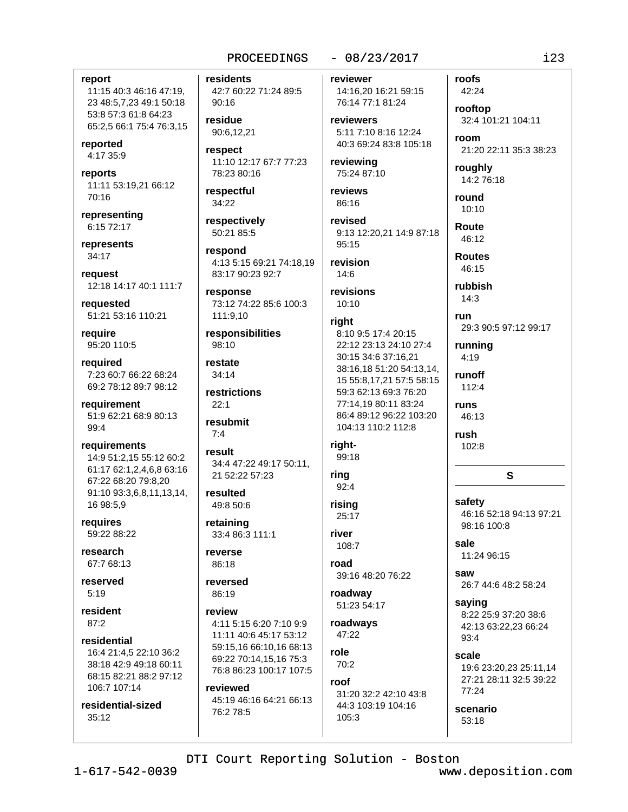## $-08/23/2017$

#### report

11:15 40:3 46:16 47:19, 23 48:5,7,23 49:1 50:18 53:8 57:3 61:8 64:23 65:2,5 66:1 75:4 76:3,15

reported 4:17 35:9

reports 11:11 53:19,21 66:12 70:16

representing 6:15 72:17

represents 34:17

reauest 12:18 14:17 40:1 111:7

requested 51:21 53:16 110:21

require 95:20 110:5

required 7:23 60:7 66:22 68:24 69:2 78:12 89:7 98:12

requirement 51:9 62:21 68:9 80:13 99:4

requirements 14:9 51:2,15 55:12 60:2 61:17 62:1,2,4,6,8 63:16 67:22 68:20 79:8.20 91:10 93:3,6,8,11,13,14, 16 98:5.9

requires 59:22 88:22

research 67:7 68:13

reserved  $5:19$ 

resident  $87:2$ 

residential 16:4 21:4.5 22:10 36:2 38:18 42:9 49:18 60:11 68:15 82:21 88:2 97:12 106:7 107:14

residential-sized  $35:12$ 

residents 42:7 60:22 71:24 89:5 90:16

residue 90:6.12.21

respect 11:10 12:17 67:7 77:23 78:23 80:16

respectful 34:22

respectively 50:21 85:5

respond 4:13 5:15 69:21 74:18,19 83:17 90:23 92:7

response 73:12 74:22 85:6 100:3 111:9,10

responsibilities 98:10

restate  $34:14$ 

restrictions  $22.1$ 

resubmit  $7:4$ 

result 34:4 47:22 49:17 50:11. 21 52:22 57:23

resulted 49:8 50:6

retaining 33:4 86:3 111:1

reverse 86:18

reversed 86:19

review 4:11 5:15 6:20 7:10 9:9 11:11 40:6 45:17 53:12 59:15.16 66:10.16 68:13 69:22 70:14,15,16 75:3 76:8 86:23 100:17 107:5

reviewed 45:19 46:16 64:21 66:13 76:2 78:5

reviewer 14:16,20 16:21 59:15

76:14 77:1 81:24 reviewers 5:11 7:10 8:16 12:24 40:3 69:24 83:8 105:18

reviewing 75:24 87:10

reviews 86:16

revised 9:13 12:20.21 14:9 87:18 95:15

revision  $14:6$ 

revisions  $10:10$ 

### right

8:10 9:5 17:4 20:15 22:12 23:13 24:10 27:4 30:15 34:6 37:16,21 38:16,18 51:20 54:13,14, 15 55:8,17,21 57:5 58:15 59:3 62:13 69:3 76:20 77:14.19 80:11 83:24 86:4 89:12 96:22 103:20 104:13 110:2 112:8

# right-

99:18

ring  $92:4$ 

risina 25:17

river 108:7

road 39:16 48:20 76:22

roadway 51:23 54:17

roadways 47:22

role  $70.2$ 

roof

31:20 32:2 42:10 43:8 44:3 103:19 104:16  $105:3$ 

rooftop 32:4 101:21 104:11 room 21:20 22:11 35:3 38:23 roughly 14:2 76:18 round  $10:10$ **Route** 46:12 **Routes** 46:15 rubbish  $14:3$ run

29:3 90:5 97:12 99:17

running  $4:19$ 

roofs

42:24

runoff 112:4

runs 46:13

rush 102:8

S

safety 46:16 52:18 94:13 97:21 98:16 100:8

sale

11:24 96:15

saw 26:7 44:6 48:2 58:24

saying 8:22 25:9 37:20 38:6 42:13 63:22,23 66:24 93:4

scale 19:6 23:20,23 25:11,14 27:21 28:11 32:5 39:22  $77:24$ 

scenario 53:18

DTI Court Reporting Solution - Boston

www.deposition.com

 $123$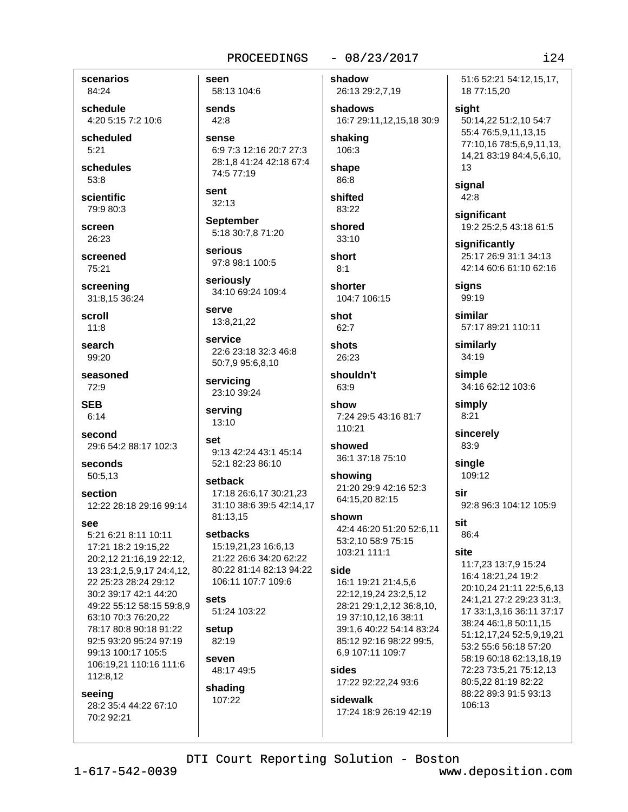## $-08/23/2017$

scenarios 84:24

schedule 4:20 5:15 7:2 10:6

scheduled  $5:21$ 

schedules  $53:8$ 

scientific 79:9 80:3

screen

26:23

screened 75:21

screening 31:8.15 36:24

scroll  $11:8$ 

search 99:20

seasoned 72:9

**SEB**  $6:14$ 

second 29:6 54:2 88:17 102:3

seconds 50:5,13

section 12:22 28:18 29:16 99:14

See

5:21 6:21 8:11 10:11 17:21 18:2 19:15,22 20:2,12 21:16,19 22:12, 13 23:1, 2, 5, 9, 17 24: 4, 12, 22 25:23 28:24 29:12 30:2 39:17 42:1 44:20 49:22 55:12 58:15 59:8.9 63:10 70:3 76:20.22 78:17 80:8 90:18 91:22 92:5 93:20 95:24 97:19 99:13 100:17 105:5 106:19,21 110:16 111:6 112:8,12

#### seeing

28:2 35:4 44:22 67:10 70:2 92:21

seen 58:13 104:6

sends  $42:8$ 

sense 6:9 7:3 12:16 20:7 27:3 28:1,8 41:24 42:18 67:4 74:5 77:19

sent  $32:13$ 

**September** 5:18 30:7,8 71:20

serious 97:8 98:1 100:5

seriously 34:10 69:24 109:4

**Serve** 13:8,21,22

service 22:6 23:18 32:3 46:8 50:7.9 95:6.8.10

servicing 23:10 39:24

serving 13:10

set 9:13 42:24 43:1 45:14 52:1 82:23 86:10

setback 17:18 26:6.17 30:21.23 31:10 38:6 39:5 42:14,17 81:13,15

setbacks 15:19,21,23 16:6,13 21:22 26:6 34:20 62:22 80:22 81:14 82:13 94:22 106:11 107:7 109:6

sets 51:24 103:22

setup 82:19

**Seven** 48:17 49:5

shading 107:22

shadow 26:13 29:2,7,19

shadows 16:7 29:11,12,15,18 30:9

shaking 106:3

shape 86:8

shifted 83:22

shored  $33:10$ 

short  $8:1$ 

shorter

104:7 106:15 shot

 $62:7$ 

shots 26:23

shouldn't 63:9

show 7:24 29:5 43:16 81:7 110:21

showed 36:1 37:18 75:10

showing 21:20 29:9 42:16 52:3 64:15,20 82:15

shown 42:4 46:20 51:20 52:6.11 53:2,10 58:9 75:15 103:21 111:1

## side

16:1 19:21 21:4,5,6 22:12,19,24 23:2,5,12 28:21 29:1,2,12 36:8,10, 19 37:10.12.16 38:11 39:1,6 40:22 54:14 83:24 85:12 92:16 98:22 99:5, 6.9 107:11 109:7

sides

17:22 92:22,24 93:6

sidewalk 17:24 18:9 26:19 42:19 51:6 52:21 54:12.15.17. 18 77:15,20

sight 50:14,22 51:2,10 54:7 55:4 76:5,9,11,13,15 77:10,16 78:5,6,9,11,13, 14,21 83:19 84:4,5,6,10, 13

signal 42:8

significant 19:2 25:2,5 43:18 61:5

significantly 25:17 26:9 31:1 34:13 42:14 60:6 61:10 62:16

signs 99:19

similar 57:17 89:21 110:11

similarly 34:19

simple 34:16 62:12 103:6

simply  $8:21$ 

sincerely 83:9

single 109:12

sir 92:8 96:3 104:12 105:9

sit  $86.4$ 

site

11:7,23 13:7,9 15:24 16:4 18:21,24 19:2 20:10,24 21:11 22:5,6,13 24:1,21 27:2 29:23 31:3, 17 33:1,3,16 36:11 37:17 38:24 46:1,8 50:11,15 51:12,17,24 52:5,9,19,21 53:2 55:6 56:18 57:20 58:19 60:18 62:13.18.19 72:23 73:5,21 75:12,13 80:5,22 81:19 82:22 88:22 89:3 91:5 93:13  $106.13$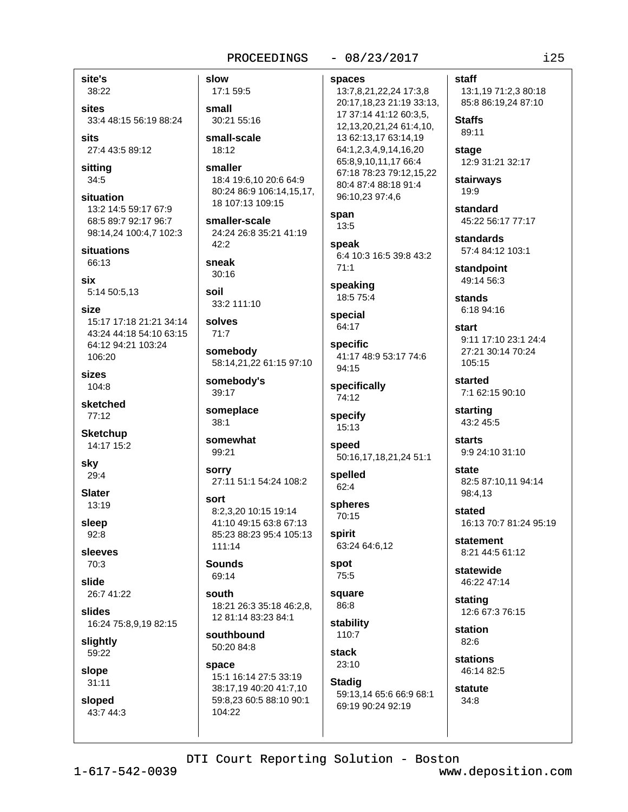## $-08/23/2017$

## $125$

site's 38:22

sites 33:4 48:15 56:19 88:24

sits 27:4 43:5 89:12

sittina  $34:5$ 

situation 13:2 14:5 59:17 67:9 68:5 89:7 92:17 96:7 98:14,24 100:4,7 102:3

situations 66:13

six 5:14 50:5,13

size 15:17 17:18 21:21 34:14 43:24 44:18 54:10 63:15 64:12 94:21 103:24 106:20

**sizes** 104:8

sketched 77:12

**Sketchup** 14:17 15:2

skv 29:4

**Slater** 13:19

sleep 92:8

sleeves 70:3

slide

26:7 41:22

slides 16:24 75:8,9,19 82:15

slightly 59:22

slope

 $31:11$ 

sloped 43:7 44:3 slow 17:1 59:5

small 30:21 55:16

small-scale 18:12

smaller 18:4 19:6.10 20:6 64:9 80:24 86:9 106:14,15,17, 18 107:13 109:15

smaller-scale 24:24 26:8 35:21 41:19  $42:2$ 

sneak  $30:16$ 

soil 33:2 111:10

solves  $71:7$ 

somebody 58:14,21,22 61:15 97:10

somebody's 39:17

someplace  $38:1$ 

somewhat 99:21

**sorry** 27:11 51:1 54:24 108:2

sort 8:2.3.20 10:15 19:14 41:10 49:15 63:8 67:13 85:23 88:23 95:4 105:13 111:14

**Sounds** 69:14

south 18:21 26:3 35:18 46:2.8. 12 81:14 83:23 84:1

southbound 50:20 84:8

space 15:1 16:14 27:5 33:19 38:17,19 40:20 41:7,10 59:8,23 60:5 88:10 90:1 104:22

spaces 13:7,8,21,22,24 17:3,8 20:17,18,23 21:19 33:13, 17 37:14 41:12 60:3.5. 12, 13, 20, 21, 24 61: 4, 10, 13 62:13,17 63:14,19 64:1,2,3,4,9,14,16,20 65:8,9,10,11,17 66:4 67:18 78:23 79:12,15,22 80:4 87:4 88:18 91:4 96:10,23 97:4,6

span  $13:5$ 

speak 6:4 10:3 16:5 39:8 43:2  $71:1$ 

speaking 18:5 75:4

special 64:17

specific 41:17 48:9 53:17 74:6 94:15

specifically 74:12

specify 15:13

speed 50:16,17,18,21,24 51:1

spelled 62:4

spheres 70:15

spirit 63:24 64:6,12

spot 75:5

square 86:8

stability 110:7

**stack** 23:10

**Stadig** 59:13,14 65:6 66:9 68:1 69:19 90:24 92:19

13:1,19 71:2,3 80:18 85:8 86:19,24 87:10

**Staffs** 89:11

staff

stage 12:9 31:21 32:17

stairways  $19:9$ 

standard 45:22 56:17 77:17

**standards** 57:4 84:12 103:1

standpoint 49:14 56:3

stands  $6.1894.16$ 

start 9:11 17:10 23:1 24:4 27:21 30:14 70:24 105:15

started 7:1 62:15 90:10

starting 43:2 45:5

**starts** 9:9 24:10 31:10

state 82:5 87:10,11 94:14 98:4.13

stated 16:13 70:7 81:24 95:19

statement 8:21 44:5 61:12

statewide 46:22 47:14

stating 12:6 67:3 76:15

station 82:6 stations

46:14 82:5

statute  $34:8$ 

 $1 - 617 - 542 - 0039$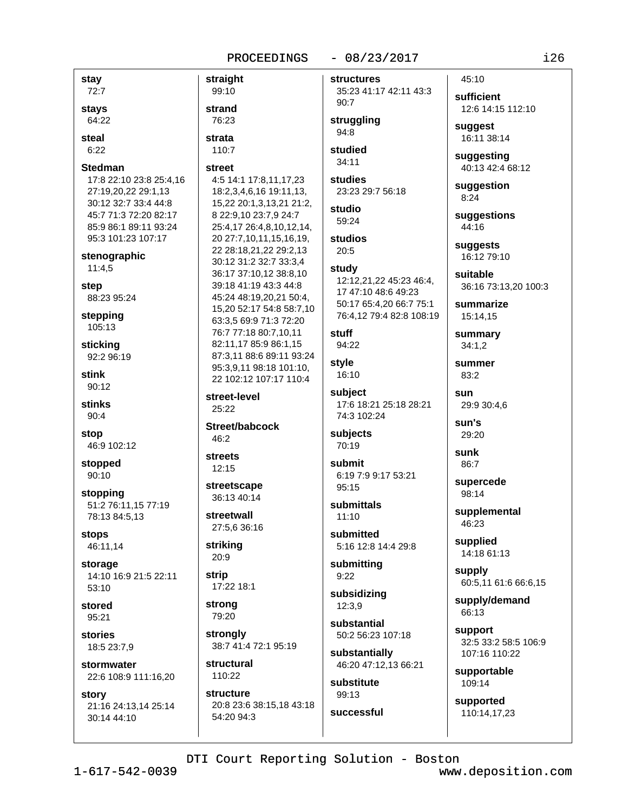## $-08/23/2017$

 $i26$ 

| stay<br>72:7                                                                                                                                              |
|-----------------------------------------------------------------------------------------------------------------------------------------------------------|
| stays<br>64:22                                                                                                                                            |
| steal<br>6:22                                                                                                                                             |
| Stedman<br>17:8 22:10 23:8 25:4,16<br>27:19,20,22 29:1,13<br>30:12 32:7 33:4 44:8<br>45:7 71:3 72:20 82:17<br>85:9 86:1 89:11 93:24<br>95:3 101:23 107:17 |
| stenographic<br>11:4,5                                                                                                                                    |
| step<br>88:23 95:24                                                                                                                                       |
| stepping<br>105:13                                                                                                                                        |
| sticking<br>92:2 96:19                                                                                                                                    |
| stink<br>90:12                                                                                                                                            |
| stinks<br>90:4                                                                                                                                            |
| stop<br>46:9 102:12                                                                                                                                       |
| stopped<br>90:10                                                                                                                                          |
| stopping<br>51:2 76:11,15 77:19<br>78:13 84:5,13                                                                                                          |
| stops<br>46:11,14                                                                                                                                         |
| storage<br>14:10 16:9 21:5 22:11<br>53:10                                                                                                                 |
| stored<br>95:21                                                                                                                                           |
| stories<br>18:5 23:7,9                                                                                                                                    |
| stormwater<br>22:6 108:9 111:16,20                                                                                                                        |
| story<br>21:16 24:13,14 25:14<br>30:14 44:10                                                                                                              |

| straight                                                                                                                                                   | structu                                         |
|------------------------------------------------------------------------------------------------------------------------------------------------------------|-------------------------------------------------|
| 99:10                                                                                                                                                      | 35:23                                           |
| strand                                                                                                                                                     | 90:7                                            |
| 76:23                                                                                                                                                      | struggl                                         |
| strata                                                                                                                                                     | 94:8                                            |
| 110:7                                                                                                                                                      | studiec<br>34:11                                |
| street<br>4:5 14:1 17:8,11,17,23<br>18:2,3,4,6,16 19:11,13,<br>15,22 20:1,3,13,21 21:2,                                                                    | studies<br>23:23:                               |
| 8 22:9,10 23:7,9 24:7                                                                                                                                      | studio                                          |
| 25:4,17 26:4,8,10,12,14,                                                                                                                                   | 59:24                                           |
| 20 27:7,10,11,15,16,19,                                                                                                                                    | studios                                         |
| 22 28:18,21,22 29:2,13                                                                                                                                     | 20:5                                            |
| 30:12 31:2 32:7 33:3,4<br>36:17 37:10,12 38:8,10<br>39:18 41:19 43:3 44:8<br>45:24 48:19,20,21 50:4,<br>15,20 52:17 54:8 58:7,10<br>63:3,5 69:9 71:3 72:20 | study<br>12:12,2<br>17 47:<br>50:176<br>76:4,12 |
| 76:7 77:18 80:7,10,11                                                                                                                                      | stuff                                           |
| 82:11,17 85:9 86:1,15                                                                                                                                      | 94:22                                           |
| 87:3,11 88:6 89:11 93:24<br>95:3,9,11 98:18 101:10,<br>22 102:12 107:17 110:4                                                                              | style<br>16:10                                  |
| street-level<br>25:22                                                                                                                                      | subject<br>17:6 18<br>74:3 10                   |
| Street/babcock                                                                                                                                             | subject                                         |
| 46:2                                                                                                                                                       | 70:19                                           |
| streets<br>12:15                                                                                                                                           | submit                                          |
| streetscape                                                                                                                                                | 6:197                                           |
| 36:13 40:14                                                                                                                                                | 95:15                                           |
| streetwall                                                                                                                                                 | submit                                          |
| 27:5,6 36:16                                                                                                                                               | 11:10                                           |
| striking                                                                                                                                                   | submit                                          |
| 20:9                                                                                                                                                       | 5:1612                                          |
| strip                                                                                                                                                      | submit                                          |
| 17:22 18:1                                                                                                                                                 | 9:22                                            |
| strong                                                                                                                                                     | subsid                                          |
| 79:20                                                                                                                                                      | 12:3,9                                          |
| strongly                                                                                                                                                   | substa                                          |
| 38:7 41:4 72:1 95:19                                                                                                                                       | 50:2 5                                          |
| structural                                                                                                                                                 | substa<br>46:20                                 |
| 110:22                                                                                                                                                     | substit                                         |
| structure                                                                                                                                                  | 99:13                                           |
| 20:8 23:6 38:15,18 43:18                                                                                                                                   |                                                 |

**res** 41:17 42:11 43:3

ling

d

÷. 29:7 56:18

S.

21,22 45:23 46:4, 10 48:6 49:23 65:4,20 66:7 75:1 2 79:4 82:8 108:19

ŧ 8:21 25:18 28:21 02:24

ts

:9 9:17 53:21

ttals

tted 2:8 14:4 29:8

tting

lizing

ntial 6:23 107:18

ntially 47:12,13 66:21

tute successful sufficient 12:6 14:15 112:10 suggest 16:11 38:14

45:10

suggesting

40:13 42:4 68:12 suggestion

 $8:24$ 

suggestions 44:16

suggests 16:12 79:10

suitable 36:16 73:13,20 100:3

summarize 15:14,15

summary  $34:1,2$ 

summer 83:2

sun 29:9 30:4,6

sun's 29:20

sunk 86:7

supercede 98:14

supplemental 46:23

supplied 14:18 61:13

supply 60:5,11 61:6 66:6,15

supply/demand 66:13

support 32:5 33:2 58:5 106:9 107:16 110:22

supportable 109:14

supported 110:14,17,23

DTI Court Reporting Solution - Boston

54:20 94:3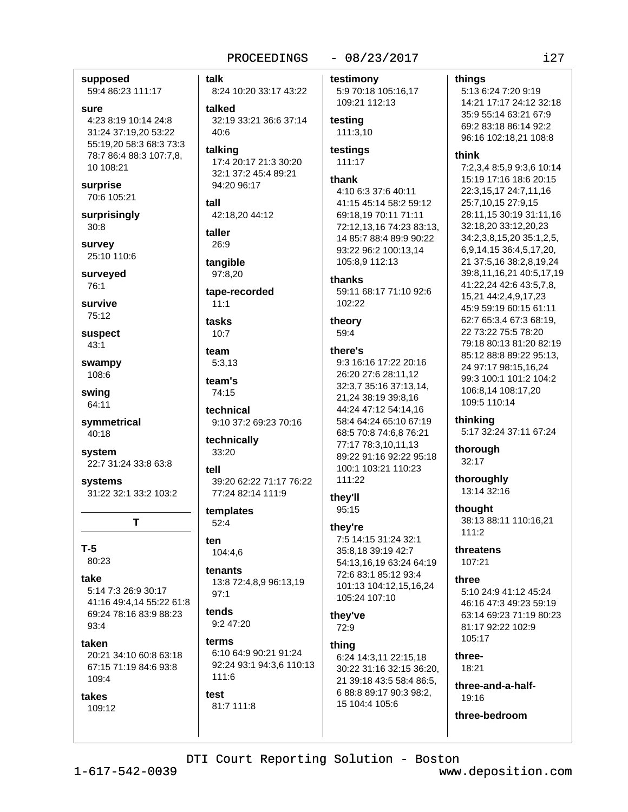## $-08/23/2017$

supposed

59:4 86:23 111:17

### sure

4:23 8:19 10:14 24:8 31:24 37:19,20 53:22 55:19,20 58:3 68:3 73:3 78:7 86:4 88:3 107:7,8, 10 108:21

## surprise 70:6 105:21

surprisingly  $30:8$ 

survey 25:10 110:6

surveyed 76:1

survive

75:12 suspect

 $43:1$ 

swampy 108:6

swina 64:11

symmetrical 40:18

system 22:7 31:24 33:8 63:8

systems 31:22 32:1 33:2 103:2

T

## $T-5$

 $80:23$ 

## take

5:14 7:3 26:9 30:17 41:16 49:4,14 55:22 61:8 69:24 78:16 83:9 88:23  $93:4$ 

### taken

20:21 34:10 60:8 63:18 67:15 71:19 84:6 93:8 109:4

takes 109:12 talk 8:24 10:20 33:17 43:22 talked

32:19 33:21 36:6 37:14  $40.6$ 

talking 17:4 20:17 21:3 30:20 32:1 37:2 45:4 89:21 94:20 96:17

tall 42:18,20 44:12

taller 26:9

tangible 97:8.20

tape-recorded  $11:1$ 

tasks  $10:7$ 

team  $5:3.13$ 

team's 74:15

technical 9:10 37:2 69:23 70:16

technically 33:20

tell 39:20 62:22 71:17 76:22 77:24 82:14 111:9

templates  $52:4$ 

ten 104:4.6

tenants 13:8 72:4,8,9 96:13,19  $97:1$ 

#### tends  $9.247.20$

terms 6:10 64:9 90:21 91:24 92:24 93:1 94:3,6 110:13  $111:6$ 

test 81:7 111:8 testimony 5:9 70:18 105:16,17

109:21 112:13

testing 111:3,10

testings 111:17

## thank

4:10 6:3 37:6 40:11 41:15 45:14 58:2 59:12 69:18,19 70:11 71:11 72:12,13,16 74:23 83:13, 14 85:7 88:4 89:9 90:22 93:22 96:2 100:13,14 105:8,9 112:13

thanks

59:11 68:17 71:10 92:6 102:22

theory 59:4

## there's

9:3 16:16 17:22 20:16 26:20 27:6 28:11.12 32:3,7 35:16 37:13,14, 21,24 38:19 39:8,16 44:24 47:12 54:14.16 58:4 64:24 65:10 67:19 68:5 70:8 74:6,8 76:21 77:17 78:3,10,11,13 89:22 91:16 92:22 95:18 100:1 103:21 110:23 111:22

they'll 95:15

### they're

7:5 14:15 31:24 32:1 35:8.18 39:19 42:7 54:13,16,19 63:24 64:19 72:6 83:1 85:12 93:4 101:13 104:12,15,16,24 105:24 107:10

they've 72:9

### thing

6:24 14:3,11 22:15,18 30:22 31:16 32:15 36:20. 21 39:18 43:5 58:4 86:5, 6 88:8 89:17 90:3 98:2, 15 104:4 105:6

## 5:13 6:24 7:20 9:19 14:21 17:17 24:12 32:18 35:9 55:14 63:21 67:9 69:2 83:18 86:14 92:2 96:16 102:18,21 108:8

#### think

things

7:2.3.4 8:5.9 9:3.6 10:14 15:19 17:16 18:6 20:15 22:3,15,17 24:7,11,16 25:7,10,15 27:9,15 28:11,15 30:19 31:11,16 32:18,20 33:12,20,23 34:2,3,8,15,20 35:1,2,5, 6,9,14,15 36:4,5,17,20, 21 37:5,16 38:2,8,19,24 39:8,11,16,21 40:5,17,19 41:22,24 42:6 43:5,7,8, 15,21 44:2,4,9,17,23 45:9 59:19 60:15 61:11 62:7 65:3,4 67:3 68:19, 22 73:22 75:5 78:20 79:18 80:13 81:20 82:19 85:12 88:8 89:22 95:13. 24 97:17 98:15,16,24 99:3 100:1 101:2 104:2 106:8,14 108:17,20 109:5 110:14

## thinking

5:17 32:24 37:11 67:24

thorough  $32:17$ 

thoroughly 13:14 32:16

thought 38:13 88:11 110:16,21  $111:2$ 

threatens 107:21

## three

5:10 24:9 41:12 45:24 46:16 47:3 49:23 59:19 63:14 69:23 71:19 80:23 81:17 92:22 102:9 105:17

three-18:21

three-and-a-half- $19.16$ 

three-bedroom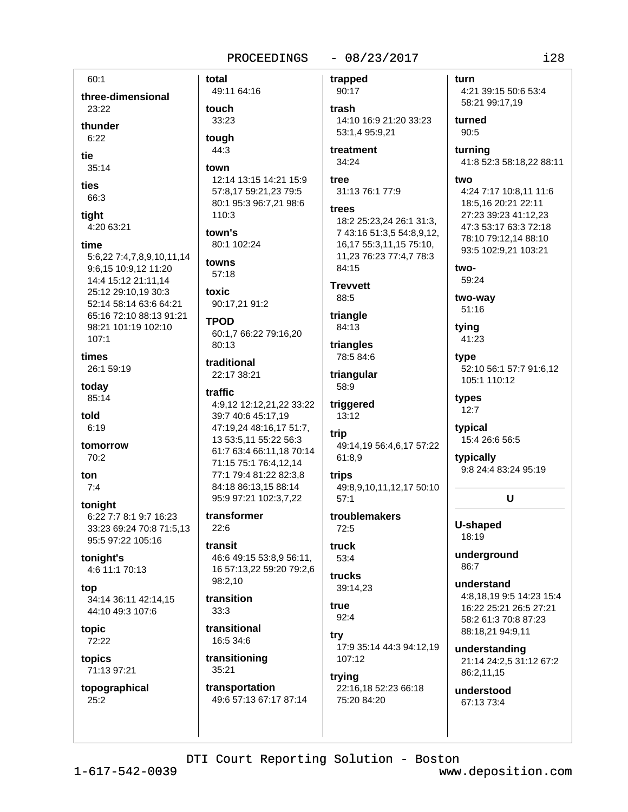## $-08/23/2017$

 $60:1$ three-dimensional 23:22 thunder  $6.22$ tie  $35:14$ ties 66:3 tight 4:20 63:21 time 5:6,22 7:4,7,8,9,10,11,14 9:6,15 10:9,12 11:20 14:4 15:12 21:11,14 25:12 29:10,19 30:3 52:14 58:14 63:6 64:21 65:16 72:10 88:13 91:21 98:21 101:19 102:10  $107:1$ times 26:1 59:19 today 85:14 told  $6:19$ tomorrow  $70:2$ ton  $7:4$ tonight 6:22 7:7 8:1 9:7 16:23 33:23 69:24 70:8 71:5,13 95:5 97:22 105:16 tonight's 4:6 11:1 70:13 top 34:14 36:11 42:14.15 44:10 49:3 107:6 topic 72:22 topics 71:13 97:21 topographical  $25:2$ 

total trapped 49:11 64:16 90:17 touch trash 33:23 tough 44:3 treatment 34:24 town tree 12:14 13:15 14:21 15:9 57:8,17 59:21,23 79:5 80:1 95:3 96:7,21 98:6 trees 110:3 town's 80:1 102:24 towns 84:15  $57:18$ **Trevvett** toxic 88:5 90:17,21 91:2 triangle **TPOD** 84:13 60:1,7 66:22 79:16,20  $80:13$ triangles 78:5 84:6 traditional 22:17 38:21 triangular 58:9 traffic 4:9,12 12:12,21,22 33:22 triggered 39:7 40:6 45:17,19 13:12 47:19,24 48:16,17 51:7, trip 13 53:5,11 55:22 56:3 61:7 63:4 66:11,18 70:14 61:8.9 71:15 75:1 76:4,12,14 77:1 79:4 81:22 82:3,8 trips 84:18 86:13.15 88:14 95:9 97:21 102:3.7.22  $57:1$ transformer  $22:6$  $72:5$ transit truck 46:6 49:15 53:8,9 56:11,  $53:4$ 16 57:13,22 59:20 79:2,6 trucks 98:2,10 39:14.23 transition true  $33.3$  $92:4$ transitional try 16:5 34:6 transitioning 107:12  $35:21$ trying transportation 49:6 57:13 67:17 87:14

turn 14:10 16:9 21:20 33:23 turned  $90:5$ 53:1,4 95:9,21 turning two 31:13 76:1 77:9 18:2 25:23,24 26:1 31:3, 7 43:16 51:3,5 54:8,9,12, 16,17 55:3,11,15 75:10, 11,23 76:23 77:4,7 78:3 two-59:24 two-way 51:16 tying 41:23 type types  $12:7$ typical 49:14,19 56:4,6,17 57:22 typically 49:8,9,10,11,12,17 50:10 troublemakers U-shaped 18:19  $86:7$ understand 17:9 35:14 44:3 94:12,19 86:2,11,15 22:16,18 52:23 66:18 75:20 84:20 67:13 73:4

 $128$ 

4:21 39:15 50:6 53:4 58:21 99:17,19

41:8 52:3 58:18,22 88:11

4:24 7:17 10:8,11 11:6 18:5,16 20:21 22:11 27:23 39:23 41:12.23 47:3 53:17 63:3 72:18

78:10 79:12,14 88:10 93:5 102:9,21 103:21

52:10 56:1 57:7 91:6.12 105:1 110:12

15:4 26:6 56:5

9:8 24:4 83:24 95:19

# $\mathbf U$

underaround

4:8,18,19 9:5 14:23 15:4 16:22 25:21 26:5 27:21 58:2 61:3 70:8 87:23 88:18,21 94:9,11

understanding 21:14 24:2,5 31:12 67:2

understood

DTI Court Reporting Solution - Boston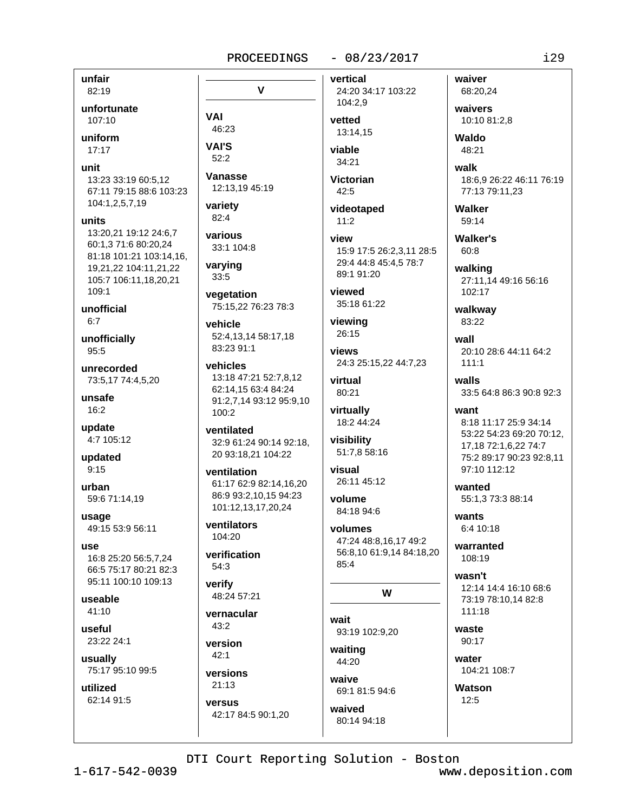$\mathbf v$ 

## $-08/23/2017$

unfair 82:19

unfortunate

107:10

uniform

 $17:17$ 

unit

13:23 33:19 60:5.12 67:11 79:15 88:6 103:23 104:1,2,5,7,19

#### units

13:20.21 19:12 24:6.7 60:1.3 71:6 80:20.24 81:18 101:21 103:14,16, 19.21.22 104:11.21.22 105:7 106:11,18,20,21 109:1

unofficial  $6:7$ 

unofficially 95:5

unrecorded 73:5,17 74:4,5,20

unsafe  $16:2$ 

update 4:7 105:12

updated  $9:15$ 

urban 59:6 71:14,19

usage 49:15 53:9 56:11

**USA** 16:8 25:20 56:5.7.24 66:5 75:17 80:21 82:3 95:11 100:10 109:13

useable  $41:10$ 

useful 23:22 24:1

usually 75:17 95:10 99:5

utilized 62:14 91:5 **VAI** 46:23 **VAI'S**  $52:2$ 

**Vanasse** 12:13,19 45:19

variety  $82:4$ 

various 33:1 104:8

varying 33:5

vegetation 75:15.22 76:23 78:3

vehicle 52:4,13,14 58:17,18 83:23 91:1

vehicles 13:18 47:21 52:7,8,12 62:14,15 63:4 84:24 91:2,7,14 93:12 95:9,10 100:2

ventilated 32:9 61:24 90:14 92:18, 20 93:18,21 104:22

ventilation 61:17 62:9 82:14,16,20 86:9 93:2.10.15 94:23 101:12,13,17,20,24

ventilators 104:20

verification  $54:3$ 

verify 48:24 57:21

vernacular  $43:2$ 

version  $42:1$ 

versions  $21:13$ 

versus 42:17 84:5 90:1,20 vertical 24:20 34:17 103:22 104:2,9

vetted 13:14.15

viable 34:21

Victorian  $42:5$ 

videotaped  $11:2$ 

view 15:9 17:5 26:2,3,11 28:5 29:4 44:8 45:4,5 78:7 89:1 91:20

viewed 35:18 61:22

viewing 26:15

**VIAWS** 24:3 25:15,22 44:7,23

virtual 80:21

virtually 18:2 44:24

visibility 51:7,8 58:16

visual 26:11 45:12

volume 84:18 94:6

volumes 47:24 48:8,16,17 49:2 56:8,10 61:9,14 84:18,20  $85.4$ 

W

wait 93:19 102:9,20

waiting 44:20

waive 69:1 81:5 94:6

waived 80:14 94:18 waiver 68:20,24 waivers

10:10 81:2.8

**Waldo** 48:21

walk 18:6.9 26:22 46:11 76:19 77:13 79:11,23

Walker 59:14

**Walker's**  $60:8$ 

walking 27:11,14 49:16 56:16 102:17

walkway 83:22

wall 20:10 28:6 44:11 64:2  $111:1$ 

walls 33:5 64:8 86:3 90:8 92:3

want 8:18 11:17 25:9 34:14 53:22 54:23 69:20 70:12, 17,18 72:1,6,22 74:7 75:2 89:17 90:23 92:8,11 97:10 112:12

wanted 55:1.3 73:3 88:14

wants  $6:410:18$ 

warranted 108:19

wasn't 12:14 14:4 16:10 68:6 73:19 78:10.14 82:8  $111:18$ 

waste 90:17

water 104:21 108:7

Watson  $12:5$ 

DTI Court Reporting Solution - Boston